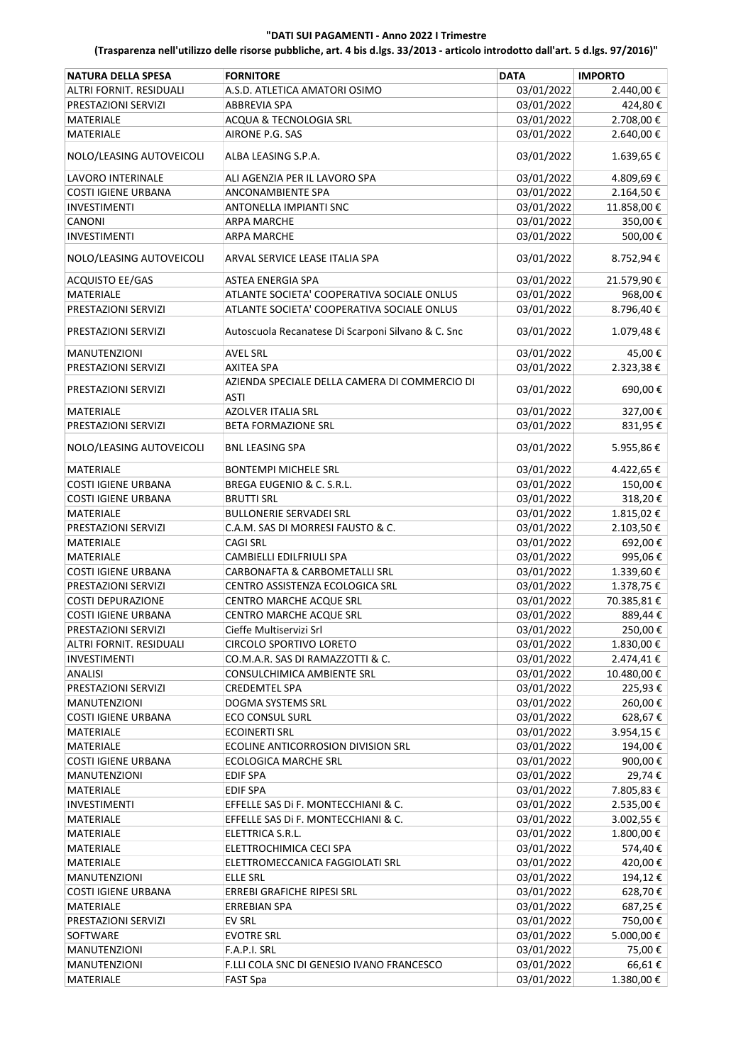| <b>NATURA DELLA SPESA</b>                  | <b>FORNITORE</b>                                   | <b>DATA</b> | <b>IMPORTO</b> |
|--------------------------------------------|----------------------------------------------------|-------------|----------------|
| ALTRI FORNIT, RESIDUALI                    | A.S.D. ATLETICA AMATORI OSIMO                      | 03/01/2022  | 2.440,00€      |
| PRESTAZIONI SERVIZI                        | <b>ABBREVIA SPA</b>                                | 03/01/2022  | 424,80€        |
| MATERIALE                                  | ACQUA & TECNOLOGIA SRL                             | 03/01/2022  | 2.708,00€      |
| <b>MATERIALE</b>                           | AIRONE P.G. SAS                                    | 03/01/2022  | 2.640,00€      |
| NOLO/LEASING AUTOVEICOLI                   | ALBA LEASING S.P.A.                                | 03/01/2022  | 1.639,65€      |
| <b>LAVORO INTERINALE</b>                   | ALI AGENZIA PER IL LAVORO SPA                      | 03/01/2022  | 4.809,69€      |
| <b>COSTI IGIENE URBANA</b>                 | ANCONAMBIENTE SPA                                  | 03/01/2022  | 2.164,50€      |
| <b>INVESTIMENTI</b>                        | ANTONELLA IMPIANTI SNC                             | 03/01/2022  | 11.858,00 €    |
| CANONI                                     | <b>ARPA MARCHE</b>                                 | 03/01/2022  | 350,00€        |
| <b>INVESTIMENTI</b>                        | <b>ARPA MARCHE</b>                                 | 03/01/2022  | 500,00€        |
| NOLO/LEASING AUTOVEICOLI                   | ARVAL SERVICE LEASE ITALIA SPA                     | 03/01/2022  | 8.752,94€      |
| ACQUISTO EE/GAS                            | ASTEA ENERGIA SPA                                  | 03/01/2022  | 21.579,90€     |
| MATERIALE                                  | ATLANTE SOCIETA' COOPERATIVA SOCIALE ONLUS         | 03/01/2022  | 968,00€        |
| PRESTAZIONI SERVIZI                        | ATLANTE SOCIETA' COOPERATIVA SOCIALE ONLUS         | 03/01/2022  | 8.796,40€      |
| PRESTAZIONI SERVIZI                        | Autoscuola Recanatese Di Scarponi Silvano & C. Snc | 03/01/2022  | 1.079,48€      |
| MANUTENZIONI                               | <b>AVEL SRL</b>                                    | 03/01/2022  | 45,00€         |
| PRESTAZIONI SERVIZI                        | <b>AXITEA SPA</b>                                  | 03/01/2022  | 2.323,38€      |
|                                            | AZIENDA SPECIALE DELLA CAMERA DI COMMERCIO DI      |             |                |
| PRESTAZIONI SERVIZI                        | <b>ASTI</b>                                        | 03/01/2022  | 690,00€        |
| MATERIALE                                  | <b>AZOLVER ITALIA SRL</b>                          | 03/01/2022  | 327,00€        |
| PRESTAZIONI SERVIZI                        | <b>BETA FORMAZIONE SRL</b>                         | 03/01/2022  | 831,95€        |
| NOLO/LEASING AUTOVEICOLI                   | <b>BNL LEASING SPA</b>                             | 03/01/2022  | 5.955,86€      |
| MATERIALE                                  | <b>BONTEMPI MICHELE SRL</b>                        | 03/01/2022  | 4.422,65 €     |
| <b>COSTI IGIENE URBANA</b>                 | BREGA EUGENIO & C. S.R.L.                          | 03/01/2022  | 150,00€        |
| <b>COSTI IGIENE URBANA</b>                 | <b>BRUTTI SRL</b>                                  | 03/01/2022  | 318,20€        |
| MATERIALE                                  | <b>BULLONERIE SERVADEI SRL</b>                     | 03/01/2022  | 1.815,02€      |
| PRESTAZIONI SERVIZI                        | C.A.M. SAS DI MORRESI FAUSTO & C.                  | 03/01/2022  | 2.103,50€      |
| MATERIALE                                  | <b>CAGI SRL</b>                                    | 03/01/2022  | 692,00€        |
| MATERIALE                                  | CAMBIELLI EDILFRIULI SPA                           | 03/01/2022  | 995,06€        |
| <b>COSTI IGIENE URBANA</b>                 | CARBONAFTA & CARBOMETALLI SRL                      | 03/01/2022  | 1.339,60€      |
| PRESTAZIONI SERVIZI                        | CENTRO ASSISTENZA ECOLOGICA SRL                    | 03/01/2022  | 1.378,75€      |
| <b>COSTI DEPURAZIONE</b>                   | CENTRO MARCHE ACQUE SRL                            | 03/01/2022  | 70.385,81€     |
| COSTI IGIENE URBANA                        | CENTRO MARCHE ACQUE SRL                            | 03/01/2022  | 889,44€        |
| PRESTAZIONI SERVIZI                        | Cieffe Multiservizi Srl                            | 03/01/2022  | 250,00€        |
| ALTRI FORNIT. RESIDUALI                    | <b>CIRCOLO SPORTIVO LORETO</b>                     | 03/01/2022  | 1.830,00€      |
| <b>INVESTIMENTI</b>                        | CO.M.A.R. SAS DI RAMAZZOTTI & C.                   | 03/01/2022  | 2.474,41€      |
| <b>ANALISI</b>                             | CONSULCHIMICA AMBIENTE SRL                         | 03/01/2022  | 10.480,00€     |
| PRESTAZIONI SERVIZI                        | <b>CREDEMTEL SPA</b>                               | 03/01/2022  | 225,93€        |
| <b>MANUTENZIONI</b>                        | DOGMA SYSTEMS SRL                                  | 03/01/2022  | 260,00€        |
| <b>COSTI IGIENE URBANA</b>                 | <b>ECO CONSUL SURL</b>                             | 03/01/2022  | 628,67€        |
| MATERIALE                                  | <b>ECOINERTI SRL</b>                               | 03/01/2022  | 3.954,15€      |
| MATERIALE                                  | ECOLINE ANTICORROSION DIVISION SRL                 | 03/01/2022  | 194,00€        |
| <b>COSTI IGIENE URBANA</b>                 | <b>ECOLOGICA MARCHE SRL</b>                        | 03/01/2022  | 900,00€        |
| <b>MANUTENZIONI</b>                        | <b>EDIF SPA</b>                                    | 03/01/2022  | 29,74€         |
| MATERIALE                                  | <b>EDIF SPA</b>                                    | 03/01/2022  | 7.805,83€      |
| INVESTIMENTI                               | EFFELLE SAS DI F. MONTECCHIANI & C.                | 03/01/2022  | 2.535,00 €     |
| MATERIALE                                  | EFFELLE SAS Di F. MONTECCHIANI & C.                | 03/01/2022  | 3.002,55 €     |
| MATERIALE                                  | ELETTRICA S.R.L.                                   | 03/01/2022  | 1.800,00 €     |
| MATERIALE                                  | ELETTROCHIMICA CECI SPA                            | 03/01/2022  | 574,40€        |
| MATERIALE                                  | ELETTROMECCANICA FAGGIOLATI SRL                    | 03/01/2022  | 420,00€        |
| MANUTENZIONI                               | <b>ELLE SRL</b>                                    | 03/01/2022  | 194,12€        |
| <b>COSTI IGIENE URBANA</b>                 | ERREBI GRAFICHE RIPESI SRL                         | 03/01/2022  | 628,70€        |
| MATERIALE                                  | <b>ERREBIAN SPA</b>                                | 03/01/2022  | 687,25€        |
| PRESTAZIONI SERVIZI                        | EV SRL                                             | 03/01/2022  | 750,00€        |
| SOFTWARE                                   | <b>EVOTRE SRL</b>                                  | 03/01/2022  | 5.000,00 €     |
|                                            | F.A.P.I. SRL                                       | 03/01/2022  | 75,00€         |
| <b>MANUTENZIONI</b><br><b>MANUTENZIONI</b> | F.LLI COLA SNC DI GENESIO IVANO FRANCESCO          | 03/01/2022  | 66,61€         |
| MATERIALE                                  |                                                    | 03/01/2022  | 1.380,00€      |
|                                            | <b>FAST Spa</b>                                    |             |                |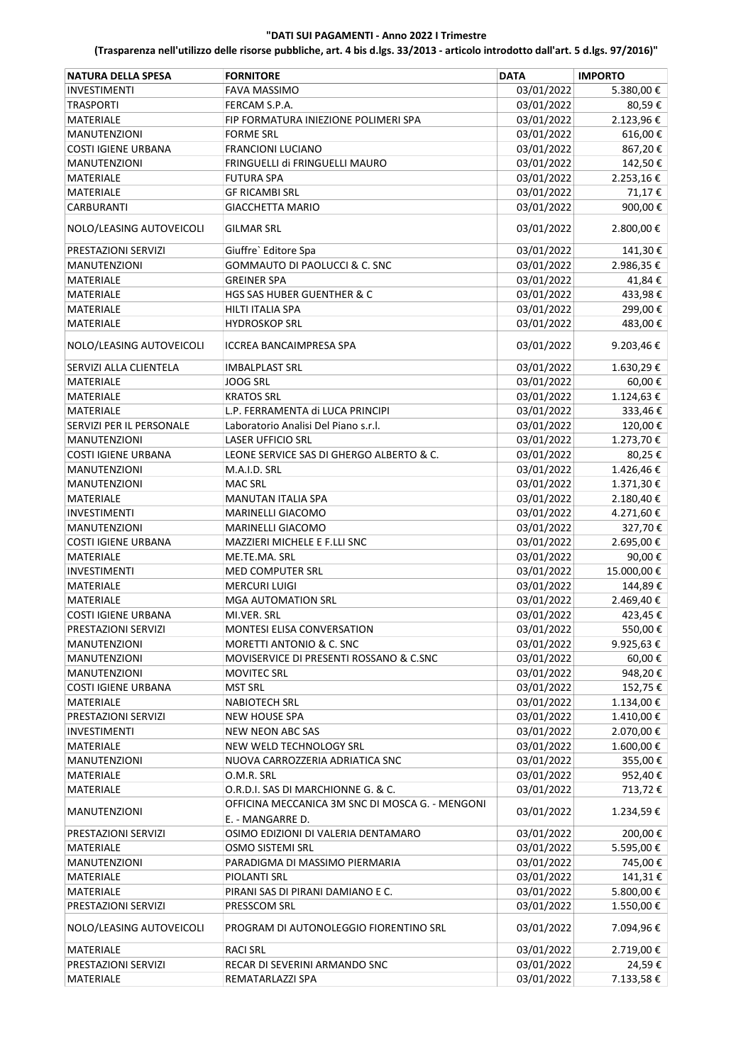| <b>NATURA DELLA SPESA</b>  | <b>FORNITORE</b>                                        | <b>DATA</b> | <b>IMPORTO</b> |
|----------------------------|---------------------------------------------------------|-------------|----------------|
| <b>INVESTIMENTI</b>        | <b>FAVA MASSIMO</b>                                     | 03/01/2022  | 5.380,00€      |
| <b>TRASPORTI</b>           | FERCAM S.P.A.                                           | 03/01/2022  | 80,59€         |
| MATERIALE                  | FIP FORMATURA INIEZIONE POLIMERI SPA                    | 03/01/2022  | 2.123,96€      |
| <b>MANUTENZIONI</b>        | <b>FORME SRL</b>                                        | 03/01/2022  | 616,00€        |
| <b>COSTI IGIENE URBANA</b> | <b>FRANCIONI LUCIANO</b>                                | 03/01/2022  | 867,20€        |
| <b>MANUTENZIONI</b>        | FRINGUELLI di FRINGUELLI MAURO                          | 03/01/2022  | 142,50€        |
| MATERIALE                  | <b>FUTURA SPA</b>                                       | 03/01/2022  | 2.253,16€      |
| <b>MATERIALE</b>           | <b>GF RICAMBI SRL</b>                                   | 03/01/2022  | 71,17€         |
| <b>CARBURANTI</b>          | <b>GIACCHETTA MARIO</b>                                 | 03/01/2022  | 900,00€        |
| NOLO/LEASING AUTOVEICOLI   | <b>GILMAR SRL</b>                                       | 03/01/2022  | 2.800,00€      |
| PRESTAZIONI SERVIZI        | Giuffre` Editore Spa                                    | 03/01/2022  | 141,30€        |
| <b>MANUTENZIONI</b>        | <b>GOMMAUTO DI PAOLUCCI &amp; C. SNC</b>                | 03/01/2022  | 2.986,35 €     |
| MATERIALE                  | <b>GREINER SPA</b>                                      | 03/01/2022  | 41,84€         |
| MATERIALE                  | HGS SAS HUBER GUENTHER & C                              | 03/01/2022  | 433,98€        |
| MATERIALE                  | HILTI ITALIA SPA                                        | 03/01/2022  | 299,00€        |
| MATERIALE                  | <b>HYDROSKOP SRL</b>                                    | 03/01/2022  | 483,00€        |
|                            |                                                         |             |                |
| NOLO/LEASING AUTOVEICOLI   | <b>ICCREA BANCAIMPRESA SPA</b>                          | 03/01/2022  | 9.203,46€      |
| SERVIZI ALLA CLIENTELA     | <b>IMBALPLAST SRL</b>                                   | 03/01/2022  | 1.630,29€      |
| MATERIALE                  | <b>JOOG SRL</b>                                         | 03/01/2022  | 60,00€         |
| MATERIALE                  | <b>KRATOS SRL</b>                                       | 03/01/2022  | 1.124,63€      |
| MATERIALE                  | L.P. FERRAMENTA di LUCA PRINCIPI                        | 03/01/2022  | 333,46€        |
| SERVIZI PER IL PERSONALE   | Laboratorio Analisi Del Piano s.r.l.                    | 03/01/2022  | 120,00€        |
| MANUTENZIONI               | <b>LASER UFFICIO SRL</b>                                | 03/01/2022  | 1.273,70€      |
| <b>COSTI IGIENE URBANA</b> | LEONE SERVICE SAS DI GHERGO ALBERTO & C.                | 03/01/2022  | 80,25€         |
| <b>MANUTENZIONI</b>        | M.A.I.D. SRL                                            | 03/01/2022  | 1.426,46€      |
| <b>MANUTENZIONI</b>        | <b>MAC SRL</b>                                          | 03/01/2022  | 1.371,30€      |
| MATERIALE                  | <b>MANUTAN ITALIA SPA</b>                               | 03/01/2022  | 2.180,40€      |
| <b>INVESTIMENTI</b>        | MARINELLI GIACOMO                                       | 03/01/2022  | 4.271,60€      |
| <b>MANUTENZIONI</b>        | MARINELLI GIACOMO                                       | 03/01/2022  | 327,70€        |
| <b>COSTI IGIENE URBANA</b> | MAZZIERI MICHELE E F.LLI SNC                            | 03/01/2022  | 2.695,00€      |
| <b>MATERIALE</b>           | ME.TE.MA. SRL                                           | 03/01/2022  | 90,00€         |
| <b>INVESTIMENTI</b>        | <b>MED COMPUTER SRL</b>                                 | 03/01/2022  | 15.000,00€     |
| MATERIALE                  | <b>MERCURI LUIGI</b>                                    | 03/01/2022  | 144,89€        |
| MATERIALE                  | MGA AUTOMATION SRL                                      | 03/01/2022  | 2.469,40€      |
| <b>COSTI IGIENE URBANA</b> | MI.VER. SRL                                             | 03/01/2022  | 423,45€        |
| PRESTAZIONI SERVIZI        | MONTESI ELISA CONVERSATION                              | 03/01/2022  | 550,00€        |
| <b>MANUTENZIONI</b>        | MORETTI ANTONIO & C. SNC                                | 03/01/2022  | 9.925,63€      |
| <b>MANUTENZIONI</b>        | MOVISERVICE DI PRESENTI ROSSANO & C.SNC                 | 03/01/2022  | 60,00€         |
| <b>MANUTENZIONI</b>        | <b>MOVITEC SRL</b>                                      | 03/01/2022  | 948,20€        |
| <b>COSTI IGIENE URBANA</b> | <b>MST SRL</b>                                          | 03/01/2022  | 152,75€        |
| <b>MATERIALE</b>           | <b>NABIOTECH SRL</b>                                    | 03/01/2022  | 1.134,00€      |
| PRESTAZIONI SERVIZI        | <b>NEW HOUSE SPA</b>                                    | 03/01/2022  | 1.410,00€      |
| INVESTIMENTI               | NEW NEON ABC SAS                                        | 03/01/2022  | 2.070,00 €     |
| MATERIALE                  | NEW WELD TECHNOLOGY SRL                                 | 03/01/2022  | 1.600,00€      |
| <b>MANUTENZIONI</b>        | NUOVA CARROZZERIA ADRIATICA SNC                         | 03/01/2022  | 355,00€        |
| MATERIALE                  | O.M.R. SRL                                              | 03/01/2022  | 952,40€        |
| <b>MATERIALE</b>           | O.R.D.I. SAS DI MARCHIONNE G. & C.                      | 03/01/2022  | 713,72€        |
| <b>MANUTENZIONI</b>        | OFFICINA MECCANICA 3M SNC DI MOSCA G. - MENGONI         | 03/01/2022  | 1.234,59€      |
| PRESTAZIONI SERVIZI        | E. - MANGARRE D.<br>OSIMO EDIZIONI DI VALERIA DENTAMARO | 03/01/2022  | 200,00€        |
| MATERIALE                  | OSMO SISTEMI SRL                                        | 03/01/2022  | 5.595,00€      |
| <b>MANUTENZIONI</b>        | PARADIGMA DI MASSIMO PIERMARIA                          | 03/01/2022  | 745,00 €       |
| MATERIALE                  | PIOLANTI SRL                                            | 03/01/2022  | 141,31€        |
| MATERIALE                  | PIRANI SAS DI PIRANI DAMIANO E C.                       | 03/01/2022  | 5.800,00 €     |
| PRESTAZIONI SERVIZI        | PRESSCOM SRL                                            | 03/01/2022  | 1.550,00€      |
| NOLO/LEASING AUTOVEICOLI   | PROGRAM DI AUTONOLEGGIO FIORENTINO SRL                  | 03/01/2022  | 7.094,96€      |
| MATERIALE                  | <b>RACI SRL</b>                                         | 03/01/2022  | 2.719,00 €     |
| PRESTAZIONI SERVIZI        | RECAR DI SEVERINI ARMANDO SNC                           | 03/01/2022  | 24,59€         |
| MATERIALE                  | REMATARLAZZI SPA                                        | 03/01/2022  | 7.133,58€      |
|                            |                                                         |             |                |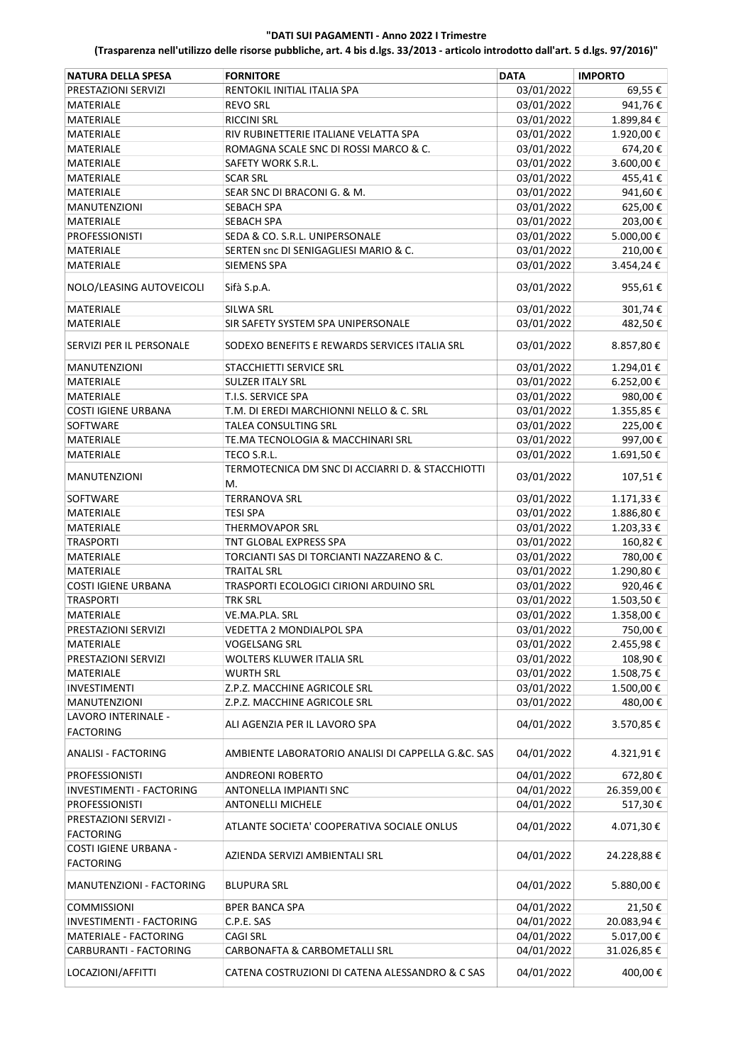| <b>NATURA DELLA SPESA</b>                 | <b>FORNITORE</b>                                   | <b>DATA</b> | <b>IMPORTO</b> |
|-------------------------------------------|----------------------------------------------------|-------------|----------------|
| PRESTAZIONI SERVIZI                       | RENTOKIL INITIAL ITALIA SPA                        | 03/01/2022  | 69,55€         |
| <b>MATERIALE</b>                          | <b>REVO SRL</b>                                    | 03/01/2022  | 941,76€        |
| MATERIALE                                 | <b>RICCINI SRL</b>                                 | 03/01/2022  | 1.899,84€      |
| MATERIALE                                 | RIV RUBINETTERIE ITALIANE VELATTA SPA              | 03/01/2022  | 1.920,00€      |
| MATERIALE                                 | ROMAGNA SCALE SNC DI ROSSI MARCO & C.              | 03/01/2022  | 674,20€        |
| MATERIALE                                 | SAFETY WORK S.R.L.                                 | 03/01/2022  | 3.600,00€      |
| MATERIALE                                 | <b>SCAR SRL</b>                                    | 03/01/2022  | 455,41€        |
| <b>MATERIALE</b>                          | SEAR SNC DI BRACONI G. & M.                        | 03/01/2022  | 941,60€        |
| <b>MANUTENZIONI</b>                       | <b>SEBACH SPA</b>                                  | 03/01/2022  | 625,00€        |
| MATERIALE                                 | <b>SEBACH SPA</b>                                  | 03/01/2022  | 203,00€        |
| <b>PROFESSIONISTI</b>                     | SEDA & CO. S.R.L. UNIPERSONALE                     | 03/01/2022  | 5.000,00 €     |
| MATERIALE                                 | SERTEN snc DI SENIGAGLIESI MARIO & C.              | 03/01/2022  | 210,00€        |
| MATERIALE                                 | <b>SIEMENS SPA</b>                                 | 03/01/2022  | 3.454,24€      |
|                                           |                                                    |             |                |
| NOLO/LEASING AUTOVEICOLI                  | Sifà S.p.A.                                        | 03/01/2022  | 955,61€        |
| MATERIALE                                 | <b>SILWA SRL</b>                                   | 03/01/2022  | 301,74€        |
| <b>MATERIALE</b>                          | SIR SAFETY SYSTEM SPA UNIPERSONALE                 | 03/01/2022  | 482,50€        |
| SERVIZI PER IL PERSONALE                  | SODEXO BENEFITS E REWARDS SERVICES ITALIA SRL      | 03/01/2022  | 8.857,80€      |
| <b>MANUTENZIONI</b>                       | <b>STACCHIETTI SERVICE SRL</b>                     | 03/01/2022  | 1.294,01€      |
| <b>MATERIALE</b>                          | <b>SULZER ITALY SRL</b>                            | 03/01/2022  | 6.252,00€      |
| <b>MATERIALE</b>                          | T.I.S. SERVICE SPA                                 | 03/01/2022  | 980,00€        |
| <b>COSTI IGIENE URBANA</b>                | T.M. DI EREDI MARCHIONNI NELLO & C. SRL            | 03/01/2022  | 1.355,85€      |
| SOFTWARE                                  | TALEA CONSULTING SRL                               | 03/01/2022  | 225,00€        |
| MATERIALE                                 | TE.MA TECNOLOGIA & MACCHINARI SRL                  | 03/01/2022  | 997,00€        |
| MATERIALE                                 | TECO S.R.L.                                        | 03/01/2022  | 1.691,50€      |
|                                           | TERMOTECNICA DM SNC DI ACCIARRI D. & STACCHIOTTI   |             |                |
| <b>MANUTENZIONI</b>                       | М.                                                 | 03/01/2022  | 107,51€        |
| SOFTWARE                                  | <b>TERRANOVA SRL</b>                               | 03/01/2022  | 1.171,33 €     |
| MATERIALE                                 | <b>TESI SPA</b>                                    | 03/01/2022  | 1.886,80€      |
| MATERIALE                                 | <b>THERMOVAPOR SRL</b>                             | 03/01/2022  | 1.203,33 €     |
| <b>TRASPORTI</b>                          | TNT GLOBAL EXPRESS SPA                             | 03/01/2022  | 160,82€        |
| MATERIALE                                 | TORCIANTI SAS DI TORCIANTI NAZZARENO & C.          | 03/01/2022  | 780,00€        |
| <b>MATERIALE</b>                          | <b>TRAITAL SRL</b>                                 | 03/01/2022  | 1.290,80€      |
| <b>COSTI IGIENE URBANA</b>                | TRASPORTI ECOLOGICI CIRIONI ARDUINO SRL            | 03/01/2022  | 920,46€        |
| <b>TRASPORTI</b>                          | <b>TRK SRL</b>                                     | 03/01/2022  | 1.503,50€      |
| MATERIALE                                 | VE.MA.PLA. SRL                                     | 03/01/2022  | 1.358,00€      |
| PRESTAZIONI SERVIZI                       | VEDETTA 2 MONDIALPOL SPA                           | 03/01/2022  | 750,00€        |
| MATERIALE                                 | VOGELSANG SRL                                      | 03/01/2022  | 2.455,98€      |
| PRESTAZIONI SERVIZI                       | WOLTERS KLUWER ITALIA SRL                          | 03/01/2022  | 108,90€        |
| MATERIALE                                 | WURTH SRL                                          | 03/01/2022  | 1.508,75€      |
| <b>INVESTIMENTI</b>                       | Z.P.Z. MACCHINE AGRICOLE SRL                       | 03/01/2022  | 1.500,00€      |
| MANUTENZIONI                              | Z.P.Z. MACCHINE AGRICOLE SRL                       | 03/01/2022  | 480,00€        |
| LAVORO INTERINALE -<br><b>FACTORING</b>   | ALI AGENZIA PER IL LAVORO SPA                      | 04/01/2022  | 3.570,85€      |
| <b>ANALISI - FACTORING</b>                | AMBIENTE LABORATORIO ANALISI DI CAPPELLA G.&C. SAS | 04/01/2022  | 4.321,91€      |
| <b>PROFESSIONISTI</b>                     | <b>ANDREONI ROBERTO</b>                            | 04/01/2022  | 672,80€        |
| <b>INVESTIMENTI - FACTORING</b>           | ANTONELLA IMPIANTI SNC                             | 04/01/2022  | 26.359,00€     |
| <b>PROFESSIONISTI</b>                     | <b>ANTONELLI MICHELE</b>                           | 04/01/2022  | 517,30€        |
| PRESTAZIONI SERVIZI -                     |                                                    |             |                |
| <b>FACTORING</b>                          | ATLANTE SOCIETA' COOPERATIVA SOCIALE ONLUS         | 04/01/2022  | 4.071,30€      |
| COSTI IGIENE URBANA -<br><b>FACTORING</b> | AZIENDA SERVIZI AMBIENTALI SRL                     | 04/01/2022  | 24.228,88€     |
| MANUTENZIONI - FACTORING                  | <b>BLUPURA SRL</b>                                 | 04/01/2022  | 5.880,00 €     |
| <b>COMMISSIONI</b>                        | <b>BPER BANCA SPA</b>                              | 04/01/2022  | 21,50€         |
| INVESTIMENTI - FACTORING                  | C.P.E. SAS                                         | 04/01/2022  | 20.083,94€     |
| MATERIALE - FACTORING                     | <b>CAGI SRL</b>                                    | 04/01/2022  | 5.017,00€      |
| CARBURANTI - FACTORING                    | CARBONAFTA & CARBOMETALLI SRL                      | 04/01/2022  | 31.026,85€     |
| LOCAZIONI/AFFITTI                         | CATENA COSTRUZIONI DI CATENA ALESSANDRO & C SAS    | 04/01/2022  | 400,00€        |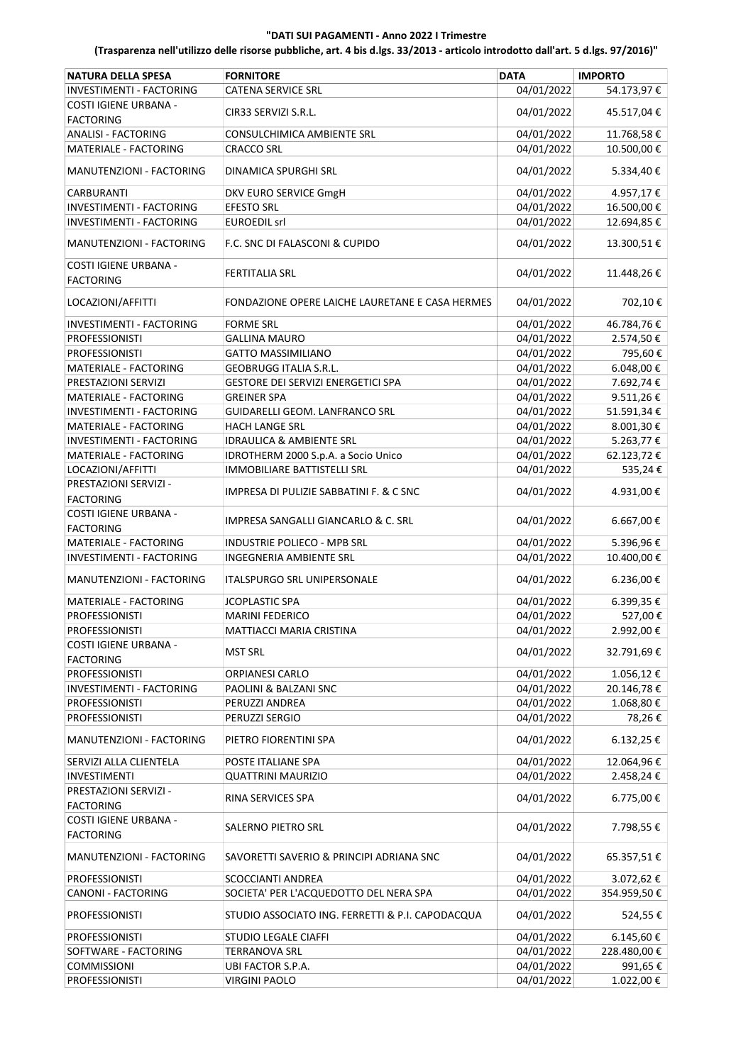| <b>NATURA DELLA SPESA</b>                      | <b>FORNITORE</b>                                 | <b>DATA</b> | <b>IMPORTO</b>    |
|------------------------------------------------|--------------------------------------------------|-------------|-------------------|
| INVESTIMENTI - FACTORING                       | <b>CATENA SERVICE SRL</b>                        | 04/01/2022  | 54.173,97€        |
| COSTI IGIENE URBANA -                          |                                                  |             |                   |
| <b>FACTORING</b>                               | CIR33 SERVIZI S.R.L.                             | 04/01/2022  | 45.517,04€        |
| <b>ANALISI - FACTORING</b>                     | CONSULCHIMICA AMBIENTE SRL                       | 04/01/2022  | 11.768,58€        |
| MATERIALE - FACTORING                          | <b>CRACCO SRL</b>                                | 04/01/2022  | 10.500,00€        |
|                                                |                                                  |             |                   |
| MANUTENZIONI - FACTORING                       | DINAMICA SPURGHI SRL                             | 04/01/2022  | 5.334,40€         |
| CARBURANTI                                     | DKV EURO SERVICE GmgH                            | 04/01/2022  | 4.957,17€         |
| <b>INVESTIMENTI - FACTORING</b>                | <b>EFESTO SRL</b>                                | 04/01/2022  | 16.500,00€        |
| INVESTIMENTI - FACTORING                       | <b>EUROEDIL srl</b>                              | 04/01/2022  | 12.694,85€        |
|                                                |                                                  |             |                   |
| MANUTENZIONI - FACTORING                       | F.C. SNC DI FALASCONI & CUPIDO                   | 04/01/2022  | 13.300,51€        |
| <b>COSTI IGIENE URBANA -</b>                   |                                                  |             |                   |
| <b>FACTORING</b>                               | FERTITALIA SRL                                   | 04/01/2022  | 11.448,26€        |
|                                                |                                                  |             |                   |
| LOCAZIONI/AFFITTI                              | FONDAZIONE OPERE LAICHE LAURETANE E CASA HERMES  | 04/01/2022  | 702,10€           |
| INVESTIMENTI - FACTORING                       | <b>FORME SRL</b>                                 | 04/01/2022  | 46.784,76€        |
| <b>PROFESSIONISTI</b>                          | <b>GALLINA MAURO</b>                             | 04/01/2022  | 2.574,50€         |
| <b>PROFESSIONISTI</b>                          | <b>GATTO MASSIMILIANO</b>                        | 04/01/2022  | 795,60€           |
| MATERIALE - FACTORING                          | <b>GEOBRUGG ITALIA S.R.L.</b>                    | 04/01/2022  | 6.048,00 €        |
| PRESTAZIONI SERVIZI                            | GESTORE DEI SERVIZI ENERGETICI SPA               | 04/01/2022  | 7.692,74€         |
| MATERIALE - FACTORING                          | <b>GREINER SPA</b>                               | 04/01/2022  | 9.511,26€         |
| INVESTIMENTI - FACTORING                       | GUIDARELLI GEOM. LANFRANCO SRL                   | 04/01/2022  | 51.591,34€        |
| <b>MATERIALE - FACTORING</b>                   | <b>HACH LANGE SRL</b>                            | 04/01/2022  | 8.001,30€         |
| INVESTIMENTI - FACTORING                       | <b>IDRAULICA &amp; AMBIENTE SRL</b>              | 04/01/2022  | 5.263,77€         |
| MATERIALE - FACTORING                          | IDROTHERM 2000 S.p.A. a Socio Unico              | 04/01/2022  | 62.123,72€        |
| LOCAZIONI/AFFITTI                              | <b>IMMOBILIARE BATTISTELLI SRL</b>               | 04/01/2022  | 535,24€           |
| PRESTAZIONI SERVIZI -                          |                                                  |             |                   |
| <b>FACTORING</b>                               | IMPRESA DI PULIZIE SABBATINI F. & C SNC          | 04/01/2022  | 4.931,00€         |
| COSTI IGIENE URBANA -                          |                                                  |             |                   |
| <b>FACTORING</b>                               | IMPRESA SANGALLI GIANCARLO & C. SRL              | 04/01/2022  | 6.667,00€         |
| <b>MATERIALE - FACTORING</b>                   | INDUSTRIE POLIECO - MPB SRL                      | 04/01/2022  | 5.396,96€         |
|                                                |                                                  | 04/01/2022  |                   |
| INVESTIMENTI - FACTORING                       | <b>INGEGNERIA AMBIENTE SRL</b>                   |             | 10.400,00€        |
| MANUTENZIONI - FACTORING                       | <b>ITALSPURGO SRL UNIPERSONALE</b>               | 04/01/2022  | 6.236,00 €        |
| MATERIALE - FACTORING                          | <b>JCOPLASTIC SPA</b>                            | 04/01/2022  | 6.399,35€         |
|                                                |                                                  |             |                   |
| <b>PROFESSIONISTI</b>                          | <b>MARINI FEDERICO</b>                           | 04/01/2022  | 527,00€           |
| <b>PROFESSIONISTI</b><br>COSTI IGIENE URBANA - | MATTIACCI MARIA CRISTINA                         | 04/01/2022  | 2.992,00€         |
|                                                | <b>MST SRL</b>                                   | 04/01/2022  | 32.791,69€        |
| <b>FACTORING</b>                               |                                                  |             |                   |
| <b>PROFESSIONISTI</b>                          | ORPIANESI CARLO                                  | 04/01/2022  | 1.056,12€         |
| INVESTIMENTI - FACTORING                       | PAOLINI & BALZANI SNC                            | 04/01/2022  | 20.146,78€        |
| <b>PROFESSIONISTI</b>                          | PERUZZI ANDREA                                   | 04/01/2022  | 1.068,80€         |
| <b>PROFESSIONISTI</b>                          | PERUZZI SERGIO                                   | 04/01/2022  | 78,26€            |
| MANUTENZIONI - FACTORING                       | PIETRO FIORENTINI SPA                            | 04/01/2022  | $6.132,25 \notin$ |
|                                                |                                                  |             |                   |
| SERVIZI ALLA CLIENTELA                         | POSTE ITALIANE SPA                               | 04/01/2022  | 12.064,96€        |
| <b>INVESTIMENTI</b>                            | <b>QUATTRINI MAURIZIO</b>                        | 04/01/2022  | 2.458,24€         |
| PRESTAZIONI SERVIZI -                          | RINA SERVICES SPA                                | 04/01/2022  | 6.775,00€         |
| <b>FACTORING</b>                               |                                                  |             |                   |
| <b>COSTI IGIENE URBANA -</b>                   | SALERNO PIETRO SRL                               | 04/01/2022  | 7.798,55 €        |
| <b>FACTORING</b>                               |                                                  |             |                   |
| MANUTENZIONI - FACTORING                       | SAVORETTI SAVERIO & PRINCIPI ADRIANA SNC         | 04/01/2022  | 65.357,51€        |
|                                                |                                                  |             |                   |
| <b>PROFESSIONISTI</b>                          | SCOCCIANTI ANDREA                                | 04/01/2022  | 3.072,62€         |
| CANONI - FACTORING                             | SOCIETA' PER L'ACQUEDOTTO DEL NERA SPA           | 04/01/2022  | 354.959,50€       |
| <b>PROFESSIONISTI</b>                          | STUDIO ASSOCIATO ING. FERRETTI & P.I. CAPODACQUA | 04/01/2022  | 524,55€           |
|                                                |                                                  |             |                   |
| <b>PROFESSIONISTI</b>                          | <b>STUDIO LEGALE CIAFFI</b>                      | 04/01/2022  | $6.145,60 \in$    |
| SOFTWARE - FACTORING                           | <b>TERRANOVA SRL</b>                             | 04/01/2022  | 228.480,00€       |
| <b>COMMISSIONI</b>                             | UBI FACTOR S.P.A.                                | 04/01/2022  | 991,65€           |
| PROFESSIONISTI                                 | <b>VIRGINI PAOLO</b>                             | 04/01/2022  | 1.022,00€         |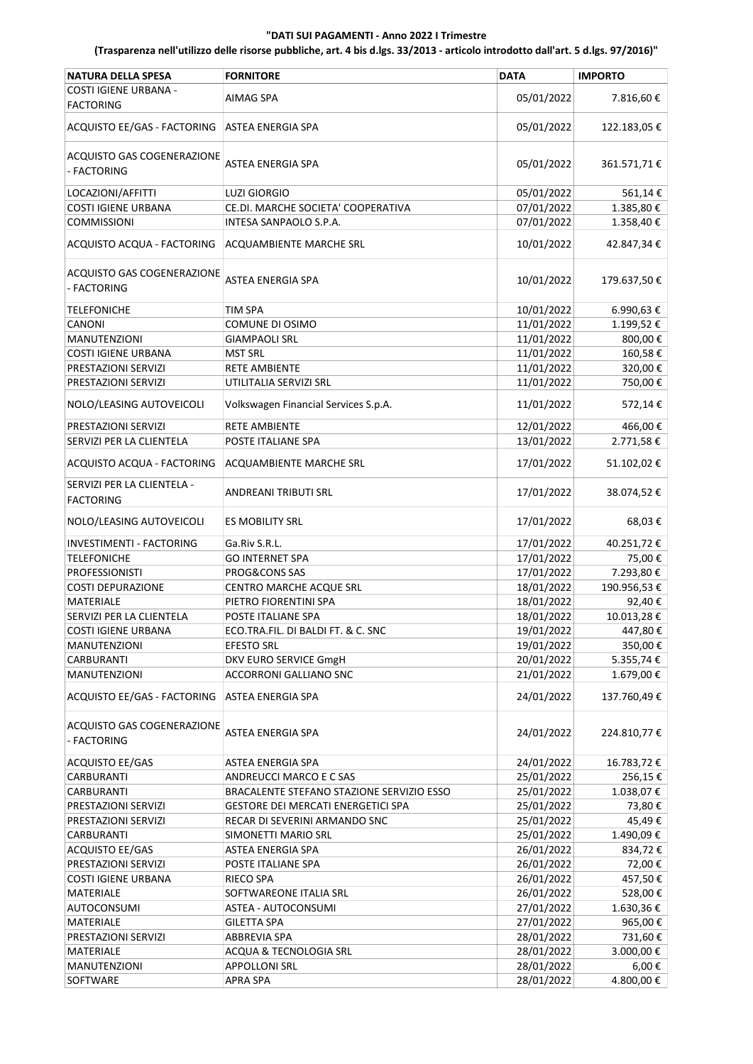| <b>NATURA DELLA SPESA</b>                      | <b>FORNITORE</b>                          | <b>DATA</b> | <b>IMPORTO</b> |
|------------------------------------------------|-------------------------------------------|-------------|----------------|
| COSTI IGIENE URBANA -<br><b>FACTORING</b>      | AIMAG SPA                                 | 05/01/2022  | 7.816,60€      |
| ACQUISTO EE/GAS - FACTORING                    | ASTEA ENERGIA SPA                         | 05/01/2022  | 122.183,05€    |
| ACQUISTO GAS COGENERAZIONE<br>- FACTORING      | ASTEA ENERGIA SPA                         | 05/01/2022  | 361.571,71€    |
| LOCAZIONI/AFFITTI                              | LUZI GIORGIO                              | 05/01/2022  | 561,14€        |
| <b>COSTI IGIENE URBANA</b>                     | CE.DI. MARCHE SOCIETA' COOPERATIVA        | 07/01/2022  | 1.385,80€      |
| <b>COMMISSIONI</b>                             | INTESA SANPAOLO S.P.A.                    | 07/01/2022  | 1.358,40€      |
| ACQUISTO ACQUA - FACTORING                     | ACQUAMBIENTE MARCHE SRL                   | 10/01/2022  | 42.847,34€     |
| ACQUISTO GAS COGENERAZIONE<br>- FACTORING      | <b>ASTEA ENERGIA SPA</b>                  | 10/01/2022  | 179.637,50€    |
| <b>TELEFONICHE</b>                             | <b>TIM SPA</b>                            | 10/01/2022  | 6.990,63€      |
| CANONI                                         | COMUNE DI OSIMO                           | 11/01/2022  | 1.199,52€      |
| MANUTENZIONI                                   | <b>GIAMPAOLI SRL</b>                      | 11/01/2022  | 800,00€        |
| COSTI IGIENE URBANA                            | <b>MST SRL</b>                            | 11/01/2022  | 160,58€        |
| PRESTAZIONI SERVIZI                            | <b>RETE AMBIENTE</b>                      | 11/01/2022  | 320,00€        |
| PRESTAZIONI SERVIZI                            | UTILITALIA SERVIZI SRL                    | 11/01/2022  | 750,00€        |
| NOLO/LEASING AUTOVEICOLI                       | Volkswagen Financial Services S.p.A.      | 11/01/2022  | 572,14€        |
| PRESTAZIONI SERVIZI                            | <b>RETE AMBIENTE</b>                      | 12/01/2022  | 466,00€        |
| SERVIZI PER LA CLIENTELA                       | POSTE ITALIANE SPA                        | 13/01/2022  | 2.771,58€      |
| ACQUISTO ACQUA - FACTORING                     | ACQUAMBIENTE MARCHE SRL                   | 17/01/2022  | 51.102,02€     |
| SERVIZI PER LA CLIENTELA -<br><b>FACTORING</b> | ANDREANI TRIBUTI SRL                      | 17/01/2022  | 38.074,52€     |
| NOLO/LEASING AUTOVEICOLI                       | <b>ES MOBILITY SRL</b>                    | 17/01/2022  | 68,03€         |
| INVESTIMENTI - FACTORING                       | Ga.Riv S.R.L.                             | 17/01/2022  | 40.251,72€     |
| <b>TELEFONICHE</b>                             | <b>GO INTERNET SPA</b>                    | 17/01/2022  | 75,00€         |
| <b>PROFESSIONISTI</b>                          | <b>PROG&amp;CONS SAS</b>                  | 17/01/2022  | 7.293,80€      |
| <b>COSTI DEPURAZIONE</b>                       | CENTRO MARCHE ACQUE SRL                   | 18/01/2022  | 190.956,53€    |
| <b>MATERIALE</b>                               | PIETRO FIORENTINI SPA                     | 18/01/2022  | 92,40€         |
| SERVIZI PER LA CLIENTELA                       | POSTE ITALIANE SPA                        | 18/01/2022  | 10.013,28€     |
| COSTI IGIENE URBANA                            | ECO.TRA.FIL. DI BALDI FT. & C. SNC        | 19/01/2022  | 447,80 €       |
| <b>MANUTENZIONI</b>                            | <b>EFESTO SRL</b>                         | 19/01/2022  | 350,00€        |
| CARBURANTI                                     | DKV EURO SERVICE GmgH                     | 20/01/2022  | 5.355,74€      |
| <b>MANUTENZIONI</b>                            | <b>ACCORRONI GALLIANO SNC</b>             | 21/01/2022  | 1.679,00€      |
| ACQUISTO EE/GAS - FACTORING                    | ASTEA ENERGIA SPA                         | 24/01/2022  | 137.760,49€    |
| ACQUISTO GAS COGENERAZIONE<br>- FACTORING      | <b>ASTEA ENERGIA SPA</b>                  | 24/01/2022  | 224.810,77€    |
| ACQUISTO EE/GAS                                | ASTEA ENERGIA SPA                         | 24/01/2022  | 16.783,72€     |
| CARBURANTI                                     | ANDREUCCI MARCO E C SAS                   | 25/01/2022  | 256,15€        |
| CARBURANTI                                     | BRACALENTE STEFANO STAZIONE SERVIZIO ESSO | 25/01/2022  | 1.038,07€      |
| PRESTAZIONI SERVIZI                            | GESTORE DEI MERCATI ENERGETICI SPA        | 25/01/2022  | 73,80€         |
| PRESTAZIONI SERVIZI                            | RECAR DI SEVERINI ARMANDO SNC             | 25/01/2022  | 45,49€         |
| CARBURANTI                                     | SIMONETTI MARIO SRL                       | 25/01/2022  | 1.490,09€      |
| <b>ACQUISTO EE/GAS</b>                         | ASTEA ENERGIA SPA                         | 26/01/2022  | 834,72€        |
| PRESTAZIONI SERVIZI                            | POSTE ITALIANE SPA                        | 26/01/2022  | 72,00€         |
| <b>COSTI IGIENE URBANA</b>                     | RIECO SPA                                 | 26/01/2022  | 457,50€        |
| MATERIALE                                      | SOFTWAREONE ITALIA SRL                    | 26/01/2022  | 528,00€        |
| <b>AUTOCONSUMI</b>                             | ASTEA - AUTOCONSUMI                       | 27/01/2022  | 1.630,36€      |
| MATERIALE                                      | <b>GILETTA SPA</b>                        | 27/01/2022  | 965,00€        |
| PRESTAZIONI SERVIZI                            | ABBREVIA SPA                              | 28/01/2022  | 731,60€        |
| MATERIALE                                      | ACQUA & TECNOLOGIA SRL                    | 28/01/2022  | 3.000,00 €     |
| MANUTENZIONI                                   | <b>APPOLLONI SRL</b>                      | 28/01/2022  | 6,00€          |
| SOFTWARE                                       | <b>APRA SPA</b>                           | 28/01/2022  | 4.800,00€      |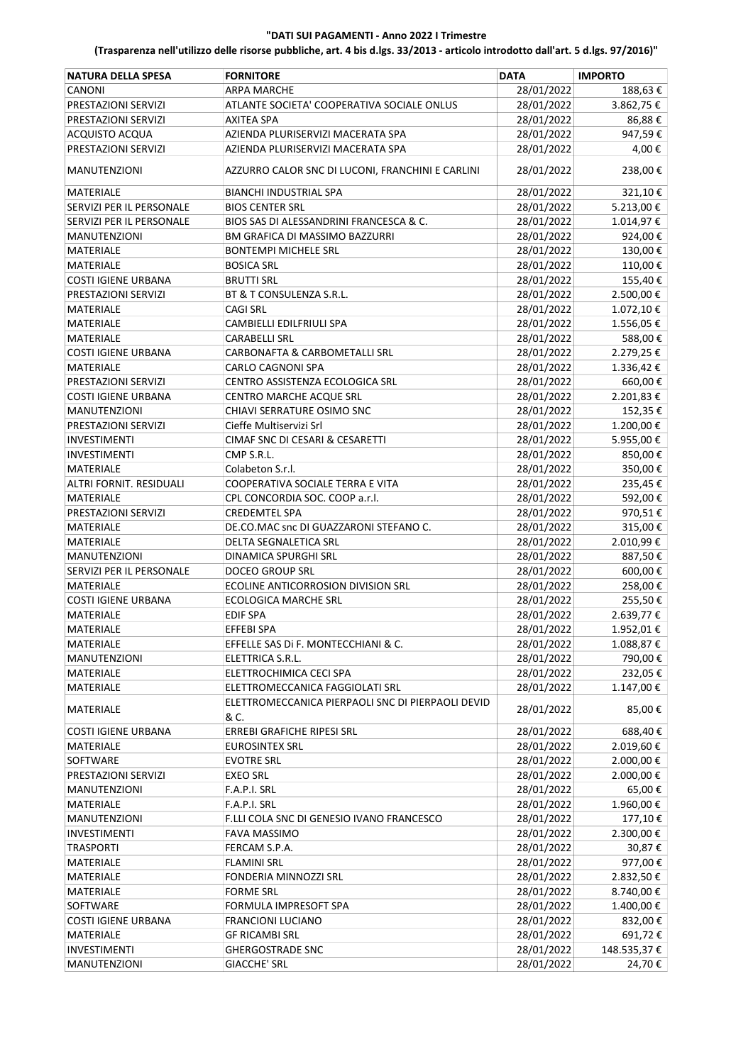| <b>NATURA DELLA SPESA</b>  | <b>FORNITORE</b>                                          | <b>DATA</b> | <b>IMPORTO</b> |
|----------------------------|-----------------------------------------------------------|-------------|----------------|
| CANONI                     | <b>ARPA MARCHE</b>                                        | 28/01/2022  | 188,63€        |
| PRESTAZIONI SERVIZI        | ATLANTE SOCIETA' COOPERATIVA SOCIALE ONLUS                | 28/01/2022  | 3.862,75€      |
| PRESTAZIONI SERVIZI        | <b>AXITEA SPA</b>                                         | 28/01/2022  | 86,88€         |
| <b>ACQUISTO ACQUA</b>      | AZIENDA PLURISERVIZI MACERATA SPA                         | 28/01/2022  | 947,59€        |
| PRESTAZIONI SERVIZI        | AZIENDA PLURISERVIZI MACERATA SPA                         | 28/01/2022  | 4,00€          |
| <b>MANUTENZIONI</b>        | AZZURRO CALOR SNC DI LUCONI, FRANCHINI E CARLINI          | 28/01/2022  | 238,00€        |
| MATERIALE                  | <b>BIANCHI INDUSTRIAL SPA</b>                             | 28/01/2022  | 321,10€        |
| SERVIZI PER IL PERSONALE   | <b>BIOS CENTER SRL</b>                                    | 28/01/2022  | 5.213,00€      |
| SERVIZI PER IL PERSONALE   | BIOS SAS DI ALESSANDRINI FRANCESCA & C.                   | 28/01/2022  | 1.014,97€      |
| <b>MANUTENZIONI</b>        | BM GRAFICA DI MASSIMO BAZZURRI                            | 28/01/2022  | 924,00€        |
| MATERIALE                  | <b>BONTEMPI MICHELE SRL</b>                               | 28/01/2022  | 130,00€        |
| <b>MATERIALE</b>           | <b>BOSICA SRL</b>                                         | 28/01/2022  | 110,00€        |
| <b>COSTI IGIENE URBANA</b> | <b>BRUTTI SRL</b>                                         | 28/01/2022  | 155,40€        |
| PRESTAZIONI SERVIZI        | BT & T CONSULENZA S.R.L.                                  | 28/01/2022  | 2.500,00€      |
| MATERIALE                  | <b>CAGI SRL</b>                                           | 28/01/2022  | 1.072,10€      |
| MATERIALE                  | CAMBIELLI EDILFRIULI SPA                                  | 28/01/2022  | 1.556,05€      |
| MATERIALE                  | <b>CARABELLI SRL</b>                                      | 28/01/2022  | 588,00€        |
| <b>COSTI IGIENE URBANA</b> | CARBONAFTA & CARBOMETALLI SRL                             | 28/01/2022  | 2.279,25€      |
| MATERIALE                  | CARLO CAGNONI SPA                                         | 28/01/2022  | 1.336,42€      |
| PRESTAZIONI SERVIZI        | CENTRO ASSISTENZA ECOLOGICA SRL                           | 28/01/2022  | 660,00€        |
| <b>COSTI IGIENE URBANA</b> | CENTRO MARCHE ACQUE SRL                                   | 28/01/2022  | 2.201,83€      |
| <b>MANUTENZIONI</b>        | CHIAVI SERRATURE OSIMO SNC                                | 28/01/2022  | 152,35€        |
| PRESTAZIONI SERVIZI        | Cieffe Multiservizi Srl                                   | 28/01/2022  | 1.200,00€      |
| INVESTIMENTI               | CIMAF SNC DI CESARI & CESARETTI                           | 28/01/2022  | 5.955,00€      |
| INVESTIMENTI               | CMP S.R.L.                                                | 28/01/2022  | 850,00€        |
| MATERIALE                  | Colabeton S.r.l.                                          | 28/01/2022  | 350,00€        |
| ALTRI FORNIT. RESIDUALI    | COOPERATIVA SOCIALE TERRA E VITA                          | 28/01/2022  | 235,45€        |
| <b>MATERIALE</b>           | CPL CONCORDIA SOC. COOP a.r.l.                            | 28/01/2022  | 592,00€        |
| PRESTAZIONI SERVIZI        | <b>CREDEMTEL SPA</b>                                      | 28/01/2022  | 970,51€        |
| MATERIALE                  | DE.CO.MAC snc DI GUAZZARONI STEFANO C.                    | 28/01/2022  | 315,00€        |
| MATERIALE                  | DELTA SEGNALETICA SRL                                     | 28/01/2022  | 2.010,99€      |
| <b>MANUTENZIONI</b>        | DINAMICA SPURGHI SRL                                      | 28/01/2022  | 887,50€        |
| SERVIZI PER IL PERSONALE   | <b>DOCEO GROUP SRL</b>                                    | 28/01/2022  | 600,00€        |
| MATERIALE                  | <b>ECOLINE ANTICORROSION DIVISION SRL</b>                 | 28/01/2022  | 258,00€        |
| <b>COSTI IGIENE URBANA</b> | <b>ECOLOGICA MARCHE SRL</b>                               | 28/01/2022  | 255,50€        |
| MATERIALE                  | <b>EDIF SPA</b>                                           | 28/01/2022  | 2.639,77€      |
| <b>MATERIALE</b>           | EFFEBI SPA                                                | 28/01/2022  | 1.952,01€      |
| MATERIALE                  | EFFELLE SAS Di F. MONTECCHIANI & C.                       | 28/01/2022  | 1.088,87€      |
| <b>MANUTENZIONI</b>        | ELETTRICA S.R.L.                                          | 28/01/2022  | 790,00€        |
| MATERIALE                  | ELETTROCHIMICA CECI SPA                                   | 28/01/2022  | 232,05€        |
| MATERIALE                  | ELETTROMECCANICA FAGGIOLATI SRL                           | 28/01/2022  | 1.147,00€      |
| MATERIALE                  | ELETTROMECCANICA PIERPAOLI SNC DI PIERPAOLI DEVID<br>& C. | 28/01/2022  | 85,00€         |
| <b>COSTI IGIENE URBANA</b> | <b>ERREBI GRAFICHE RIPESI SRL</b>                         | 28/01/2022  | 688,40€        |
| MATERIALE                  | <b>EUROSINTEX SRL</b>                                     | 28/01/2022  | 2.019,60€      |
| SOFTWARE                   | <b>EVOTRE SRL</b>                                         | 28/01/2022  | 2.000,00€      |
| PRESTAZIONI SERVIZI        | <b>EXEO SRL</b>                                           | 28/01/2022  | 2.000,00 €     |
| <b>MANUTENZIONI</b>        | F.A.P.I. SRL                                              | 28/01/2022  | 65,00€         |
| MATERIALE                  | F.A.P.I. SRL                                              | 28/01/2022  | 1.960,00€      |
| MANUTENZIONI               | F.LLI COLA SNC DI GENESIO IVANO FRANCESCO                 | 28/01/2022  | 177,10€        |
| <b>INVESTIMENTI</b>        | <b>FAVA MASSIMO</b>                                       | 28/01/2022  | 2.300,00€      |
| <b>TRASPORTI</b>           | FERCAM S.P.A.                                             | 28/01/2022  | 30,87€         |
| MATERIALE                  | <b>FLAMINI SRL</b>                                        | 28/01/2022  | 977,00€        |
| MATERIALE                  | FONDERIA MINNOZZI SRL                                     | 28/01/2022  | 2.832,50€      |
| MATERIALE                  | FORME SRL                                                 | 28/01/2022  | 8.740,00 €     |
| SOFTWARE                   | FORMULA IMPRESOFT SPA                                     | 28/01/2022  | 1.400,00 €     |
| <b>COSTI IGIENE URBANA</b> | <b>FRANCIONI LUCIANO</b>                                  | 28/01/2022  | 832,00€        |
| MATERIALE                  | <b>GF RICAMBI SRL</b>                                     | 28/01/2022  | 691,72€        |
| INVESTIMENTI               | <b>GHERGOSTRADE SNC</b>                                   | 28/01/2022  | 148.535,37 €   |
| <b>MANUTENZIONI</b>        | <b>GIACCHE' SRL</b>                                       | 28/01/2022  | 24,70€         |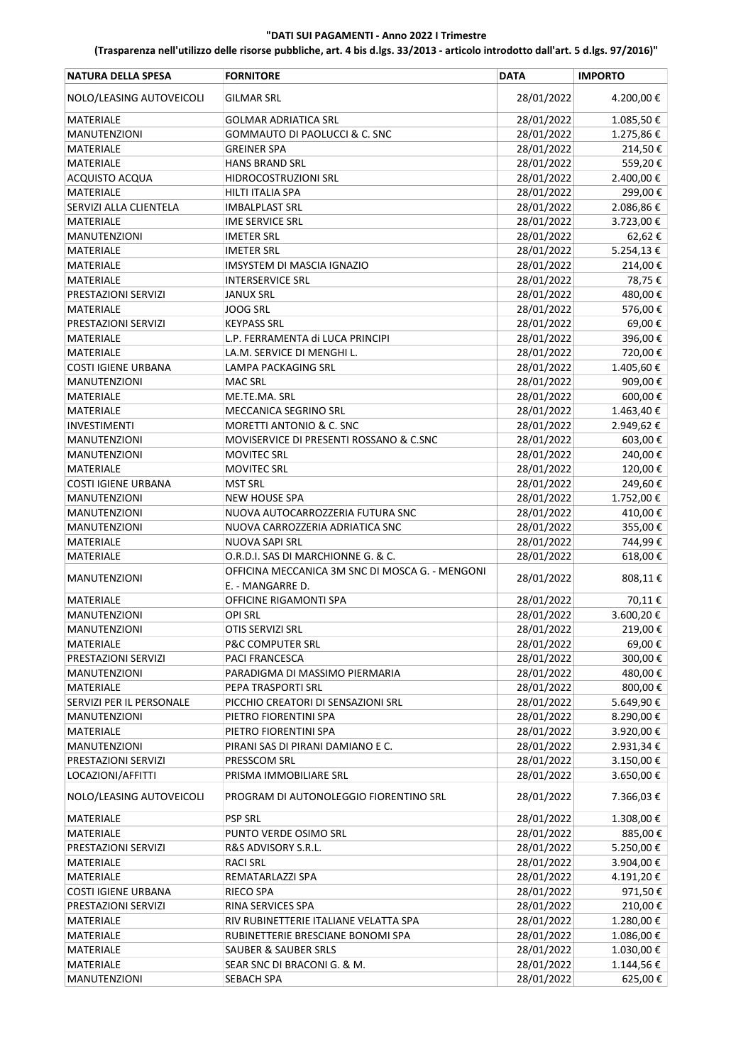| <b>NATURA DELLA SPESA</b>  | <b>FORNITORE</b>                                | <b>DATA</b> | <b>IMPORTO</b> |
|----------------------------|-------------------------------------------------|-------------|----------------|
| NOLO/LEASING AUTOVEICOLI   | <b>GILMAR SRL</b>                               | 28/01/2022  | 4.200,00€      |
| MATERIALE                  | <b>GOLMAR ADRIATICA SRL</b>                     | 28/01/2022  | 1.085,50€      |
| <b>MANUTENZIONI</b>        | GOMMAUTO DI PAOLUCCI & C. SNC                   | 28/01/2022  | 1.275,86€      |
| MATERIALE                  | <b>GREINER SPA</b>                              | 28/01/2022  | 214,50€        |
| MATERIALE                  | <b>HANS BRAND SRL</b>                           | 28/01/2022  | 559,20€        |
| <b>ACQUISTO ACQUA</b>      | HIDROCOSTRUZIONI SRL                            | 28/01/2022  | 2.400,00€      |
| <b>MATERIALE</b>           | <b>HILTI ITALIA SPA</b>                         | 28/01/2022  | 299,00€        |
| SERVIZI ALLA CLIENTELA     | <b>IMBALPLAST SRL</b>                           | 28/01/2022  | 2.086,86€      |
| MATERIALE                  | IME SERVICE SRL                                 | 28/01/2022  | 3.723,00€      |
| <b>MANUTENZIONI</b>        | <b>IMETER SRL</b>                               | 28/01/2022  | 62,62€         |
| <b>MATERIALE</b>           | <b>IMETER SRL</b>                               | 28/01/2022  | 5.254,13€      |
| MATERIALE                  | IMSYSTEM DI MASCIA IGNAZIO                      | 28/01/2022  | 214,00€        |
| MATERIALE                  | <b>INTERSERVICE SRL</b>                         | 28/01/2022  | 78,75€         |
|                            |                                                 | 28/01/2022  |                |
| PRESTAZIONI SERVIZI        | <b>JANUX SRL</b>                                |             | 480,00€        |
| MATERIALE                  | JOOG SRL                                        | 28/01/2022  | 576,00€        |
| PRESTAZIONI SERVIZI        | <b>KEYPASS SRL</b>                              | 28/01/2022  | 69,00€         |
| MATERIALE                  | L.P. FERRAMENTA di LUCA PRINCIPI                | 28/01/2022  | 396,00€        |
| MATERIALE                  | LA.M. SERVICE DI MENGHI L.                      | 28/01/2022  | 720,00€        |
| <b>COSTI IGIENE URBANA</b> | LAMPA PACKAGING SRL                             | 28/01/2022  | 1.405,60€      |
| <b>MANUTENZIONI</b>        | <b>MAC SRL</b>                                  | 28/01/2022  | 909,00€        |
| MATERIALE                  | ME.TE.MA. SRL                                   | 28/01/2022  | 600,00€        |
| MATERIALE                  | MECCANICA SEGRINO SRL                           | 28/01/2022  | 1.463,40€      |
| INVESTIMENTI               | MORETTI ANTONIO & C. SNC                        | 28/01/2022  | 2.949,62€      |
| <b>MANUTENZIONI</b>        | MOVISERVICE DI PRESENTI ROSSANO & C.SNC         | 28/01/2022  | 603,00€        |
| <b>MANUTENZIONI</b>        | <b>MOVITEC SRL</b>                              | 28/01/2022  | 240,00€        |
| MATERIALE                  | <b>MOVITEC SRL</b>                              | 28/01/2022  | 120,00€        |
| <b>COSTI IGIENE URBANA</b> | <b>MST SRL</b>                                  | 28/01/2022  | 249,60€        |
| <b>MANUTENZIONI</b>        | <b>NEW HOUSE SPA</b>                            | 28/01/2022  | 1.752,00€      |
| <b>MANUTENZIONI</b>        | NUOVA AUTOCARROZZERIA FUTURA SNC                | 28/01/2022  | 410,00€        |
| <b>MANUTENZIONI</b>        | NUOVA CARROZZERIA ADRIATICA SNC                 | 28/01/2022  | 355,00€        |
| MATERIALE                  | NUOVA SAPI SRL                                  | 28/01/2022  | 744,99€        |
| MATERIALE                  | O.R.D.I. SAS DI MARCHIONNE G. & C.              | 28/01/2022  | 618,00€        |
|                            | OFFICINA MECCANICA 3M SNC DI MOSCA G. - MENGONI |             |                |
| <b>MANUTENZIONI</b>        | E. - MANGARRE D.                                | 28/01/2022  | 808,11€        |
| MATERIALE                  | OFFICINE RIGAMONTI SPA                          | 28/01/2022  | 70,11€         |
| <b>MANUTENZIONI</b>        | <b>OPI SRL</b>                                  | 28/01/2022  | 3.600,20€      |
| <b>MANUTENZIONI</b>        | OTIS SERVIZI SRL                                | 28/01/2022  | 219,00€        |
| MATERIALE                  | P&C COMPUTER SRL                                | 28/01/2022  | 69,00€         |
| PRESTAZIONI SERVIZI        | PACI FRANCESCA                                  | 28/01/2022  | 300,00€        |
| MANUTENZIONI               | PARADIGMA DI MASSIMO PIERMARIA                  | 28/01/2022  | 480,00€        |
| MATERIALE                  | PEPA TRASPORTI SRL                              | 28/01/2022  | 800,00€        |
| SERVIZI PER IL PERSONALE   | PICCHIO CREATORI DI SENSAZIONI SRL              | 28/01/2022  | 5.649,90€      |
| <b>MANUTENZIONI</b>        | PIETRO FIORENTINI SPA                           | 28/01/2022  | 8.290,00€      |
| MATERIALE                  | PIETRO FIORENTINI SPA                           | 28/01/2022  | 3.920,00€      |
| <b>MANUTENZIONI</b>        | PIRANI SAS DI PIRANI DAMIANO E C.               | 28/01/2022  | 2.931,34€      |
| PRESTAZIONI SERVIZI        | PRESSCOM SRL                                    | 28/01/2022  | 3.150,00€      |
| LOCAZIONI/AFFITTI          | PRISMA IMMOBILIARE SRL                          | 28/01/2022  | 3.650,00€      |
| NOLO/LEASING AUTOVEICOLI   | PROGRAM DI AUTONOLEGGIO FIORENTINO SRL          | 28/01/2022  | 7.366,03€      |
| MATERIALE                  | <b>PSP SRL</b>                                  | 28/01/2022  | 1.308,00 €     |
| MATERIALE                  | PUNTO VERDE OSIMO SRL                           | 28/01/2022  | 885,00€        |
| PRESTAZIONI SERVIZI        | R&S ADVISORY S.R.L.                             | 28/01/2022  |                |
|                            |                                                 |             | 5.250,00 €     |
| MATERIALE                  | <b>RACI SRL</b>                                 | 28/01/2022  | 3.904,00€      |
| MATERIALE                  | REMATARLAZZI SPA                                | 28/01/2022  | 4.191,20€      |
| <b>COSTI IGIENE URBANA</b> | RIECO SPA                                       | 28/01/2022  | 971,50€        |
| PRESTAZIONI SERVIZI        | RINA SERVICES SPA                               | 28/01/2022  | 210,00€        |
| MATERIALE                  | RIV RUBINETTERIE ITALIANE VELATTA SPA           | 28/01/2022  | 1.280,00€      |
| MATERIALE                  | RUBINETTERIE BRESCIANE BONOMI SPA               | 28/01/2022  | 1.086,00€      |
| MATERIALE                  | SAUBER & SAUBER SRLS                            | 28/01/2022  | 1.030,00€      |
| MATERIALE                  | SEAR SNC DI BRACONI G. & M.                     | 28/01/2022  | 1.144,56 €     |
| <b>MANUTENZIONI</b>        | <b>SEBACH SPA</b>                               | 28/01/2022  | 625,00€        |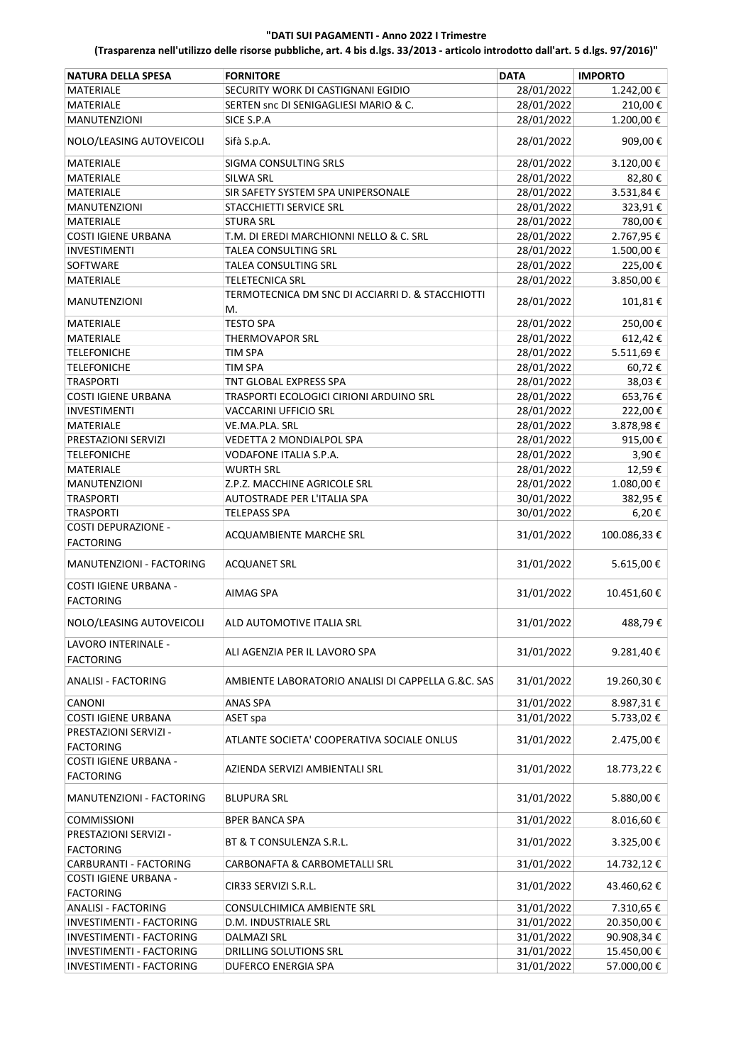| <b>NATURA DELLA SPESA</b>                        | <b>FORNITORE</b>                                       | <b>DATA</b> | <b>IMPORTO</b> |
|--------------------------------------------------|--------------------------------------------------------|-------------|----------------|
| MATERIALE                                        | SECURITY WORK DI CASTIGNANI EGIDIO                     | 28/01/2022  | 1.242,00 €     |
| MATERIALE                                        | SERTEN snc DI SENIGAGLIESI MARIO & C.                  | 28/01/2022  | 210,00€        |
| <b>MANUTENZIONI</b>                              | SICE S.P.A                                             | 28/01/2022  | 1.200,00€      |
| NOLO/LEASING AUTOVEICOLI                         | Sifà S.p.A.                                            | 28/01/2022  | 909,00€        |
| MATERIALE                                        | SIGMA CONSULTING SRLS                                  | 28/01/2022  | 3.120,00€      |
| MATERIALE                                        | <b>SILWA SRL</b>                                       | 28/01/2022  | 82,80€         |
| MATERIALE                                        | SIR SAFETY SYSTEM SPA UNIPERSONALE                     | 28/01/2022  | 3.531,84€      |
| <b>MANUTENZIONI</b>                              | STACCHIETTI SERVICE SRL                                | 28/01/2022  | 323,91€        |
| <b>MATERIALE</b>                                 | <b>STURA SRL</b>                                       | 28/01/2022  | 780,00€        |
| <b>COSTI IGIENE URBANA</b>                       | T.M. DI EREDI MARCHIONNI NELLO & C. SRL                | 28/01/2022  | 2.767,95€      |
| <b>INVESTIMENTI</b>                              | TALEA CONSULTING SRL                                   | 28/01/2022  | 1.500,00€      |
| SOFTWARE                                         | TALEA CONSULTING SRL                                   | 28/01/2022  | 225,00€        |
| MATERIALE                                        | TELETECNICA SRL                                        | 28/01/2022  | 3.850,00€      |
| <b>MANUTENZIONI</b>                              | TERMOTECNICA DM SNC DI ACCIARRI D. & STACCHIOTTI<br>M. | 28/01/2022  | 101,81€        |
| MATERIALE                                        | <b>TESTO SPA</b>                                       | 28/01/2022  | 250,00€        |
| <b>MATERIALE</b>                                 | <b>THERMOVAPOR SRL</b>                                 | 28/01/2022  | 612,42€        |
| <b>TELEFONICHE</b>                               | TIM SPA                                                | 28/01/2022  | 5.511,69€      |
| <b>TELEFONICHE</b>                               | TIM SPA                                                | 28/01/2022  | 60,72€         |
| <b>TRASPORTI</b>                                 | TNT GLOBAL EXPRESS SPA                                 | 28/01/2022  | 38,03€         |
| <b>COSTI IGIENE URBANA</b>                       | TRASPORTI ECOLOGICI CIRIONI ARDUINO SRL                | 28/01/2022  | 653,76€        |
| <b>INVESTIMENTI</b>                              | VACCARINI UFFICIO SRL                                  | 28/01/2022  | 222,00€        |
| MATERIALE                                        | VE.MA.PLA. SRL                                         | 28/01/2022  | 3.878,98€      |
| PRESTAZIONI SERVIZI                              | VEDETTA 2 MONDIALPOL SPA                               | 28/01/2022  | 915,00€        |
| <b>TELEFONICHE</b>                               | VODAFONE ITALIA S.P.A.                                 | 28/01/2022  | 3,90€          |
| MATERIALE                                        | <b>WURTH SRL</b>                                       | 28/01/2022  | 12,59€         |
| <b>MANUTENZIONI</b>                              | Z.P.Z. MACCHINE AGRICOLE SRL                           | 28/01/2022  | 1.080,00€      |
| <b>TRASPORTI</b>                                 | AUTOSTRADE PER L'ITALIA SPA                            | 30/01/2022  | 382,95€        |
| TRASPORTI                                        | <b>TELEPASS SPA</b>                                    | 30/01/2022  | 6,20€          |
| <b>COSTI DEPURAZIONE -</b><br><b>FACTORING</b>   | ACQUAMBIENTE MARCHE SRL                                | 31/01/2022  | 100.086,33€    |
| MANUTENZIONI - FACTORING                         | <b>ACQUANET SRL</b>                                    | 31/01/2022  | 5.615,00€      |
| COSTI IGIENE URBANA -<br><b>FACTORING</b>        | AIMAG SPA                                              | 31/01/2022  | 10.451,60€     |
| NOLO/LEASING AUTOVEICOLI                         | ALD AUTOMOTIVE ITALIA SRL                              | 31/01/2022  | 488,79€        |
| LAVORO INTERINALE -<br><b>FACTORING</b>          | ALI AGENZIA PER IL LAVORO SPA                          | 31/01/2022  | 9.281,40€      |
| ANALISI - FACTORING                              | AMBIENTE LABORATORIO ANALISI DI CAPPELLA G.&C. SAS     | 31/01/2022  | 19.260,30€     |
| CANONI                                           | <b>ANAS SPA</b>                                        | 31/01/2022  | 8.987,31€      |
| COSTI IGIENE URBANA                              | ASET spa                                               | 31/01/2022  | 5.733,02€      |
| PRESTAZIONI SERVIZI -<br><b>FACTORING</b>        | ATLANTE SOCIETA' COOPERATIVA SOCIALE ONLUS             | 31/01/2022  | 2.475,00€      |
| <b>COSTI IGIENE URBANA -</b><br><b>FACTORING</b> | AZIENDA SERVIZI AMBIENTALI SRL                         | 31/01/2022  | 18.773,22€     |
| MANUTENZIONI - FACTORING                         | <b>BLUPURA SRL</b>                                     | 31/01/2022  | 5.880,00 €     |
| <b>COMMISSIONI</b>                               | <b>BPER BANCA SPA</b>                                  | 31/01/2022  | 8.016,60€      |
| PRESTAZIONI SERVIZI -<br><b>FACTORING</b>        | BT & T CONSULENZA S.R.L.                               | 31/01/2022  | 3.325,00 €     |
| CARBURANTI - FACTORING                           | CARBONAFTA & CARBOMETALLI SRL                          | 31/01/2022  | 14.732,12€     |
| COSTI IGIENE URBANA -                            |                                                        |             |                |
| <b>FACTORING</b>                                 | CIR33 SERVIZI S.R.L.                                   | 31/01/2022  | 43.460,62€     |
| <b>ANALISI - FACTORING</b>                       | CONSULCHIMICA AMBIENTE SRL                             | 31/01/2022  | 7.310,65€      |
| INVESTIMENTI - FACTORING                         | D.M. INDUSTRIALE SRL                                   | 31/01/2022  | 20.350,00 €    |
| INVESTIMENTI - FACTORING                         | <b>DALMAZI SRL</b>                                     | 31/01/2022  | 90.908,34€     |
| INVESTIMENTI - FACTORING                         | DRILLING SOLUTIONS SRL                                 | 31/01/2022  | 15.450,00€     |
| INVESTIMENTI - FACTORING                         | DUFERCO ENERGIA SPA                                    | 31/01/2022  | 57.000,00€     |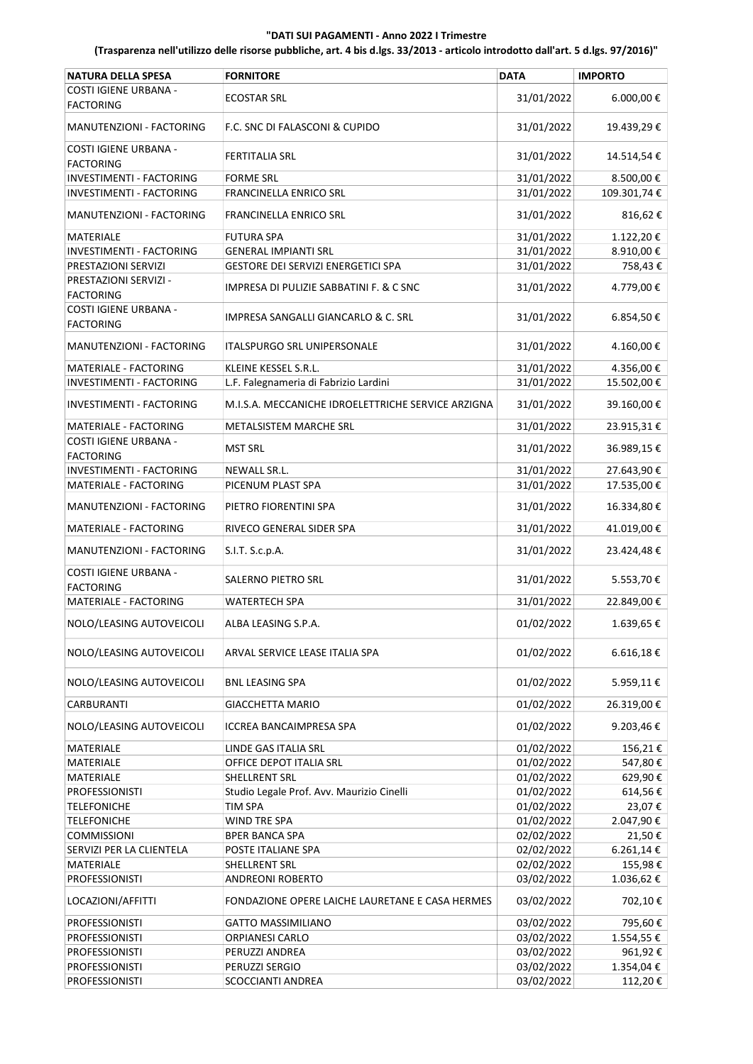| <b>NATURA DELLA SPESA</b>                        | <b>FORNITORE</b>                                   | <b>DATA</b> | <b>IMPORTO</b> |
|--------------------------------------------------|----------------------------------------------------|-------------|----------------|
| <b>COSTI IGIENE URBANA -</b><br><b>FACTORING</b> | <b>ECOSTAR SRL</b>                                 | 31/01/2022  | 6.000,00€      |
| MANUTENZIONI - FACTORING                         | F.C. SNC DI FALASCONI & CUPIDO                     | 31/01/2022  | 19.439,29€     |
| COSTI IGIENE URBANA -<br><b>FACTORING</b>        | <b>FERTITALIA SRL</b>                              | 31/01/2022  | 14.514,54€     |
| INVESTIMENTI - FACTORING                         | <b>FORME SRL</b>                                   | 31/01/2022  | 8.500,00 €     |
| INVESTIMENTI - FACTORING                         | FRANCINELLA ENRICO SRL                             | 31/01/2022  | 109.301,74€    |
| MANUTENZIONI - FACTORING                         | <b>FRANCINELLA ENRICO SRL</b>                      | 31/01/2022  | 816,62€        |
| MATERIALE                                        | <b>FUTURA SPA</b>                                  | 31/01/2022  | 1.122,20€      |
| INVESTIMENTI - FACTORING                         | <b>GENERAL IMPIANTI SRL</b>                        | 31/01/2022  | 8.910,00€      |
| PRESTAZIONI SERVIZI                              | GESTORE DEI SERVIZI ENERGETICI SPA                 | 31/01/2022  | 758,43€        |
| PRESTAZIONI SERVIZI -                            | IMPRESA DI PULIZIE SABBATINI F. & C SNC            | 31/01/2022  | 4.779,00€      |
| <b>FACTORING</b><br>COSTI IGIENE URBANA -        | IMPRESA SANGALLI GIANCARLO & C. SRL                | 31/01/2022  | 6.854,50€      |
| <b>FACTORING</b>                                 |                                                    |             |                |
| MANUTENZIONI - FACTORING                         | <b>ITALSPURGO SRL UNIPERSONALE</b>                 | 31/01/2022  | 4.160,00€      |
| MATERIALE - FACTORING                            | KLEINE KESSEL S.R.L.                               | 31/01/2022  | 4.356,00€      |
| <b>INVESTIMENTI - FACTORING</b>                  | L.F. Falegnameria di Fabrizio Lardini              | 31/01/2022  | 15.502,00€     |
| INVESTIMENTI - FACTORING                         | M.I.S.A. MECCANICHE IDROELETTRICHE SERVICE ARZIGNA | 31/01/2022  | 39.160,00€     |
| MATERIALE - FACTORING<br>COSTI IGIENE URBANA -   | <b>METALSISTEM MARCHE SRL</b>                      | 31/01/2022  | 23.915,31€     |
| <b>FACTORING</b>                                 | <b>MST SRL</b>                                     | 31/01/2022  | 36.989,15€     |
| INVESTIMENTI - FACTORING                         | NEWALL SR.L.                                       | 31/01/2022  | 27.643,90€     |
| MATERIALE - FACTORING                            | PICENUM PLAST SPA                                  | 31/01/2022  | 17.535,00€     |
| MANUTENZIONI - FACTORING                         | PIETRO FIORENTINI SPA                              | 31/01/2022  | 16.334,80€     |
| MATERIALE - FACTORING                            | RIVECO GENERAL SIDER SPA                           | 31/01/2022  | 41.019,00€     |
| MANUTENZIONI - FACTORING                         | S.I.T. S.c.p.A.                                    | 31/01/2022  | 23.424,48€     |
| COSTI IGIENE URBANA -<br><b>FACTORING</b>        | <b>SALERNO PIETRO SRL</b>                          | 31/01/2022  | 5.553,70€      |
| MATERIALE - FACTORING                            | WATERTECH SPA                                      | 31/01/2022  | 22.849,00€     |
| NOLO/LEASING AUTOVEICOLI                         | ALBA LEASING S.P.A.                                | 01/02/2022  | 1.639,65€      |
| NOLO/LEASING AUTOVEICOLI                         | ARVAL SERVICE LEASE ITALIA SPA                     | 01/02/2022  | 6.616,18€      |
| NOLO/LEASING AUTOVEICOLI                         | <b>BNL LEASING SPA</b>                             | 01/02/2022  | 5.959,11€      |
| <b>CARBURANTI</b>                                | <b>GIACCHETTA MARIO</b>                            | 01/02/2022  | 26.319,00€     |
| NOLO/LEASING AUTOVEICOLI                         | <b>ICCREA BANCAIMPRESA SPA</b>                     | 01/02/2022  | 9.203,46€      |
| MATERIALE                                        | <b>LINDE GAS ITALIA SRL</b>                        | 01/02/2022  | 156,21€        |
| <b>MATERIALE</b>                                 | OFFICE DEPOT ITALIA SRL                            | 01/02/2022  | 547,80€        |
| MATERIALE                                        | SHELLRENT SRL                                      | 01/02/2022  | 629,90€        |
| <b>PROFESSIONISTI</b>                            | Studio Legale Prof. Avv. Maurizio Cinelli          | 01/02/2022  | 614,56€        |
| <b>TELEFONICHE</b>                               | TIM SPA                                            | 01/02/2022  | 23,07€         |
| <b>TELEFONICHE</b>                               | WIND TRE SPA                                       | 01/02/2022  | 2.047,90€      |
| <b>COMMISSIONI</b>                               | <b>BPER BANCA SPA</b>                              | 02/02/2022  | 21,50€         |
| SERVIZI PER LA CLIENTELA                         | POSTE ITALIANE SPA                                 | 02/02/2022  | 6.261,14€      |
| <b>MATERIALE</b>                                 | SHELLRENT SRL                                      | 02/02/2022  | 155,98€        |
| <b>PROFESSIONISTI</b>                            | <b>ANDREONI ROBERTO</b>                            | 03/02/2022  | 1.036,62€      |
| LOCAZIONI/AFFITTI                                | FONDAZIONE OPERE LAICHE LAURETANE E CASA HERMES    | 03/02/2022  | 702,10€        |
| <b>PROFESSIONISTI</b>                            | <b>GATTO MASSIMILIANO</b>                          | 03/02/2022  | 795,60€        |
| <b>PROFESSIONISTI</b>                            | <b>ORPIANESI CARLO</b>                             | 03/02/2022  | 1.554,55€      |
| <b>PROFESSIONISTI</b>                            | PERUZZI ANDREA                                     | 03/02/2022  | 961,92€        |
| <b>PROFESSIONISTI</b>                            | PERUZZI SERGIO                                     | 03/02/2022  | 1.354,04€      |
| <b>PROFESSIONISTI</b>                            | SCOCCIANTI ANDREA                                  | 03/02/2022  | 112,20€        |
|                                                  |                                                    |             |                |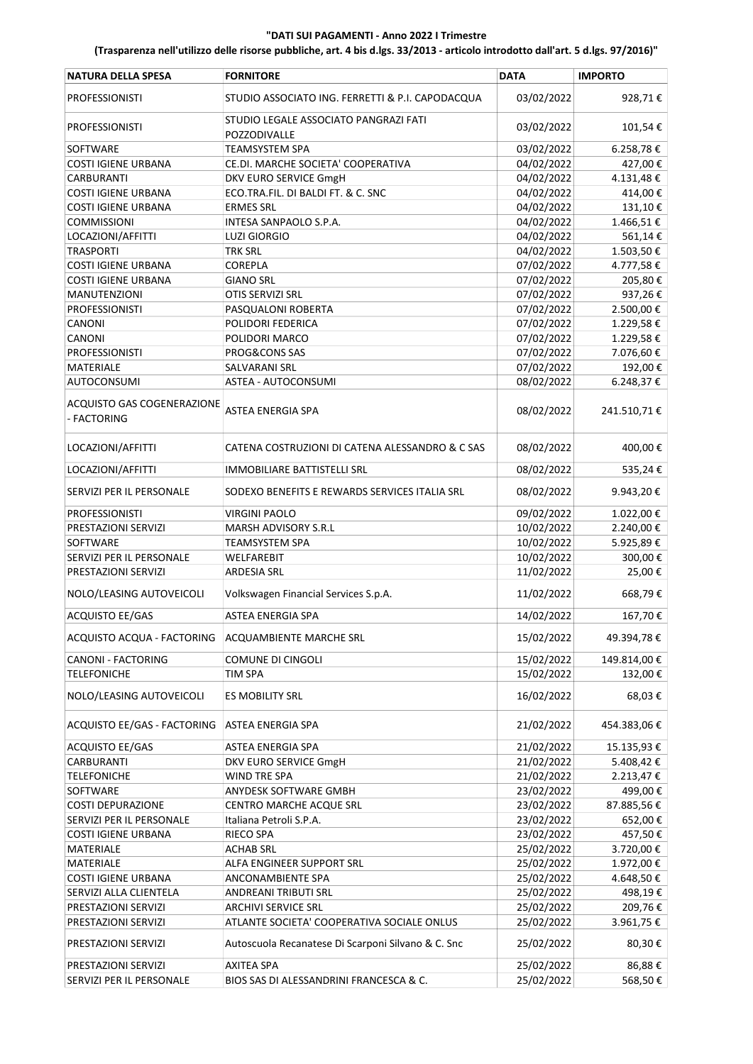| <b>NATURA DELLA SPESA</b>                 | <b>FORNITORE</b>                                      | <b>DATA</b> | <b>IMPORTO</b> |
|-------------------------------------------|-------------------------------------------------------|-------------|----------------|
| <b>PROFESSIONISTI</b>                     | STUDIO ASSOCIATO ING. FERRETTI & P.I. CAPODACQUA      | 03/02/2022  | 928,71€        |
| <b>PROFESSIONISTI</b>                     | STUDIO LEGALE ASSOCIATO PANGRAZI FATI<br>POZZODIVALLE | 03/02/2022  | 101,54€        |
| SOFTWARE                                  | <b>TEAMSYSTEM SPA</b>                                 | 03/02/2022  | 6.258,78€      |
| <b>COSTI IGIENE URBANA</b>                | CE.DI. MARCHE SOCIETA' COOPERATIVA                    | 04/02/2022  | 427,00€        |
| <b>CARBURANTI</b>                         | DKV EURO SERVICE GmgH                                 | 04/02/2022  | 4.131,48€      |
| <b>COSTI IGIENE URBANA</b>                | ECO.TRA.FIL. DI BALDI FT. & C. SNC                    | 04/02/2022  | 414,00€        |
| <b>COSTI IGIENE URBANA</b>                | <b>ERMES SRL</b>                                      | 04/02/2022  | 131,10€        |
| <b>COMMISSIONI</b>                        | INTESA SANPAOLO S.P.A.                                | 04/02/2022  | 1.466,51€      |
| LOCAZIONI/AFFITTI                         | <b>LUZI GIORGIO</b>                                   | 04/02/2022  | 561,14€        |
| <b>TRASPORTI</b>                          | <b>TRK SRL</b>                                        | 04/02/2022  | 1.503,50€      |
| <b>COSTI IGIENE URBANA</b>                | <b>COREPLA</b>                                        | 07/02/2022  | 4.777,58€      |
| <b>COSTI IGIENE URBANA</b>                | <b>GIANO SRL</b>                                      | 07/02/2022  | 205,80€        |
| <b>MANUTENZIONI</b>                       | OTIS SERVIZI SRL                                      | 07/02/2022  | 937,26€        |
| <b>PROFESSIONISTI</b>                     | PASQUALONI ROBERTA                                    | 07/02/2022  | 2.500,00€      |
| CANONI                                    | POLIDORI FEDERICA                                     | 07/02/2022  | 1.229,58€      |
| CANONI                                    | POLIDORI MARCO                                        | 07/02/2022  | 1.229,58€      |
| <b>PROFESSIONISTI</b>                     | PROG&CONS SAS                                         | 07/02/2022  | 7.076,60€      |
| <b>MATERIALE</b>                          | SALVARANI SRL                                         | 07/02/2022  | 192,00€        |
| <b>AUTOCONSUMI</b>                        | ASTEA - AUTOCONSUMI                                   | 08/02/2022  | 6.248,37€      |
| ACQUISTO GAS COGENERAZIONE<br>- FACTORING | <b>ASTEA ENERGIA SPA</b>                              | 08/02/2022  | 241.510,71€    |
| LOCAZIONI/AFFITTI                         | CATENA COSTRUZIONI DI CATENA ALESSANDRO & C SAS       | 08/02/2022  | 400,00€        |
| LOCAZIONI/AFFITTI                         | <b>IMMOBILIARE BATTISTELLI SRL</b>                    | 08/02/2022  | 535,24€        |
| SERVIZI PER IL PERSONALE                  | SODEXO BENEFITS E REWARDS SERVICES ITALIA SRL         | 08/02/2022  | 9.943,20€      |
| <b>PROFESSIONISTI</b>                     | <b>VIRGINI PAOLO</b>                                  | 09/02/2022  | 1.022,00€      |
| PRESTAZIONI SERVIZI                       | MARSH ADVISORY S.R.L                                  | 10/02/2022  | 2.240,00€      |
| SOFTWARE                                  | TEAMSYSTEM SPA                                        | 10/02/2022  | 5.925,89€      |
| SERVIZI PER IL PERSONALE                  | WELFAREBIT                                            | 10/02/2022  | 300,00€        |
| PRESTAZIONI SERVIZI                       | <b>ARDESIA SRL</b>                                    | 11/02/2022  | 25,00€         |
| NOLO/LEASING AUTOVEICOLI                  | Volkswagen Financial Services S.p.A.                  | 11/02/2022  | 668,79€        |
| <b>ACQUISTO EE/GAS</b>                    | <b>ASTEA ENERGIA SPA</b>                              | 14/02/2022  | 167,70€        |
| ACQUISTO ACQUA - FACTORING                | <b>ACQUAMBIENTE MARCHE SRL</b>                        | 15/02/2022  | 49.394,78€     |
| CANONI - FACTORING                        | COMUNE DI CINGOLI                                     | 15/02/2022  | 149.814,00€    |
| <b>TELEFONICHE</b>                        | TIM SPA                                               | 15/02/2022  | 132,00€        |
| NOLO/LEASING AUTOVEICOLI                  | <b>ES MOBILITY SRL</b>                                | 16/02/2022  | 68,03€         |
| ACQUISTO EE/GAS - FACTORING               | <b>ASTEA ENERGIA SPA</b>                              | 21/02/2022  | 454.383,06€    |
| <b>ACQUISTO EE/GAS</b>                    | ASTEA ENERGIA SPA                                     | 21/02/2022  | 15.135,93€     |
| CARBURANTI                                | DKV EURO SERVICE GmgH                                 | 21/02/2022  | 5.408,42€      |
| <b>TELEFONICHE</b>                        | WIND TRE SPA                                          | 21/02/2022  | 2.213,47€      |
| SOFTWARE                                  | ANYDESK SOFTWARE GMBH                                 | 23/02/2022  | 499,00€        |
| <b>COSTI DEPURAZIONE</b>                  | CENTRO MARCHE ACQUE SRL                               | 23/02/2022  | 87.885,56€     |
| SERVIZI PER IL PERSONALE                  | Italiana Petroli S.P.A.                               | 23/02/2022  | 652,00€        |
| <b>COSTI IGIENE URBANA</b>                | RIECO SPA                                             | 23/02/2022  | 457,50€        |
| MATERIALE                                 | <b>ACHAB SRL</b>                                      | 25/02/2022  | 3.720,00€      |
| MATERIALE                                 | ALFA ENGINEER SUPPORT SRL                             | 25/02/2022  | 1.972,00€      |
| <b>COSTI IGIENE URBANA</b>                | ANCONAMBIENTE SPA                                     | 25/02/2022  | 4.648,50€      |
| SERVIZI ALLA CLIENTELA                    | ANDREANI TRIBUTI SRL                                  | 25/02/2022  | 498,19€        |
| PRESTAZIONI SERVIZI                       | <b>ARCHIVI SERVICE SRL</b>                            | 25/02/2022  | 209,76€        |
| PRESTAZIONI SERVIZI                       | ATLANTE SOCIETA' COOPERATIVA SOCIALE ONLUS            | 25/02/2022  | 3.961,75€      |
| PRESTAZIONI SERVIZI                       | Autoscuola Recanatese Di Scarponi Silvano & C. Snc    | 25/02/2022  | 80,30€         |
| PRESTAZIONI SERVIZI                       | AXITEA SPA                                            | 25/02/2022  | 86,88€         |
| SERVIZI PER IL PERSONALE                  | BIOS SAS DI ALESSANDRINI FRANCESCA & C.               | 25/02/2022  | 568,50€        |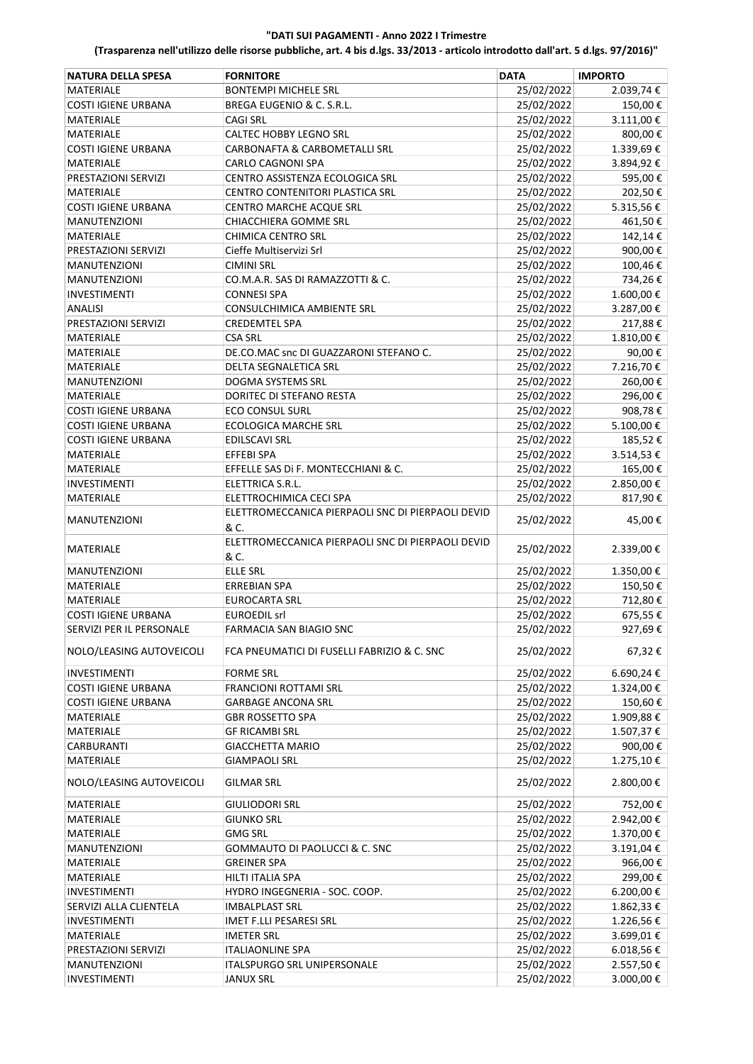| <b>NATURA DELLA SPESA</b>  | <b>FORNITORE</b>                                          | <b>DATA</b> | <b>IMPORTO</b> |
|----------------------------|-----------------------------------------------------------|-------------|----------------|
| <b>MATERIALE</b>           | <b>BONTEMPI MICHELE SRL</b>                               | 25/02/2022  | 2.039,74€      |
| <b>COSTI IGIENE URBANA</b> | BREGA EUGENIO & C. S.R.L.                                 | 25/02/2022  | 150,00€        |
| MATERIALE                  | <b>CAGI SRL</b>                                           | 25/02/2022  | $3.111,00 \in$ |
| <b>MATERIALE</b>           | CALTEC HOBBY LEGNO SRL                                    | 25/02/2022  | 800,00€        |
| <b>COSTI IGIENE URBANA</b> | CARBONAFTA & CARBOMETALLI SRL                             | 25/02/2022  | 1.339,69€      |
| MATERIALE                  | CARLO CAGNONI SPA                                         | 25/02/2022  | 3.894,92€      |
| PRESTAZIONI SERVIZI        | CENTRO ASSISTENZA ECOLOGICA SRL                           | 25/02/2022  | 595,00€        |
| <b>MATERIALE</b>           | CENTRO CONTENITORI PLASTICA SRL                           | 25/02/2022  | 202,50€        |
| <b>COSTI IGIENE URBANA</b> | <b>CENTRO MARCHE ACQUE SRL</b>                            | 25/02/2022  | 5.315,56€      |
| <b>MANUTENZIONI</b>        | CHIACCHIERA GOMME SRL                                     | 25/02/2022  | 461,50€        |
| <b>MATERIALE</b>           | <b>CHIMICA CENTRO SRL</b>                                 | 25/02/2022  | 142,14€        |
| PRESTAZIONI SERVIZI        | Cieffe Multiservizi Srl                                   | 25/02/2022  | 900,00€        |
| <b>MANUTENZIONI</b>        | <b>CIMINI SRL</b>                                         | 25/02/2022  | 100,46€        |
| <b>MANUTENZIONI</b>        | CO.M.A.R. SAS DI RAMAZZOTTI & C.                          | 25/02/2022  | 734,26€        |
| <b>INVESTIMENTI</b>        | <b>CONNESI SPA</b>                                        | 25/02/2022  | 1.600,00€      |
|                            | CONSULCHIMICA AMBIENTE SRL                                |             |                |
| <b>ANALISI</b>             |                                                           | 25/02/2022  | 3.287,00€      |
| PRESTAZIONI SERVIZI        | <b>CREDEMTEL SPA</b>                                      | 25/02/2022  | 217,88€        |
| MATERIALE                  | <b>CSA SRL</b>                                            | 25/02/2022  | 1.810,00€      |
| <b>MATERIALE</b>           | DE.CO.MAC snc DI GUAZZARONI STEFANO C.                    | 25/02/2022  | 90,00€         |
| MATERIALE                  | <b>DELTA SEGNALETICA SRL</b>                              | 25/02/2022  | 7.216,70€      |
| <b>MANUTENZIONI</b>        | DOGMA SYSTEMS SRL                                         | 25/02/2022  | 260,00€        |
| MATERIALE                  | DORITEC DI STEFANO RESTA                                  | 25/02/2022  | 296,00€        |
| <b>COSTI IGIENE URBANA</b> | <b>ECO CONSUL SURL</b>                                    | 25/02/2022  | 908,78€        |
| <b>COSTI IGIENE URBANA</b> | <b>ECOLOGICA MARCHE SRL</b>                               | 25/02/2022  | 5.100,00€      |
| <b>COSTI IGIENE URBANA</b> | EDILSCAVI SRL                                             | 25/02/2022  | 185,52€        |
| MATERIALE                  | EFFEBI SPA                                                | 25/02/2022  | 3.514,53€      |
| <b>MATERIALE</b>           | EFFELLE SAS DI F. MONTECCHIANI & C.                       | 25/02/2022  | 165,00€        |
| <b>INVESTIMENTI</b>        | ELETTRICA S.R.L.                                          | 25/02/2022  | 2.850,00 €     |
| <b>MATERIALE</b>           | ELETTROCHIMICA CECI SPA                                   | 25/02/2022  | 817,90€        |
| <b>MANUTENZIONI</b>        | ELETTROMECCANICA PIERPAOLI SNC DI PIERPAOLI DEVID<br>& C. | 25/02/2022  | 45,00€         |
| MATERIALE                  | ELETTROMECCANICA PIERPAOLI SNC DI PIERPAOLI DEVID<br>& C. | 25/02/2022  | 2.339,00 €     |
| <b>MANUTENZIONI</b>        | <b>ELLE SRL</b>                                           | 25/02/2022  | 1.350,00€      |
| <b>MATERIALE</b>           | <b>ERREBIAN SPA</b>                                       | 25/02/2022  | 150,50€        |
| <b>MATERIALE</b>           | <b>EUROCARTA SRL</b>                                      | 25/02/2022  | 712,80€        |
| <b>COSTI IGIENE URBANA</b> | <b>EUROEDIL srl</b>                                       | 25/02/2022  | 675,55€        |
| SERVIZI PER IL PERSONALE   | FARMACIA SAN BIAGIO SNC                                   | 25/02/2022  | 927,69€        |
| NOLO/LEASING AUTOVEICOLI   | FCA PNEUMATICI DI FUSELLI FABRIZIO & C. SNC               | 25/02/2022  | 67,32€         |
| <b>INVESTIMENTI</b>        | <b>FORME SRL</b>                                          | 25/02/2022  | 6.690,24€      |
| <b>COSTI IGIENE URBANA</b> | <b>FRANCIONI ROTTAMI SRL</b>                              | 25/02/2022  | 1.324,00 €     |
| <b>COSTI IGIENE URBANA</b> | <b>GARBAGE ANCONA SRL</b>                                 | 25/02/2022  | 150,60€        |
| MATERIALE                  | <b>GBR ROSSETTO SPA</b>                                   | 25/02/2022  | 1.909,88€      |
| MATERIALE                  | <b>GF RICAMBI SRL</b>                                     | 25/02/2022  | 1.507,37€      |
| CARBURANTI                 | <b>GIACCHETTA MARIO</b>                                   | 25/02/2022  | 900,00€        |
| <b>MATERIALE</b>           | <b>GIAMPAOLI SRL</b>                                      | 25/02/2022  | 1.275,10€      |
| NOLO/LEASING AUTOVEICOLI   | <b>GILMAR SRL</b>                                         | 25/02/2022  | 2.800,00€      |
| MATERIALE                  | <b>GIULIODORI SRL</b>                                     | 25/02/2022  | 752,00€        |
| MATERIALE                  | <b>GIUNKO SRL</b>                                         | 25/02/2022  | 2.942,00 €     |
| <b>MATERIALE</b>           | GMG SRL                                                   | 25/02/2022  | 1.370,00€      |
| <b>MANUTENZIONI</b>        | GOMMAUTO DI PAOLUCCI & C. SNC                             | 25/02/2022  | 3.191,04€      |
| MATERIALE                  | <b>GREINER SPA</b>                                        | 25/02/2022  | 966,00€        |
| <b>MATERIALE</b>           | HILTI ITALIA SPA                                          | 25/02/2022  | 299,00€        |
| <b>INVESTIMENTI</b>        | HYDRO INGEGNERIA - SOC. COOP.                             | 25/02/2022  | 6.200,00€      |
| SERVIZI ALLA CLIENTELA     | <b>IMBALPLAST SRL</b>                                     | 25/02/2022  |                |
|                            |                                                           |             | 1.862,33 €     |
| <b>INVESTIMENTI</b>        | <b>IMET F.LLI PESARESI SRL</b>                            | 25/02/2022  | 1.226,56€      |
| MATERIALE                  | <b>IMETER SRL</b>                                         | 25/02/2022  | 3.699,01€      |
| PRESTAZIONI SERVIZI        | <b>ITALIAONLINE SPA</b>                                   | 25/02/2022  | 6.018,56€      |
| <b>MANUTENZIONI</b>        | ITALSPURGO SRL UNIPERSONALE                               | 25/02/2022  | 2.557,50€      |
| <b>INVESTIMENTI</b>        | <b>JANUX SRL</b>                                          | 25/02/2022  | 3.000,00 €     |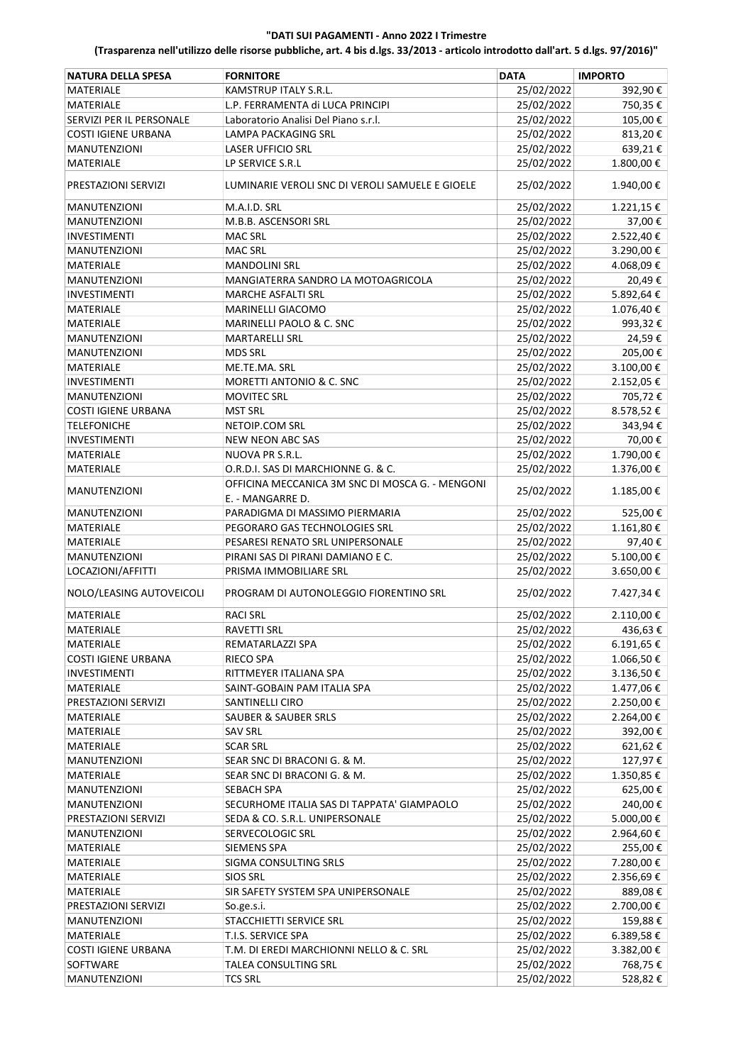| <b>NATURA DELLA SPESA</b>  | <b>FORNITORE</b>                                           | <b>DATA</b>              | <b>IMPORTO</b>       |
|----------------------------|------------------------------------------------------------|--------------------------|----------------------|
| <b>MATERIALE</b>           | KAMSTRUP ITALY S.R.L.                                      | 25/02/2022               | 392,90€              |
| <b>MATERIALE</b>           | L.P. FERRAMENTA di LUCA PRINCIPI                           | 25/02/2022               | 750,35€              |
| SERVIZI PER IL PERSONALE   | Laboratorio Analisi Del Piano s.r.l.                       | 25/02/2022               | 105,00€              |
| <b>COSTI IGIENE URBANA</b> | <b>LAMPA PACKAGING SRL</b>                                 | 25/02/2022               | 813,20€              |
| <b>MANUTENZIONI</b>        | <b>LASER UFFICIO SRL</b>                                   | 25/02/2022               | 639,21€              |
| MATERIALE                  | LP SERVICE S.R.L                                           | 25/02/2022               | 1.800,00€            |
| PRESTAZIONI SERVIZI        | LUMINARIE VEROLI SNC DI VEROLI SAMUELE E GIOELE            | 25/02/2022               | 1.940,00€            |
| <b>MANUTENZIONI</b>        | M.A.I.D. SRL                                               | 25/02/2022               | 1.221,15€            |
| <b>MANUTENZIONI</b>        | M.B.B. ASCENSORI SRL                                       | 25/02/2022               | 37,00€               |
| <b>INVESTIMENTI</b>        | <b>MAC SRL</b>                                             | 25/02/2022               | 2.522,40€            |
| <b>MANUTENZIONI</b>        | <b>MAC SRL</b>                                             | 25/02/2022               | 3.290,00€            |
| MATERIALE                  | <b>MANDOLINI SRL</b>                                       | 25/02/2022               | 4.068,09€            |
| <b>MANUTENZIONI</b>        | MANGIATERRA SANDRO LA MOTOAGRICOLA                         | 25/02/2022               | 20,49€               |
| INVESTIMENTI               | <b>MARCHE ASFALTI SRL</b>                                  | 25/02/2022               | 5.892,64€            |
| MATERIALE                  | <b>MARINELLI GIACOMO</b>                                   | 25/02/2022               | 1.076,40€            |
| MATERIALE                  | MARINELLI PAOLO & C. SNC                                   | 25/02/2022               | 993,32€              |
| <b>MANUTENZIONI</b>        | <b>MARTARELLI SRL</b>                                      | 25/02/2022               | 24,59€               |
| <b>MANUTENZIONI</b>        | <b>MDS SRL</b>                                             | 25/02/2022               | 205,00€              |
| <b>MATERIALE</b>           | ME.TE.MA. SRL                                              | 25/02/2022               | 3.100,00€            |
| <b>INVESTIMENTI</b>        | <b>MORETTI ANTONIO &amp; C. SNC</b>                        | 25/02/2022               | 2.152,05€            |
| <b>MANUTENZIONI</b>        | <b>MOVITEC SRL</b>                                         | 25/02/2022               | 705,72€              |
| <b>COSTI IGIENE URBANA</b> | <b>MST SRL</b>                                             | 25/02/2022               | 8.578,52€            |
| <b>TELEFONICHE</b>         | NETOIP.COM SRL                                             | 25/02/2022               | 343,94€              |
| <b>INVESTIMENTI</b>        | <b>NEW NEON ABC SAS</b>                                    | 25/02/2022               | 70,00€               |
| MATERIALE                  | NUOVA PR S.R.L.                                            | 25/02/2022               | 1.790,00€            |
| MATERIALE                  | O.R.D.I. SAS DI MARCHIONNE G. & C.                         | 25/02/2022               | 1.376,00€            |
|                            | OFFICINA MECCANICA 3M SNC DI MOSCA G. - MENGONI            |                          |                      |
| <b>MANUTENZIONI</b>        | E. - MANGARRE D.                                           | 25/02/2022               | 1.185,00€            |
| <b>MANUTENZIONI</b>        | PARADIGMA DI MASSIMO PIERMARIA                             | 25/02/2022               | 525,00€              |
| MATERIALE                  | PEGORARO GAS TECHNOLOGIES SRL                              | 25/02/2022               | 1.161,80€            |
| MATERIALE                  | PESARESI RENATO SRL UNIPERSONALE                           | 25/02/2022               | 97,40€               |
| <b>MANUTENZIONI</b>        | PIRANI SAS DI PIRANI DAMIANO E C.                          | 25/02/2022               | 5.100,00€            |
| LOCAZIONI/AFFITTI          | PRISMA IMMOBILIARE SRL                                     | 25/02/2022               | 3.650,00€            |
| NOLO/LEASING AUTOVEICOLI   | PROGRAM DI AUTONOLEGGIO FIORENTINO SRL                     | 25/02/2022               | 7.427,34 €           |
| <b>MATERIALE</b>           | <b>RACI SRL</b>                                            | 25/02/2022               | 2.110,00€            |
| <b>MATERIALE</b>           | RAVETTI SRL                                                | 25/02/2022               | 436,63€              |
| MATERIALE                  | REMATARLAZZI SPA                                           | 25/02/2022               | 6.191,65 €           |
| <b>COSTI IGIENE URBANA</b> | RIECO SPA                                                  | 25/02/2022               | 1.066,50€            |
| <b>INVESTIMENTI</b>        | RITTMEYER ITALIANA SPA                                     | 25/02/2022               | 3.136,50€            |
| MATERIALE                  | SAINT-GOBAIN PAM ITALIA SPA                                | 25/02/2022               | 1.477,06€            |
| PRESTAZIONI SERVIZI        | SANTINELLI CIRO                                            | 25/02/2022               | 2.250,00 €           |
| MATERIALE                  | <b>SAUBER &amp; SAUBER SRLS</b>                            | 25/02/2022               | 2.264,00€            |
| MATERIALE                  | <b>SAV SRL</b>                                             | 25/02/2022               | 392,00€              |
| MATERIALE                  | <b>SCAR SRL</b>                                            | 25/02/2022               | 621,62€              |
| <b>MANUTENZIONI</b>        |                                                            |                          |                      |
| MATERIALE                  | SEAR SNC DI BRACONI G. & M.<br>SEAR SNC DI BRACONI G. & M. | 25/02/2022<br>25/02/2022 | 127,97€              |
|                            |                                                            |                          | 1.350,85€<br>625,00€ |
| <b>MANUTENZIONI</b>        | SEBACH SPA                                                 | 25/02/2022               |                      |
| <b>MANUTENZIONI</b>        | SECURHOME ITALIA SAS DI TAPPATA' GIAMPAOLO                 | 25/02/2022               | 240,00€              |
| PRESTAZIONI SERVIZI        | SEDA & CO. S.R.L. UNIPERSONALE                             | 25/02/2022               | 5.000,00 €           |
| MANUTENZIONI               | SERVECOLOGIC SRL                                           | 25/02/2022               | 2.964,60€            |
| MATERIALE                  | <b>SIEMENS SPA</b>                                         | 25/02/2022               | 255,00€              |
| MATERIALE                  | SIGMA CONSULTING SRLS                                      | 25/02/2022               | 7.280,00 €           |
| MATERIALE                  | <b>SIOS SRL</b>                                            | 25/02/2022               | 2.356,69€            |
| MATERIALE                  | SIR SAFETY SYSTEM SPA UNIPERSONALE                         | 25/02/2022               | 889,08€              |
| PRESTAZIONI SERVIZI        | So.ge.s.i.                                                 | 25/02/2022               | 2.700,00 €           |
| <b>MANUTENZIONI</b>        | STACCHIETTI SERVICE SRL                                    | 25/02/2022               | 159,88€              |
| MATERIALE                  | T.I.S. SERVICE SPA                                         | 25/02/2022               | 6.389,58 €           |
| <b>COSTI IGIENE URBANA</b> | T.M. DI EREDI MARCHIONNI NELLO & C. SRL                    | 25/02/2022               | 3.382,00 €           |
| SOFTWARE                   | TALEA CONSULTING SRL                                       | 25/02/2022               | 768,75 €             |
| <b>MANUTENZIONI</b>        | <b>TCS SRL</b>                                             | 25/02/2022               | 528,82€              |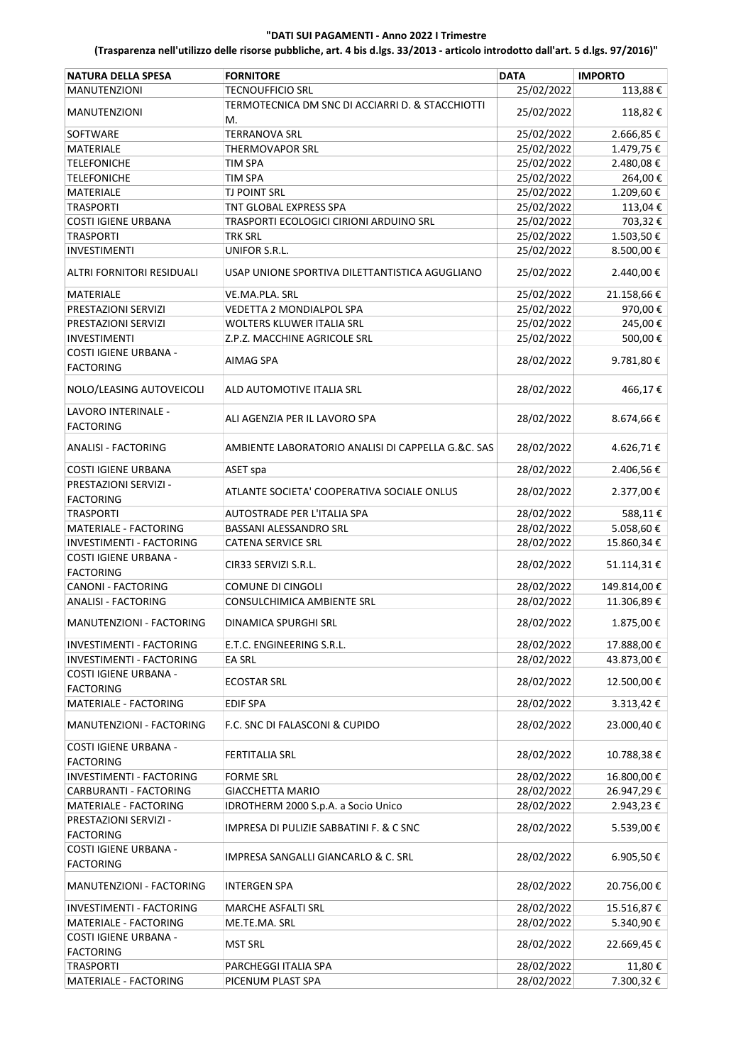| <b>NATURA DELLA SPESA</b>                        | <b>FORNITORE</b>                                       | <b>DATA</b> | <b>IMPORTO</b> |
|--------------------------------------------------|--------------------------------------------------------|-------------|----------------|
| <b>MANUTENZIONI</b>                              | <b>TECNOUFFICIO SRL</b>                                | 25/02/2022  | 113,88€        |
| <b>MANUTENZIONI</b>                              | TERMOTECNICA DM SNC DI ACCIARRI D. & STACCHIOTTI<br>М. | 25/02/2022  | 118,82€        |
| SOFTWARE                                         | <b>TERRANOVA SRL</b>                                   | 25/02/2022  | 2.666,85€      |
| <b>MATERIALE</b>                                 | <b>THERMOVAPOR SRL</b>                                 | 25/02/2022  | 1.479,75€      |
| <b>TELEFONICHE</b>                               | TIM SPA                                                | 25/02/2022  | 2.480,08€      |
| <b>TELEFONICHE</b>                               | TIM SPA                                                | 25/02/2022  | 264,00€        |
| <b>MATERIALE</b>                                 | <b>TJ POINT SRL</b>                                    | 25/02/2022  | 1.209,60€      |
| <b>TRASPORTI</b>                                 | <b>TNT GLOBAL EXPRESS SPA</b>                          | 25/02/2022  | 113,04€        |
| <b>COSTI IGIENE URBANA</b>                       | TRASPORTI ECOLOGICI CIRIONI ARDUINO SRL                | 25/02/2022  | 703,32€        |
| <b>TRASPORTI</b>                                 | TRK SRL                                                | 25/02/2022  | 1.503,50€      |
| <b>INVESTIMENTI</b>                              | UNIFOR S.R.L.                                          | 25/02/2022  | 8.500,00€      |
|                                                  |                                                        |             |                |
| ALTRI FORNITORI RESIDUALI                        | USAP UNIONE SPORTIVA DILETTANTISTICA AGUGLIANO         | 25/02/2022  | 2.440,00€      |
| MATERIALE                                        | VE.MA.PLA. SRL                                         | 25/02/2022  | 21.158,66€     |
| PRESTAZIONI SERVIZI                              | VEDETTA 2 MONDIALPOL SPA                               | 25/02/2022  | 970,00€        |
| PRESTAZIONI SERVIZI                              | WOLTERS KLUWER ITALIA SRL                              | 25/02/2022  | 245,00€        |
| <b>INVESTIMENTI</b>                              | Z.P.Z. MACCHINE AGRICOLE SRL                           | 25/02/2022  | 500,00€        |
| COSTI IGIENE URBANA -<br><b>FACTORING</b>        | AIMAG SPA                                              | 28/02/2022  | 9.781,80€      |
| NOLO/LEASING AUTOVEICOLI                         | ALD AUTOMOTIVE ITALIA SRL                              | 28/02/2022  | 466,17€        |
| LAVORO INTERINALE -                              | ALI AGENZIA PER IL LAVORO SPA                          | 28/02/2022  | 8.674,66€      |
| <b>FACTORING</b>                                 |                                                        |             |                |
| <b>ANALISI - FACTORING</b>                       | AMBIENTE LABORATORIO ANALISI DI CAPPELLA G.&C. SAS     | 28/02/2022  | 4.626,71€      |
| <b>COSTI IGIENE URBANA</b>                       | ASET spa                                               | 28/02/2022  | 2.406,56€      |
| PRESTAZIONI SERVIZI -<br><b>FACTORING</b>        | ATLANTE SOCIETA' COOPERATIVA SOCIALE ONLUS             | 28/02/2022  | 2.377,00€      |
| <b>TRASPORTI</b>                                 | AUTOSTRADE PER L'ITALIA SPA                            | 28/02/2022  | 588,11€        |
| <b>MATERIALE - FACTORING</b>                     | BASSANI ALESSANDRO SRL                                 | 28/02/2022  | 5.058,60€      |
| INVESTIMENTI - FACTORING                         | <b>CATENA SERVICE SRL</b>                              | 28/02/2022  | 15.860,34€     |
| COSTI IGIENE URBANA -<br><b>FACTORING</b>        | CIR33 SERVIZI S.R.L.                                   | 28/02/2022  | 51.114,31€     |
| CANONI - FACTORING                               | COMUNE DI CINGOLI                                      | 28/02/2022  | 149.814,00€    |
|                                                  | CONSULCHIMICA AMBIENTE SRL                             |             | 11.306,89€     |
| <b>ANALISI - FACTORING</b>                       |                                                        | 28/02/2022  |                |
| MANUTENZIONI - FACTORING                         | DINAMICA SPURGHI SRL                                   | 28/02/2022  | 1.875,00€      |
| INVESTIMENTI - FACTORING                         | E.T.C. ENGINEERING S.R.L.                              | 28/02/2022  | 17.888,00€     |
| INVESTIMENTI - FACTORING                         | EA SRL                                                 | 28/02/2022  | 43.873,00 €    |
| <b>COSTI IGIENE URBANA -</b>                     | <b>ECOSTAR SRL</b>                                     | 28/02/2022  | 12.500,00€     |
| <b>FACTORING</b>                                 |                                                        |             |                |
| MATERIALE - FACTORING                            | <b>EDIF SPA</b>                                        | 28/02/2022  | 3.313,42€      |
| MANUTENZIONI - FACTORING                         | F.C. SNC DI FALASCONI & CUPIDO                         | 28/02/2022  | 23.000,40€     |
| <b>COSTI IGIENE URBANA -</b><br><b>FACTORING</b> | <b>FERTITALIA SRL</b>                                  | 28/02/2022  | 10.788,38€     |
| <b>INVESTIMENTI - FACTORING</b>                  | <b>FORME SRL</b>                                       | 28/02/2022  | 16.800,00€     |
| CARBURANTI - FACTORING                           | <b>GIACCHETTA MARIO</b>                                | 28/02/2022  | 26.947,29€     |
| MATERIALE - FACTORING                            | IDROTHERM 2000 S.p.A. a Socio Unico                    | 28/02/2022  | 2.943,23€      |
| PRESTAZIONI SERVIZI -                            |                                                        |             |                |
| <b>FACTORING</b>                                 | IMPRESA DI PULIZIE SABBATINI F. & C SNC                | 28/02/2022  | 5.539,00 €     |
| COSTI IGIENE URBANA -<br><b>FACTORING</b>        | IMPRESA SANGALLI GIANCARLO & C. SRL                    | 28/02/2022  | 6.905,50€      |
| MANUTENZIONI - FACTORING                         | <b>INTERGEN SPA</b>                                    | 28/02/2022  | 20.756,00€     |
| INVESTIMENTI - FACTORING                         | <b>MARCHE ASFALTI SRL</b>                              | 28/02/2022  | 15.516,87€     |
| MATERIALE - FACTORING                            | ME.TE.MA. SRL                                          | 28/02/2022  | 5.340,90€      |
| COSTI IGIENE URBANA -<br><b>FACTORING</b>        | <b>MST SRL</b>                                         | 28/02/2022  | 22.669,45€     |
| <b>TRASPORTI</b>                                 | PARCHEGGI ITALIA SPA                                   | 28/02/2022  | 11,80€         |
| MATERIALE - FACTORING                            | PICENUM PLAST SPA                                      | 28/02/2022  | 7.300,32€      |
|                                                  |                                                        |             |                |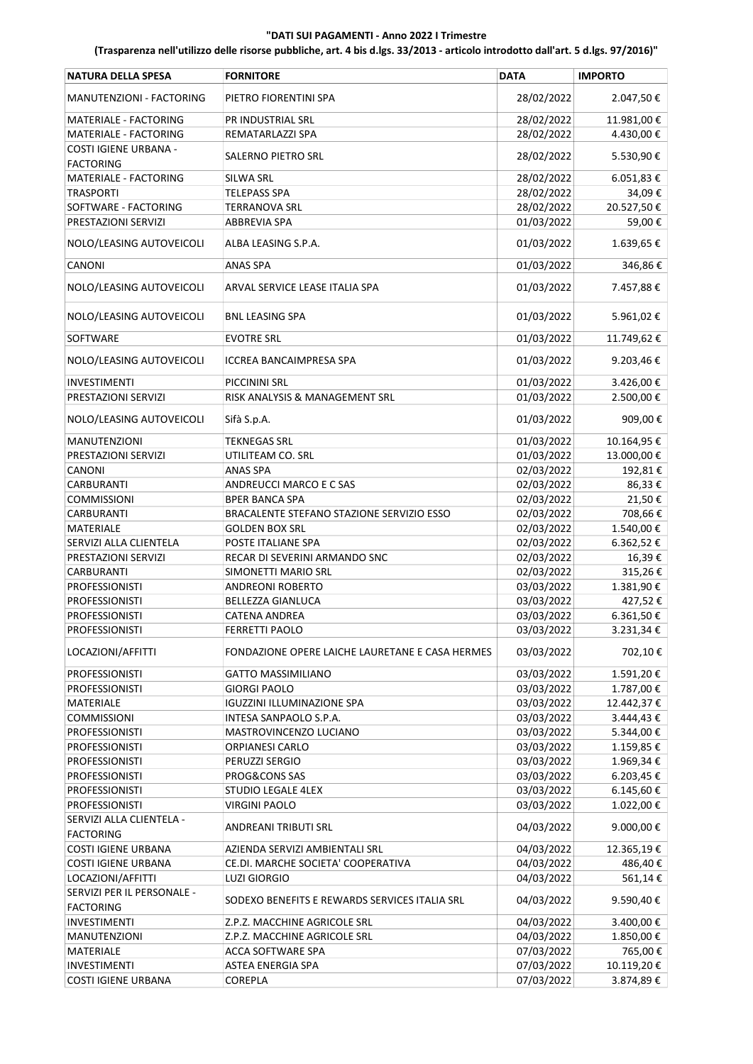| PIETRO FIORENTINI SPA<br>28/02/2022<br>2.047,50€<br>MANUTENZIONI - FACTORING<br>28/02/2022<br>11.981,00€<br>MATERIALE - FACTORING<br>PR INDUSTRIAL SRL<br>28/02/2022<br>4.430,00€<br>MATERIALE - FACTORING<br>REMATARLAZZI SPA<br><b>COSTI IGIENE URBANA -</b><br><b>SALERNO PIETRO SRL</b><br>28/02/2022<br>5.530,90€<br><b>FACTORING</b><br><b>MATERIALE - FACTORING</b><br>6.051,83 €<br>SILWA SRL<br>28/02/2022<br><b>TRASPORTI</b><br><b>TELEPASS SPA</b><br>28/02/2022<br>34,09€<br>28/02/2022<br>20.527,50€<br>SOFTWARE - FACTORING<br><b>TERRANOVA SRL</b><br>01/03/2022<br>59,00€<br>PRESTAZIONI SERVIZI<br><b>ABBREVIA SPA</b><br>NOLO/LEASING AUTOVEICOLI<br>01/03/2022<br>1.639,65€<br>ALBA LEASING S.P.A.<br>CANONI<br><b>ANAS SPA</b><br>01/03/2022<br>346,86€<br>NOLO/LEASING AUTOVEICOLI<br>01/03/2022<br>ARVAL SERVICE LEASE ITALIA SPA<br>7.457,88€<br>01/03/2022<br>5.961,02€<br>NOLO/LEASING AUTOVEICOLI<br><b>BNL LEASING SPA</b><br>SOFTWARE<br><b>EVOTRE SRL</b><br>01/03/2022<br>11.749,62€<br>9.203,46€<br>NOLO/LEASING AUTOVEICOLI<br><b>ICCREA BANCAIMPRESA SPA</b><br>01/03/2022<br>01/03/2022<br>3.426,00€<br><b>INVESTIMENTI</b><br><b>PICCININI SRL</b><br>RISK ANALYSIS & MANAGEMENT SRL<br>01/03/2022<br>2.500,00€<br>PRESTAZIONI SERVIZI<br>01/03/2022<br>909,00€<br>NOLO/LEASING AUTOVEICOLI<br>Sifà S.p.A.<br>MANUTENZIONI<br><b>TEKNEGAS SRL</b><br>01/03/2022<br>10.164,95€<br>01/03/2022<br>PRESTAZIONI SERVIZI<br>UTILITEAM CO. SRL<br>13.000,00€<br>CANONI<br><b>ANAS SPA</b><br>02/03/2022<br>192,81€<br><b>CARBURANTI</b><br>ANDREUCCI MARCO E C SAS<br>02/03/2022<br>86,33€<br><b>COMMISSIONI</b><br><b>BPER BANCA SPA</b><br>02/03/2022<br>21,50€<br>02/03/2022<br>BRACALENTE STEFANO STAZIONE SERVIZIO ESSO<br>708,66€<br><b>CARBURANTI</b><br>02/03/2022<br>1.540,00€<br><b>MATERIALE</b><br><b>GOLDEN BOX SRL</b><br>02/03/2022<br>SERVIZI ALLA CLIENTELA<br>POSTE ITALIANE SPA<br>6.362,52€<br>02/03/2022<br>16,39€<br>PRESTAZIONI SERVIZI<br>RECAR DI SEVERINI ARMANDO SNC<br>02/03/2022<br>315,26€<br><b>CARBURANTI</b><br>SIMONETTI MARIO SRL<br>03/03/2022<br><b>PROFESSIONISTI</b><br><b>ANDREONI ROBERTO</b><br>1.381,90€<br>03/03/2022<br><b>BELLEZZA GIANLUCA</b><br>427,52€<br><b>PROFESSIONISTI</b><br>03/03/2022<br>6.361,50€<br><b>PROFESSIONISTI</b><br><b>CATENA ANDREA</b><br>03/03/2022<br>3.231,34€<br><b>PROFESSIONISTI</b><br><b>FERRETTI PAOLO</b><br>03/03/2022<br>LOCAZIONI/AFFITTI<br>FONDAZIONE OPERE LAICHE LAURETANE E CASA HERMES<br>702,10€<br><b>PROFESSIONISTI</b><br><b>GATTO MASSIMILIANO</b><br>03/03/2022<br>1.591,20€<br>03/03/2022<br>1.787,00€<br><b>PROFESSIONISTI</b><br><b>GIORGI PAOLO</b><br>03/03/2022<br><b>MATERIALE</b><br><b>IGUZZINI ILLUMINAZIONE SPA</b><br>12.442,37€<br>03/03/2022<br><b>COMMISSIONI</b><br>INTESA SANPAOLO S.P.A.<br>3.444,43€<br>03/03/2022<br>5.344,00€<br><b>PROFESSIONISTI</b><br>MASTROVINCENZO LUCIANO<br>03/03/2022<br><b>PROFESSIONISTI</b><br><b>ORPIANESI CARLO</b><br>1.159,85€<br>03/03/2022<br>PERUZZI SERGIO<br>1.969,34€<br><b>PROFESSIONISTI</b><br>03/03/2022<br><b>PROFESSIONISTI</b><br>PROG&CONS SAS<br>6.203,45€<br>03/03/2022<br>6.145,60€<br><b>PROFESSIONISTI</b><br>STUDIO LEGALE 4LEX<br>03/03/2022<br>1.022,00€<br><b>PROFESSIONISTI</b><br><b>VIRGINI PAOLO</b><br>SERVIZI ALLA CLIENTELA -<br>04/03/2022<br>9.000,00€<br>ANDREANI TRIBUTI SRL<br><b>FACTORING</b><br><b>COSTI IGIENE URBANA</b><br>AZIENDA SERVIZI AMBIENTALI SRL<br>04/03/2022<br>12.365,19€<br><b>COSTI IGIENE URBANA</b><br>CE.DI. MARCHE SOCIETA' COOPERATIVA<br>04/03/2022<br>486,40€<br>LOCAZIONI/AFFITTI<br><b>LUZI GIORGIO</b><br>04/03/2022<br>561,14€<br>SERVIZI PER IL PERSONALE -<br>04/03/2022<br>SODEXO BENEFITS E REWARDS SERVICES ITALIA SRL<br>9.590,40€<br><b>FACTORING</b><br>04/03/2022<br>INVESTIMENTI<br>Z.P.Z. MACCHINE AGRICOLE SRL<br>3.400,00 €<br>04/03/2022<br>MANUTENZIONI<br>Z.P.Z. MACCHINE AGRICOLE SRL<br>1.850,00€<br>07/03/2022<br>765,00€<br>MATERIALE<br>ACCA SOFTWARE SPA<br>07/03/2022<br>10.119,20€<br>INVESTIMENTI<br>ASTEA ENERGIA SPA<br>07/03/2022<br>3.874,89€<br><b>COSTI IGIENE URBANA</b><br>COREPLA | <b>NATURA DELLA SPESA</b> | <b>FORNITORE</b> | <b>DATA</b> | <b>IMPORTO</b> |
|-------------------------------------------------------------------------------------------------------------------------------------------------------------------------------------------------------------------------------------------------------------------------------------------------------------------------------------------------------------------------------------------------------------------------------------------------------------------------------------------------------------------------------------------------------------------------------------------------------------------------------------------------------------------------------------------------------------------------------------------------------------------------------------------------------------------------------------------------------------------------------------------------------------------------------------------------------------------------------------------------------------------------------------------------------------------------------------------------------------------------------------------------------------------------------------------------------------------------------------------------------------------------------------------------------------------------------------------------------------------------------------------------------------------------------------------------------------------------------------------------------------------------------------------------------------------------------------------------------------------------------------------------------------------------------------------------------------------------------------------------------------------------------------------------------------------------------------------------------------------------------------------------------------------------------------------------------------------------------------------------------------------------------------------------------------------------------------------------------------------------------------------------------------------------------------------------------------------------------------------------------------------------------------------------------------------------------------------------------------------------------------------------------------------------------------------------------------------------------------------------------------------------------------------------------------------------------------------------------------------------------------------------------------------------------------------------------------------------------------------------------------------------------------------------------------------------------------------------------------------------------------------------------------------------------------------------------------------------------------------------------------------------------------------------------------------------------------------------------------------------------------------------------------------------------------------------------------------------------------------------------------------------------------------------------------------------------------------------------------------------------------------------------------------------------------------------------------------------------------------------------------------------------------------------------------------------------------------------------------------------------------------------------------------------------------------------------------------------------------------------------------------------------------------------------------------------------------------------------------------------------------------------------------------------------------------------------------------------------------------------------------------------------------------------------------------------------------------------------------------------------------------------------------------------|---------------------------|------------------|-------------|----------------|
|                                                                                                                                                                                                                                                                                                                                                                                                                                                                                                                                                                                                                                                                                                                                                                                                                                                                                                                                                                                                                                                                                                                                                                                                                                                                                                                                                                                                                                                                                                                                                                                                                                                                                                                                                                                                                                                                                                                                                                                                                                                                                                                                                                                                                                                                                                                                                                                                                                                                                                                                                                                                                                                                                                                                                                                                                                                                                                                                                                                                                                                                                                                                                                                                                                                                                                                                                                                                                                                                                                                                                                                                                                                                                                                                                                                                                                                                                                                                                                                                                                                                                                                                                                         |                           |                  |             |                |
|                                                                                                                                                                                                                                                                                                                                                                                                                                                                                                                                                                                                                                                                                                                                                                                                                                                                                                                                                                                                                                                                                                                                                                                                                                                                                                                                                                                                                                                                                                                                                                                                                                                                                                                                                                                                                                                                                                                                                                                                                                                                                                                                                                                                                                                                                                                                                                                                                                                                                                                                                                                                                                                                                                                                                                                                                                                                                                                                                                                                                                                                                                                                                                                                                                                                                                                                                                                                                                                                                                                                                                                                                                                                                                                                                                                                                                                                                                                                                                                                                                                                                                                                                                         |                           |                  |             |                |
|                                                                                                                                                                                                                                                                                                                                                                                                                                                                                                                                                                                                                                                                                                                                                                                                                                                                                                                                                                                                                                                                                                                                                                                                                                                                                                                                                                                                                                                                                                                                                                                                                                                                                                                                                                                                                                                                                                                                                                                                                                                                                                                                                                                                                                                                                                                                                                                                                                                                                                                                                                                                                                                                                                                                                                                                                                                                                                                                                                                                                                                                                                                                                                                                                                                                                                                                                                                                                                                                                                                                                                                                                                                                                                                                                                                                                                                                                                                                                                                                                                                                                                                                                                         |                           |                  |             |                |
|                                                                                                                                                                                                                                                                                                                                                                                                                                                                                                                                                                                                                                                                                                                                                                                                                                                                                                                                                                                                                                                                                                                                                                                                                                                                                                                                                                                                                                                                                                                                                                                                                                                                                                                                                                                                                                                                                                                                                                                                                                                                                                                                                                                                                                                                                                                                                                                                                                                                                                                                                                                                                                                                                                                                                                                                                                                                                                                                                                                                                                                                                                                                                                                                                                                                                                                                                                                                                                                                                                                                                                                                                                                                                                                                                                                                                                                                                                                                                                                                                                                                                                                                                                         |                           |                  |             |                |
|                                                                                                                                                                                                                                                                                                                                                                                                                                                                                                                                                                                                                                                                                                                                                                                                                                                                                                                                                                                                                                                                                                                                                                                                                                                                                                                                                                                                                                                                                                                                                                                                                                                                                                                                                                                                                                                                                                                                                                                                                                                                                                                                                                                                                                                                                                                                                                                                                                                                                                                                                                                                                                                                                                                                                                                                                                                                                                                                                                                                                                                                                                                                                                                                                                                                                                                                                                                                                                                                                                                                                                                                                                                                                                                                                                                                                                                                                                                                                                                                                                                                                                                                                                         |                           |                  |             |                |
|                                                                                                                                                                                                                                                                                                                                                                                                                                                                                                                                                                                                                                                                                                                                                                                                                                                                                                                                                                                                                                                                                                                                                                                                                                                                                                                                                                                                                                                                                                                                                                                                                                                                                                                                                                                                                                                                                                                                                                                                                                                                                                                                                                                                                                                                                                                                                                                                                                                                                                                                                                                                                                                                                                                                                                                                                                                                                                                                                                                                                                                                                                                                                                                                                                                                                                                                                                                                                                                                                                                                                                                                                                                                                                                                                                                                                                                                                                                                                                                                                                                                                                                                                                         |                           |                  |             |                |
|                                                                                                                                                                                                                                                                                                                                                                                                                                                                                                                                                                                                                                                                                                                                                                                                                                                                                                                                                                                                                                                                                                                                                                                                                                                                                                                                                                                                                                                                                                                                                                                                                                                                                                                                                                                                                                                                                                                                                                                                                                                                                                                                                                                                                                                                                                                                                                                                                                                                                                                                                                                                                                                                                                                                                                                                                                                                                                                                                                                                                                                                                                                                                                                                                                                                                                                                                                                                                                                                                                                                                                                                                                                                                                                                                                                                                                                                                                                                                                                                                                                                                                                                                                         |                           |                  |             |                |
|                                                                                                                                                                                                                                                                                                                                                                                                                                                                                                                                                                                                                                                                                                                                                                                                                                                                                                                                                                                                                                                                                                                                                                                                                                                                                                                                                                                                                                                                                                                                                                                                                                                                                                                                                                                                                                                                                                                                                                                                                                                                                                                                                                                                                                                                                                                                                                                                                                                                                                                                                                                                                                                                                                                                                                                                                                                                                                                                                                                                                                                                                                                                                                                                                                                                                                                                                                                                                                                                                                                                                                                                                                                                                                                                                                                                                                                                                                                                                                                                                                                                                                                                                                         |                           |                  |             |                |
|                                                                                                                                                                                                                                                                                                                                                                                                                                                                                                                                                                                                                                                                                                                                                                                                                                                                                                                                                                                                                                                                                                                                                                                                                                                                                                                                                                                                                                                                                                                                                                                                                                                                                                                                                                                                                                                                                                                                                                                                                                                                                                                                                                                                                                                                                                                                                                                                                                                                                                                                                                                                                                                                                                                                                                                                                                                                                                                                                                                                                                                                                                                                                                                                                                                                                                                                                                                                                                                                                                                                                                                                                                                                                                                                                                                                                                                                                                                                                                                                                                                                                                                                                                         |                           |                  |             |                |
|                                                                                                                                                                                                                                                                                                                                                                                                                                                                                                                                                                                                                                                                                                                                                                                                                                                                                                                                                                                                                                                                                                                                                                                                                                                                                                                                                                                                                                                                                                                                                                                                                                                                                                                                                                                                                                                                                                                                                                                                                                                                                                                                                                                                                                                                                                                                                                                                                                                                                                                                                                                                                                                                                                                                                                                                                                                                                                                                                                                                                                                                                                                                                                                                                                                                                                                                                                                                                                                                                                                                                                                                                                                                                                                                                                                                                                                                                                                                                                                                                                                                                                                                                                         |                           |                  |             |                |
|                                                                                                                                                                                                                                                                                                                                                                                                                                                                                                                                                                                                                                                                                                                                                                                                                                                                                                                                                                                                                                                                                                                                                                                                                                                                                                                                                                                                                                                                                                                                                                                                                                                                                                                                                                                                                                                                                                                                                                                                                                                                                                                                                                                                                                                                                                                                                                                                                                                                                                                                                                                                                                                                                                                                                                                                                                                                                                                                                                                                                                                                                                                                                                                                                                                                                                                                                                                                                                                                                                                                                                                                                                                                                                                                                                                                                                                                                                                                                                                                                                                                                                                                                                         |                           |                  |             |                |
|                                                                                                                                                                                                                                                                                                                                                                                                                                                                                                                                                                                                                                                                                                                                                                                                                                                                                                                                                                                                                                                                                                                                                                                                                                                                                                                                                                                                                                                                                                                                                                                                                                                                                                                                                                                                                                                                                                                                                                                                                                                                                                                                                                                                                                                                                                                                                                                                                                                                                                                                                                                                                                                                                                                                                                                                                                                                                                                                                                                                                                                                                                                                                                                                                                                                                                                                                                                                                                                                                                                                                                                                                                                                                                                                                                                                                                                                                                                                                                                                                                                                                                                                                                         |                           |                  |             |                |
|                                                                                                                                                                                                                                                                                                                                                                                                                                                                                                                                                                                                                                                                                                                                                                                                                                                                                                                                                                                                                                                                                                                                                                                                                                                                                                                                                                                                                                                                                                                                                                                                                                                                                                                                                                                                                                                                                                                                                                                                                                                                                                                                                                                                                                                                                                                                                                                                                                                                                                                                                                                                                                                                                                                                                                                                                                                                                                                                                                                                                                                                                                                                                                                                                                                                                                                                                                                                                                                                                                                                                                                                                                                                                                                                                                                                                                                                                                                                                                                                                                                                                                                                                                         |                           |                  |             |                |
|                                                                                                                                                                                                                                                                                                                                                                                                                                                                                                                                                                                                                                                                                                                                                                                                                                                                                                                                                                                                                                                                                                                                                                                                                                                                                                                                                                                                                                                                                                                                                                                                                                                                                                                                                                                                                                                                                                                                                                                                                                                                                                                                                                                                                                                                                                                                                                                                                                                                                                                                                                                                                                                                                                                                                                                                                                                                                                                                                                                                                                                                                                                                                                                                                                                                                                                                                                                                                                                                                                                                                                                                                                                                                                                                                                                                                                                                                                                                                                                                                                                                                                                                                                         |                           |                  |             |                |
|                                                                                                                                                                                                                                                                                                                                                                                                                                                                                                                                                                                                                                                                                                                                                                                                                                                                                                                                                                                                                                                                                                                                                                                                                                                                                                                                                                                                                                                                                                                                                                                                                                                                                                                                                                                                                                                                                                                                                                                                                                                                                                                                                                                                                                                                                                                                                                                                                                                                                                                                                                                                                                                                                                                                                                                                                                                                                                                                                                                                                                                                                                                                                                                                                                                                                                                                                                                                                                                                                                                                                                                                                                                                                                                                                                                                                                                                                                                                                                                                                                                                                                                                                                         |                           |                  |             |                |
|                                                                                                                                                                                                                                                                                                                                                                                                                                                                                                                                                                                                                                                                                                                                                                                                                                                                                                                                                                                                                                                                                                                                                                                                                                                                                                                                                                                                                                                                                                                                                                                                                                                                                                                                                                                                                                                                                                                                                                                                                                                                                                                                                                                                                                                                                                                                                                                                                                                                                                                                                                                                                                                                                                                                                                                                                                                                                                                                                                                                                                                                                                                                                                                                                                                                                                                                                                                                                                                                                                                                                                                                                                                                                                                                                                                                                                                                                                                                                                                                                                                                                                                                                                         |                           |                  |             |                |
|                                                                                                                                                                                                                                                                                                                                                                                                                                                                                                                                                                                                                                                                                                                                                                                                                                                                                                                                                                                                                                                                                                                                                                                                                                                                                                                                                                                                                                                                                                                                                                                                                                                                                                                                                                                                                                                                                                                                                                                                                                                                                                                                                                                                                                                                                                                                                                                                                                                                                                                                                                                                                                                                                                                                                                                                                                                                                                                                                                                                                                                                                                                                                                                                                                                                                                                                                                                                                                                                                                                                                                                                                                                                                                                                                                                                                                                                                                                                                                                                                                                                                                                                                                         |                           |                  |             |                |
|                                                                                                                                                                                                                                                                                                                                                                                                                                                                                                                                                                                                                                                                                                                                                                                                                                                                                                                                                                                                                                                                                                                                                                                                                                                                                                                                                                                                                                                                                                                                                                                                                                                                                                                                                                                                                                                                                                                                                                                                                                                                                                                                                                                                                                                                                                                                                                                                                                                                                                                                                                                                                                                                                                                                                                                                                                                                                                                                                                                                                                                                                                                                                                                                                                                                                                                                                                                                                                                                                                                                                                                                                                                                                                                                                                                                                                                                                                                                                                                                                                                                                                                                                                         |                           |                  |             |                |
|                                                                                                                                                                                                                                                                                                                                                                                                                                                                                                                                                                                                                                                                                                                                                                                                                                                                                                                                                                                                                                                                                                                                                                                                                                                                                                                                                                                                                                                                                                                                                                                                                                                                                                                                                                                                                                                                                                                                                                                                                                                                                                                                                                                                                                                                                                                                                                                                                                                                                                                                                                                                                                                                                                                                                                                                                                                                                                                                                                                                                                                                                                                                                                                                                                                                                                                                                                                                                                                                                                                                                                                                                                                                                                                                                                                                                                                                                                                                                                                                                                                                                                                                                                         |                           |                  |             |                |
|                                                                                                                                                                                                                                                                                                                                                                                                                                                                                                                                                                                                                                                                                                                                                                                                                                                                                                                                                                                                                                                                                                                                                                                                                                                                                                                                                                                                                                                                                                                                                                                                                                                                                                                                                                                                                                                                                                                                                                                                                                                                                                                                                                                                                                                                                                                                                                                                                                                                                                                                                                                                                                                                                                                                                                                                                                                                                                                                                                                                                                                                                                                                                                                                                                                                                                                                                                                                                                                                                                                                                                                                                                                                                                                                                                                                                                                                                                                                                                                                                                                                                                                                                                         |                           |                  |             |                |
|                                                                                                                                                                                                                                                                                                                                                                                                                                                                                                                                                                                                                                                                                                                                                                                                                                                                                                                                                                                                                                                                                                                                                                                                                                                                                                                                                                                                                                                                                                                                                                                                                                                                                                                                                                                                                                                                                                                                                                                                                                                                                                                                                                                                                                                                                                                                                                                                                                                                                                                                                                                                                                                                                                                                                                                                                                                                                                                                                                                                                                                                                                                                                                                                                                                                                                                                                                                                                                                                                                                                                                                                                                                                                                                                                                                                                                                                                                                                                                                                                                                                                                                                                                         |                           |                  |             |                |
|                                                                                                                                                                                                                                                                                                                                                                                                                                                                                                                                                                                                                                                                                                                                                                                                                                                                                                                                                                                                                                                                                                                                                                                                                                                                                                                                                                                                                                                                                                                                                                                                                                                                                                                                                                                                                                                                                                                                                                                                                                                                                                                                                                                                                                                                                                                                                                                                                                                                                                                                                                                                                                                                                                                                                                                                                                                                                                                                                                                                                                                                                                                                                                                                                                                                                                                                                                                                                                                                                                                                                                                                                                                                                                                                                                                                                                                                                                                                                                                                                                                                                                                                                                         |                           |                  |             |                |
|                                                                                                                                                                                                                                                                                                                                                                                                                                                                                                                                                                                                                                                                                                                                                                                                                                                                                                                                                                                                                                                                                                                                                                                                                                                                                                                                                                                                                                                                                                                                                                                                                                                                                                                                                                                                                                                                                                                                                                                                                                                                                                                                                                                                                                                                                                                                                                                                                                                                                                                                                                                                                                                                                                                                                                                                                                                                                                                                                                                                                                                                                                                                                                                                                                                                                                                                                                                                                                                                                                                                                                                                                                                                                                                                                                                                                                                                                                                                                                                                                                                                                                                                                                         |                           |                  |             |                |
|                                                                                                                                                                                                                                                                                                                                                                                                                                                                                                                                                                                                                                                                                                                                                                                                                                                                                                                                                                                                                                                                                                                                                                                                                                                                                                                                                                                                                                                                                                                                                                                                                                                                                                                                                                                                                                                                                                                                                                                                                                                                                                                                                                                                                                                                                                                                                                                                                                                                                                                                                                                                                                                                                                                                                                                                                                                                                                                                                                                                                                                                                                                                                                                                                                                                                                                                                                                                                                                                                                                                                                                                                                                                                                                                                                                                                                                                                                                                                                                                                                                                                                                                                                         |                           |                  |             |                |
|                                                                                                                                                                                                                                                                                                                                                                                                                                                                                                                                                                                                                                                                                                                                                                                                                                                                                                                                                                                                                                                                                                                                                                                                                                                                                                                                                                                                                                                                                                                                                                                                                                                                                                                                                                                                                                                                                                                                                                                                                                                                                                                                                                                                                                                                                                                                                                                                                                                                                                                                                                                                                                                                                                                                                                                                                                                                                                                                                                                                                                                                                                                                                                                                                                                                                                                                                                                                                                                                                                                                                                                                                                                                                                                                                                                                                                                                                                                                                                                                                                                                                                                                                                         |                           |                  |             |                |
|                                                                                                                                                                                                                                                                                                                                                                                                                                                                                                                                                                                                                                                                                                                                                                                                                                                                                                                                                                                                                                                                                                                                                                                                                                                                                                                                                                                                                                                                                                                                                                                                                                                                                                                                                                                                                                                                                                                                                                                                                                                                                                                                                                                                                                                                                                                                                                                                                                                                                                                                                                                                                                                                                                                                                                                                                                                                                                                                                                                                                                                                                                                                                                                                                                                                                                                                                                                                                                                                                                                                                                                                                                                                                                                                                                                                                                                                                                                                                                                                                                                                                                                                                                         |                           |                  |             |                |
|                                                                                                                                                                                                                                                                                                                                                                                                                                                                                                                                                                                                                                                                                                                                                                                                                                                                                                                                                                                                                                                                                                                                                                                                                                                                                                                                                                                                                                                                                                                                                                                                                                                                                                                                                                                                                                                                                                                                                                                                                                                                                                                                                                                                                                                                                                                                                                                                                                                                                                                                                                                                                                                                                                                                                                                                                                                                                                                                                                                                                                                                                                                                                                                                                                                                                                                                                                                                                                                                                                                                                                                                                                                                                                                                                                                                                                                                                                                                                                                                                                                                                                                                                                         |                           |                  |             |                |
|                                                                                                                                                                                                                                                                                                                                                                                                                                                                                                                                                                                                                                                                                                                                                                                                                                                                                                                                                                                                                                                                                                                                                                                                                                                                                                                                                                                                                                                                                                                                                                                                                                                                                                                                                                                                                                                                                                                                                                                                                                                                                                                                                                                                                                                                                                                                                                                                                                                                                                                                                                                                                                                                                                                                                                                                                                                                                                                                                                                                                                                                                                                                                                                                                                                                                                                                                                                                                                                                                                                                                                                                                                                                                                                                                                                                                                                                                                                                                                                                                                                                                                                                                                         |                           |                  |             |                |
|                                                                                                                                                                                                                                                                                                                                                                                                                                                                                                                                                                                                                                                                                                                                                                                                                                                                                                                                                                                                                                                                                                                                                                                                                                                                                                                                                                                                                                                                                                                                                                                                                                                                                                                                                                                                                                                                                                                                                                                                                                                                                                                                                                                                                                                                                                                                                                                                                                                                                                                                                                                                                                                                                                                                                                                                                                                                                                                                                                                                                                                                                                                                                                                                                                                                                                                                                                                                                                                                                                                                                                                                                                                                                                                                                                                                                                                                                                                                                                                                                                                                                                                                                                         |                           |                  |             |                |
|                                                                                                                                                                                                                                                                                                                                                                                                                                                                                                                                                                                                                                                                                                                                                                                                                                                                                                                                                                                                                                                                                                                                                                                                                                                                                                                                                                                                                                                                                                                                                                                                                                                                                                                                                                                                                                                                                                                                                                                                                                                                                                                                                                                                                                                                                                                                                                                                                                                                                                                                                                                                                                                                                                                                                                                                                                                                                                                                                                                                                                                                                                                                                                                                                                                                                                                                                                                                                                                                                                                                                                                                                                                                                                                                                                                                                                                                                                                                                                                                                                                                                                                                                                         |                           |                  |             |                |
|                                                                                                                                                                                                                                                                                                                                                                                                                                                                                                                                                                                                                                                                                                                                                                                                                                                                                                                                                                                                                                                                                                                                                                                                                                                                                                                                                                                                                                                                                                                                                                                                                                                                                                                                                                                                                                                                                                                                                                                                                                                                                                                                                                                                                                                                                                                                                                                                                                                                                                                                                                                                                                                                                                                                                                                                                                                                                                                                                                                                                                                                                                                                                                                                                                                                                                                                                                                                                                                                                                                                                                                                                                                                                                                                                                                                                                                                                                                                                                                                                                                                                                                                                                         |                           |                  |             |                |
|                                                                                                                                                                                                                                                                                                                                                                                                                                                                                                                                                                                                                                                                                                                                                                                                                                                                                                                                                                                                                                                                                                                                                                                                                                                                                                                                                                                                                                                                                                                                                                                                                                                                                                                                                                                                                                                                                                                                                                                                                                                                                                                                                                                                                                                                                                                                                                                                                                                                                                                                                                                                                                                                                                                                                                                                                                                                                                                                                                                                                                                                                                                                                                                                                                                                                                                                                                                                                                                                                                                                                                                                                                                                                                                                                                                                                                                                                                                                                                                                                                                                                                                                                                         |                           |                  |             |                |
|                                                                                                                                                                                                                                                                                                                                                                                                                                                                                                                                                                                                                                                                                                                                                                                                                                                                                                                                                                                                                                                                                                                                                                                                                                                                                                                                                                                                                                                                                                                                                                                                                                                                                                                                                                                                                                                                                                                                                                                                                                                                                                                                                                                                                                                                                                                                                                                                                                                                                                                                                                                                                                                                                                                                                                                                                                                                                                                                                                                                                                                                                                                                                                                                                                                                                                                                                                                                                                                                                                                                                                                                                                                                                                                                                                                                                                                                                                                                                                                                                                                                                                                                                                         |                           |                  |             |                |
|                                                                                                                                                                                                                                                                                                                                                                                                                                                                                                                                                                                                                                                                                                                                                                                                                                                                                                                                                                                                                                                                                                                                                                                                                                                                                                                                                                                                                                                                                                                                                                                                                                                                                                                                                                                                                                                                                                                                                                                                                                                                                                                                                                                                                                                                                                                                                                                                                                                                                                                                                                                                                                                                                                                                                                                                                                                                                                                                                                                                                                                                                                                                                                                                                                                                                                                                                                                                                                                                                                                                                                                                                                                                                                                                                                                                                                                                                                                                                                                                                                                                                                                                                                         |                           |                  |             |                |
|                                                                                                                                                                                                                                                                                                                                                                                                                                                                                                                                                                                                                                                                                                                                                                                                                                                                                                                                                                                                                                                                                                                                                                                                                                                                                                                                                                                                                                                                                                                                                                                                                                                                                                                                                                                                                                                                                                                                                                                                                                                                                                                                                                                                                                                                                                                                                                                                                                                                                                                                                                                                                                                                                                                                                                                                                                                                                                                                                                                                                                                                                                                                                                                                                                                                                                                                                                                                                                                                                                                                                                                                                                                                                                                                                                                                                                                                                                                                                                                                                                                                                                                                                                         |                           |                  |             |                |
|                                                                                                                                                                                                                                                                                                                                                                                                                                                                                                                                                                                                                                                                                                                                                                                                                                                                                                                                                                                                                                                                                                                                                                                                                                                                                                                                                                                                                                                                                                                                                                                                                                                                                                                                                                                                                                                                                                                                                                                                                                                                                                                                                                                                                                                                                                                                                                                                                                                                                                                                                                                                                                                                                                                                                                                                                                                                                                                                                                                                                                                                                                                                                                                                                                                                                                                                                                                                                                                                                                                                                                                                                                                                                                                                                                                                                                                                                                                                                                                                                                                                                                                                                                         |                           |                  |             |                |
|                                                                                                                                                                                                                                                                                                                                                                                                                                                                                                                                                                                                                                                                                                                                                                                                                                                                                                                                                                                                                                                                                                                                                                                                                                                                                                                                                                                                                                                                                                                                                                                                                                                                                                                                                                                                                                                                                                                                                                                                                                                                                                                                                                                                                                                                                                                                                                                                                                                                                                                                                                                                                                                                                                                                                                                                                                                                                                                                                                                                                                                                                                                                                                                                                                                                                                                                                                                                                                                                                                                                                                                                                                                                                                                                                                                                                                                                                                                                                                                                                                                                                                                                                                         |                           |                  |             |                |
|                                                                                                                                                                                                                                                                                                                                                                                                                                                                                                                                                                                                                                                                                                                                                                                                                                                                                                                                                                                                                                                                                                                                                                                                                                                                                                                                                                                                                                                                                                                                                                                                                                                                                                                                                                                                                                                                                                                                                                                                                                                                                                                                                                                                                                                                                                                                                                                                                                                                                                                                                                                                                                                                                                                                                                                                                                                                                                                                                                                                                                                                                                                                                                                                                                                                                                                                                                                                                                                                                                                                                                                                                                                                                                                                                                                                                                                                                                                                                                                                                                                                                                                                                                         |                           |                  |             |                |
|                                                                                                                                                                                                                                                                                                                                                                                                                                                                                                                                                                                                                                                                                                                                                                                                                                                                                                                                                                                                                                                                                                                                                                                                                                                                                                                                                                                                                                                                                                                                                                                                                                                                                                                                                                                                                                                                                                                                                                                                                                                                                                                                                                                                                                                                                                                                                                                                                                                                                                                                                                                                                                                                                                                                                                                                                                                                                                                                                                                                                                                                                                                                                                                                                                                                                                                                                                                                                                                                                                                                                                                                                                                                                                                                                                                                                                                                                                                                                                                                                                                                                                                                                                         |                           |                  |             |                |
|                                                                                                                                                                                                                                                                                                                                                                                                                                                                                                                                                                                                                                                                                                                                                                                                                                                                                                                                                                                                                                                                                                                                                                                                                                                                                                                                                                                                                                                                                                                                                                                                                                                                                                                                                                                                                                                                                                                                                                                                                                                                                                                                                                                                                                                                                                                                                                                                                                                                                                                                                                                                                                                                                                                                                                                                                                                                                                                                                                                                                                                                                                                                                                                                                                                                                                                                                                                                                                                                                                                                                                                                                                                                                                                                                                                                                                                                                                                                                                                                                                                                                                                                                                         |                           |                  |             |                |
|                                                                                                                                                                                                                                                                                                                                                                                                                                                                                                                                                                                                                                                                                                                                                                                                                                                                                                                                                                                                                                                                                                                                                                                                                                                                                                                                                                                                                                                                                                                                                                                                                                                                                                                                                                                                                                                                                                                                                                                                                                                                                                                                                                                                                                                                                                                                                                                                                                                                                                                                                                                                                                                                                                                                                                                                                                                                                                                                                                                                                                                                                                                                                                                                                                                                                                                                                                                                                                                                                                                                                                                                                                                                                                                                                                                                                                                                                                                                                                                                                                                                                                                                                                         |                           |                  |             |                |
|                                                                                                                                                                                                                                                                                                                                                                                                                                                                                                                                                                                                                                                                                                                                                                                                                                                                                                                                                                                                                                                                                                                                                                                                                                                                                                                                                                                                                                                                                                                                                                                                                                                                                                                                                                                                                                                                                                                                                                                                                                                                                                                                                                                                                                                                                                                                                                                                                                                                                                                                                                                                                                                                                                                                                                                                                                                                                                                                                                                                                                                                                                                                                                                                                                                                                                                                                                                                                                                                                                                                                                                                                                                                                                                                                                                                                                                                                                                                                                                                                                                                                                                                                                         |                           |                  |             |                |
|                                                                                                                                                                                                                                                                                                                                                                                                                                                                                                                                                                                                                                                                                                                                                                                                                                                                                                                                                                                                                                                                                                                                                                                                                                                                                                                                                                                                                                                                                                                                                                                                                                                                                                                                                                                                                                                                                                                                                                                                                                                                                                                                                                                                                                                                                                                                                                                                                                                                                                                                                                                                                                                                                                                                                                                                                                                                                                                                                                                                                                                                                                                                                                                                                                                                                                                                                                                                                                                                                                                                                                                                                                                                                                                                                                                                                                                                                                                                                                                                                                                                                                                                                                         |                           |                  |             |                |
|                                                                                                                                                                                                                                                                                                                                                                                                                                                                                                                                                                                                                                                                                                                                                                                                                                                                                                                                                                                                                                                                                                                                                                                                                                                                                                                                                                                                                                                                                                                                                                                                                                                                                                                                                                                                                                                                                                                                                                                                                                                                                                                                                                                                                                                                                                                                                                                                                                                                                                                                                                                                                                                                                                                                                                                                                                                                                                                                                                                                                                                                                                                                                                                                                                                                                                                                                                                                                                                                                                                                                                                                                                                                                                                                                                                                                                                                                                                                                                                                                                                                                                                                                                         |                           |                  |             |                |
|                                                                                                                                                                                                                                                                                                                                                                                                                                                                                                                                                                                                                                                                                                                                                                                                                                                                                                                                                                                                                                                                                                                                                                                                                                                                                                                                                                                                                                                                                                                                                                                                                                                                                                                                                                                                                                                                                                                                                                                                                                                                                                                                                                                                                                                                                                                                                                                                                                                                                                                                                                                                                                                                                                                                                                                                                                                                                                                                                                                                                                                                                                                                                                                                                                                                                                                                                                                                                                                                                                                                                                                                                                                                                                                                                                                                                                                                                                                                                                                                                                                                                                                                                                         |                           |                  |             |                |
|                                                                                                                                                                                                                                                                                                                                                                                                                                                                                                                                                                                                                                                                                                                                                                                                                                                                                                                                                                                                                                                                                                                                                                                                                                                                                                                                                                                                                                                                                                                                                                                                                                                                                                                                                                                                                                                                                                                                                                                                                                                                                                                                                                                                                                                                                                                                                                                                                                                                                                                                                                                                                                                                                                                                                                                                                                                                                                                                                                                                                                                                                                                                                                                                                                                                                                                                                                                                                                                                                                                                                                                                                                                                                                                                                                                                                                                                                                                                                                                                                                                                                                                                                                         |                           |                  |             |                |
|                                                                                                                                                                                                                                                                                                                                                                                                                                                                                                                                                                                                                                                                                                                                                                                                                                                                                                                                                                                                                                                                                                                                                                                                                                                                                                                                                                                                                                                                                                                                                                                                                                                                                                                                                                                                                                                                                                                                                                                                                                                                                                                                                                                                                                                                                                                                                                                                                                                                                                                                                                                                                                                                                                                                                                                                                                                                                                                                                                                                                                                                                                                                                                                                                                                                                                                                                                                                                                                                                                                                                                                                                                                                                                                                                                                                                                                                                                                                                                                                                                                                                                                                                                         |                           |                  |             |                |
|                                                                                                                                                                                                                                                                                                                                                                                                                                                                                                                                                                                                                                                                                                                                                                                                                                                                                                                                                                                                                                                                                                                                                                                                                                                                                                                                                                                                                                                                                                                                                                                                                                                                                                                                                                                                                                                                                                                                                                                                                                                                                                                                                                                                                                                                                                                                                                                                                                                                                                                                                                                                                                                                                                                                                                                                                                                                                                                                                                                                                                                                                                                                                                                                                                                                                                                                                                                                                                                                                                                                                                                                                                                                                                                                                                                                                                                                                                                                                                                                                                                                                                                                                                         |                           |                  |             |                |
|                                                                                                                                                                                                                                                                                                                                                                                                                                                                                                                                                                                                                                                                                                                                                                                                                                                                                                                                                                                                                                                                                                                                                                                                                                                                                                                                                                                                                                                                                                                                                                                                                                                                                                                                                                                                                                                                                                                                                                                                                                                                                                                                                                                                                                                                                                                                                                                                                                                                                                                                                                                                                                                                                                                                                                                                                                                                                                                                                                                                                                                                                                                                                                                                                                                                                                                                                                                                                                                                                                                                                                                                                                                                                                                                                                                                                                                                                                                                                                                                                                                                                                                                                                         |                           |                  |             |                |
|                                                                                                                                                                                                                                                                                                                                                                                                                                                                                                                                                                                                                                                                                                                                                                                                                                                                                                                                                                                                                                                                                                                                                                                                                                                                                                                                                                                                                                                                                                                                                                                                                                                                                                                                                                                                                                                                                                                                                                                                                                                                                                                                                                                                                                                                                                                                                                                                                                                                                                                                                                                                                                                                                                                                                                                                                                                                                                                                                                                                                                                                                                                                                                                                                                                                                                                                                                                                                                                                                                                                                                                                                                                                                                                                                                                                                                                                                                                                                                                                                                                                                                                                                                         |                           |                  |             |                |
|                                                                                                                                                                                                                                                                                                                                                                                                                                                                                                                                                                                                                                                                                                                                                                                                                                                                                                                                                                                                                                                                                                                                                                                                                                                                                                                                                                                                                                                                                                                                                                                                                                                                                                                                                                                                                                                                                                                                                                                                                                                                                                                                                                                                                                                                                                                                                                                                                                                                                                                                                                                                                                                                                                                                                                                                                                                                                                                                                                                                                                                                                                                                                                                                                                                                                                                                                                                                                                                                                                                                                                                                                                                                                                                                                                                                                                                                                                                                                                                                                                                                                                                                                                         |                           |                  |             |                |
|                                                                                                                                                                                                                                                                                                                                                                                                                                                                                                                                                                                                                                                                                                                                                                                                                                                                                                                                                                                                                                                                                                                                                                                                                                                                                                                                                                                                                                                                                                                                                                                                                                                                                                                                                                                                                                                                                                                                                                                                                                                                                                                                                                                                                                                                                                                                                                                                                                                                                                                                                                                                                                                                                                                                                                                                                                                                                                                                                                                                                                                                                                                                                                                                                                                                                                                                                                                                                                                                                                                                                                                                                                                                                                                                                                                                                                                                                                                                                                                                                                                                                                                                                                         |                           |                  |             |                |
|                                                                                                                                                                                                                                                                                                                                                                                                                                                                                                                                                                                                                                                                                                                                                                                                                                                                                                                                                                                                                                                                                                                                                                                                                                                                                                                                                                                                                                                                                                                                                                                                                                                                                                                                                                                                                                                                                                                                                                                                                                                                                                                                                                                                                                                                                                                                                                                                                                                                                                                                                                                                                                                                                                                                                                                                                                                                                                                                                                                                                                                                                                                                                                                                                                                                                                                                                                                                                                                                                                                                                                                                                                                                                                                                                                                                                                                                                                                                                                                                                                                                                                                                                                         |                           |                  |             |                |
|                                                                                                                                                                                                                                                                                                                                                                                                                                                                                                                                                                                                                                                                                                                                                                                                                                                                                                                                                                                                                                                                                                                                                                                                                                                                                                                                                                                                                                                                                                                                                                                                                                                                                                                                                                                                                                                                                                                                                                                                                                                                                                                                                                                                                                                                                                                                                                                                                                                                                                                                                                                                                                                                                                                                                                                                                                                                                                                                                                                                                                                                                                                                                                                                                                                                                                                                                                                                                                                                                                                                                                                                                                                                                                                                                                                                                                                                                                                                                                                                                                                                                                                                                                         |                           |                  |             |                |
|                                                                                                                                                                                                                                                                                                                                                                                                                                                                                                                                                                                                                                                                                                                                                                                                                                                                                                                                                                                                                                                                                                                                                                                                                                                                                                                                                                                                                                                                                                                                                                                                                                                                                                                                                                                                                                                                                                                                                                                                                                                                                                                                                                                                                                                                                                                                                                                                                                                                                                                                                                                                                                                                                                                                                                                                                                                                                                                                                                                                                                                                                                                                                                                                                                                                                                                                                                                                                                                                                                                                                                                                                                                                                                                                                                                                                                                                                                                                                                                                                                                                                                                                                                         |                           |                  |             |                |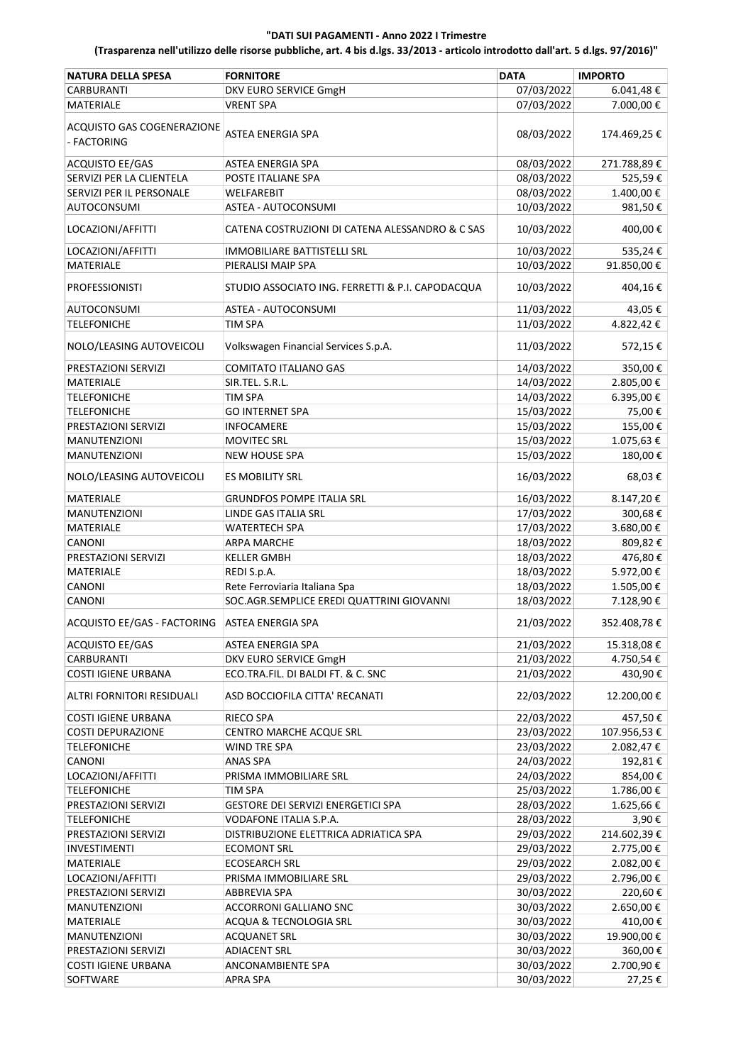| <b>NATURA DELLA SPESA</b>                       | <b>FORNITORE</b>                                 | <b>DATA</b>              | <b>IMPORTO</b>    |
|-------------------------------------------------|--------------------------------------------------|--------------------------|-------------------|
| <b>CARBURANTI</b>                               | DKV EURO SERVICE GmgH                            | 07/03/2022               | $6.041,48 \in$    |
| MATERIALE                                       | <b>VRENT SPA</b>                                 | 07/03/2022               | 7.000,00€         |
| ACQUISTO GAS COGENERAZIONE<br>- FACTORING       | ASTEA ENERGIA SPA                                | 08/03/2022               | 174.469,25€       |
| <b>ACQUISTO EE/GAS</b>                          | ASTEA ENERGIA SPA                                | 08/03/2022               | 271.788,89€       |
| SERVIZI PER LA CLIENTELA                        | POSTE ITALIANE SPA                               | 08/03/2022               | 525,59€           |
| SERVIZI PER IL PERSONALE                        | WELFAREBIT                                       | 08/03/2022               | 1.400,00€         |
| <b>AUTOCONSUMI</b>                              | ASTEA - AUTOCONSUMI                              | 10/03/2022               | 981,50€           |
|                                                 |                                                  |                          |                   |
| LOCAZIONI/AFFITTI                               | CATENA COSTRUZIONI DI CATENA ALESSANDRO & C SAS  | 10/03/2022               | 400,00€           |
| LOCAZIONI/AFFITTI                               | IMMOBILIARE BATTISTELLI SRL                      | 10/03/2022               | 535,24€           |
| <b>MATERIALE</b>                                | PIERALISI MAIP SPA                               | 10/03/2022               | 91.850,00€        |
| <b>PROFESSIONISTI</b>                           | STUDIO ASSOCIATO ING. FERRETTI & P.I. CAPODACQUA | 10/03/2022               | 404,16€           |
| <b>AUTOCONSUMI</b>                              | ASTEA - AUTOCONSUMI                              | 11/03/2022               | 43,05€            |
| <b>TELEFONICHE</b>                              | <b>TIM SPA</b>                                   | 11/03/2022               | 4.822,42€         |
| NOLO/LEASING AUTOVEICOLI                        | Volkswagen Financial Services S.p.A.             | 11/03/2022               | 572,15€           |
| PRESTAZIONI SERVIZI                             | <b>COMITATO ITALIANO GAS</b>                     | 14/03/2022               | 350,00€           |
| MATERIALE                                       | SIR.TEL. S.R.L.                                  | 14/03/2022               | 2.805,00€         |
| <b>TELEFONICHE</b>                              | TIM SPA                                          | 14/03/2022               | 6.395,00€         |
| <b>TELEFONICHE</b>                              | <b>GO INTERNET SPA</b>                           | 15/03/2022               | 75,00€            |
| PRESTAZIONI SERVIZI                             |                                                  |                          |                   |
|                                                 | <b>INFOCAMERE</b>                                | 15/03/2022               | 155,00€           |
| <b>MANUTENZIONI</b>                             | <b>MOVITEC SRL</b>                               | 15/03/2022               | 1.075,63€         |
| <b>MANUTENZIONI</b><br>NOLO/LEASING AUTOVEICOLI | <b>NEW HOUSE SPA</b><br><b>ES MOBILITY SRL</b>   | 15/03/2022<br>16/03/2022 | 180,00€<br>68,03€ |
|                                                 |                                                  |                          |                   |
| MATERIALE                                       | <b>GRUNDFOS POMPE ITALIA SRL</b>                 | 16/03/2022               | 8.147,20€         |
| <b>MANUTENZIONI</b>                             | LINDE GAS ITALIA SRL                             | 17/03/2022               | 300,68€           |
| MATERIALE                                       | WATERTECH SPA                                    | 17/03/2022               | 3.680,00€         |
| CANONI                                          | <b>ARPA MARCHE</b>                               | 18/03/2022               | 809,82€           |
| PRESTAZIONI SERVIZI                             | <b>KELLER GMBH</b>                               | 18/03/2022               | 476,80€           |
| MATERIALE                                       | REDI S.p.A.                                      | 18/03/2022               | 5.972,00€         |
| CANONI                                          | Rete Ferroviaria Italiana Spa                    | 18/03/2022               | 1.505,00€         |
| CANONI                                          | SOC.AGR.SEMPLICE EREDI QUATTRINI GIOVANNI        | 18/03/2022               | 7.128,90€         |
| ACQUISTO EE/GAS - FACTORING                     | <b>ASTEA ENERGIA SPA</b>                         | 21/03/2022               | 352.408,78€       |
| <b>ACQUISTO EE/GAS</b>                          | ASTEA ENERGIA SPA                                | 21/03/2022               | 15.318,08€        |
| <b>CARBURANTI</b>                               |                                                  |                          |                   |
|                                                 | DKV EURO SERVICE GmgH                            | 21/03/2022               | 4.750,54€         |
| <b>COSTI IGIENE URBANA</b>                      | ECO.TRA.FIL. DI BALDI FT. & C. SNC               | 21/03/2022               | 430,90€           |
| ALTRI FORNITORI RESIDUALI                       | ASD BOCCIOFILA CITTA' RECANATI                   | 22/03/2022               | 12.200,00€        |
| <b>COSTI IGIENE URBANA</b>                      | <b>RIECO SPA</b>                                 | 22/03/2022               | 457,50€           |
| <b>COSTI DEPURAZIONE</b>                        | CENTRO MARCHE ACQUE SRL                          | 23/03/2022               | 107.956,53€       |
| <b>TELEFONICHE</b>                              | WIND TRE SPA                                     | 23/03/2022               | 2.082,47€         |
| CANONI                                          | ANAS SPA                                         | 24/03/2022               | 192,81€           |
| LOCAZIONI/AFFITTI                               | PRISMA IMMOBILIARE SRL                           | 24/03/2022               | 854,00€           |
| <b>TELEFONICHE</b>                              | <b>TIM SPA</b>                                   | 25/03/2022               | 1.786,00€         |
| PRESTAZIONI SERVIZI                             | GESTORE DEI SERVIZI ENERGETICI SPA               | 28/03/2022               | 1.625,66€         |
| <b>TELEFONICHE</b>                              | VODAFONE ITALIA S.P.A.                           | 28/03/2022               | 3,90€             |
| PRESTAZIONI SERVIZI                             | DISTRIBUZIONE ELETTRICA ADRIATICA SPA            | 29/03/2022               | 214.602,39€       |
| <b>INVESTIMENTI</b>                             | <b>ECOMONT SRL</b>                               | 29/03/2022               | 2.775,00€         |
| MATERIALE                                       | <b>ECOSEARCH SRL</b>                             | 29/03/2022               | 2.082,00 €        |
| LOCAZIONI/AFFITTI                               | PRISMA IMMOBILIARE SRL                           | 29/03/2022               | 2.796,00€         |
| PRESTAZIONI SERVIZI                             | ABBREVIA SPA                                     | 30/03/2022               | 220,60€           |
|                                                 |                                                  |                          |                   |
| <b>MANUTENZIONI</b>                             | <b>ACCORRONI GALLIANO SNC</b>                    | 30/03/2022               | 2.650,00€         |
| MATERIALE                                       | ACQUA & TECNOLOGIA SRL                           | 30/03/2022               | 410,00€           |
| <b>MANUTENZIONI</b>                             | <b>ACQUANET SRL</b>                              | 30/03/2022               | 19.900,00€        |
| PRESTAZIONI SERVIZI                             | <b>ADIACENT SRL</b>                              | 30/03/2022               | 360,00€           |
| <b>COSTI IGIENE URBANA</b>                      | ANCONAMBIENTE SPA                                | 30/03/2022               | 2.700,90€         |
| SOFTWARE                                        | <b>APRA SPA</b>                                  | 30/03/2022               | 27,25€            |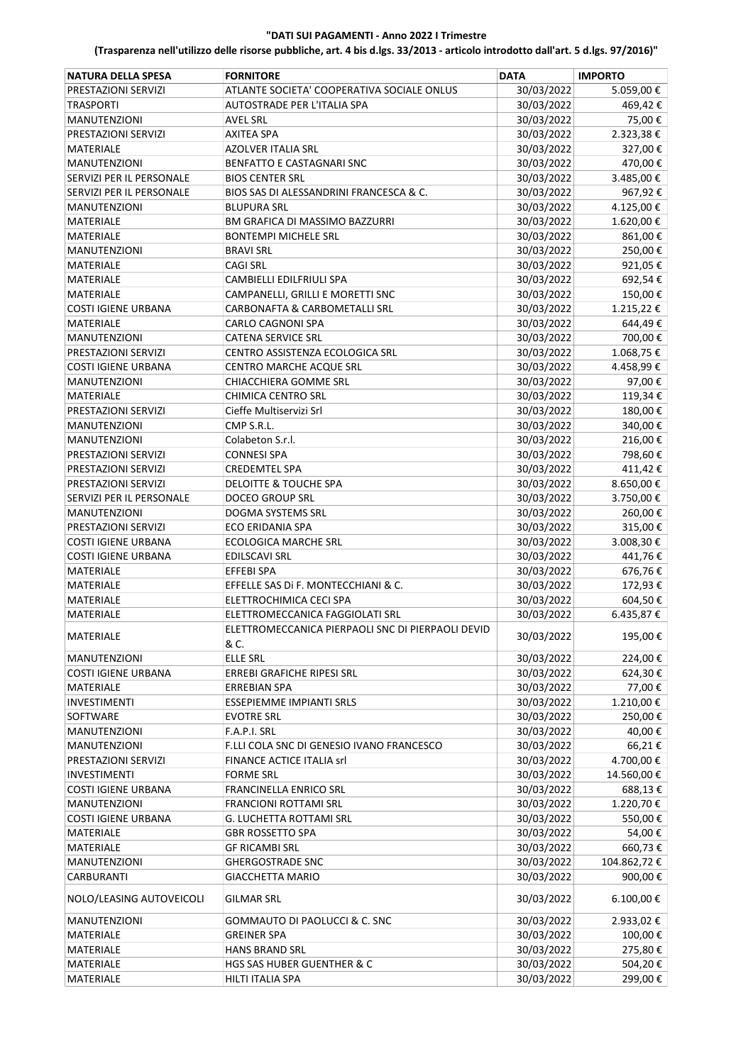| <b>NATURA DELLA SPESA</b>     | <b>FORNITORE</b>                                              | <b>DATA</b> | <b>IMPORTO</b> |
|-------------------------------|---------------------------------------------------------------|-------------|----------------|
| PRESTAZIONI SERVIZI           | ATLANTE SOCIETA' COOPERATIVA SOCIALE ONLUS                    | 30/03/2022  | 5.059,00€      |
| <b>TRASPORTI</b>              | AUTOSTRADE PER L'ITALIA SPA                                   | 30/03/2022  | 469,42€        |
| <b>MANUTENZIONI</b>           | <b>AVEL SRL</b>                                               | 30/03/2022  | 75,00€         |
| PRESTAZIONI SERVIZI           | AXITEA SPA                                                    | 30/03/2022  | 2.323,38€      |
| <b>MATERIALE</b>              | <b>AZOLVER ITALIA SRL</b>                                     | 30/03/2022  | 327,00€        |
| <b>MANUTENZIONI</b>           | BENFATTO E CASTAGNARI SNC                                     | 30/03/2022  | 470,00€        |
| SERVIZI PER IL PERSONALE      | <b>BIOS CENTER SRL</b>                                        | 30/03/2022  | 3.485,00€      |
| SERVIZI PER IL PERSONALE      | BIOS SAS DI ALESSANDRINI FRANCESCA & C.                       | 30/03/2022  | 967,92€        |
|                               | <b>BLUPURA SRL</b>                                            | 30/03/2022  |                |
| <b>MANUTENZIONI</b>           |                                                               |             | 4.125,00€      |
| MATERIALE<br><b>MATERIALE</b> | BM GRAFICA DI MASSIMO BAZZURRI<br><b>BONTEMPI MICHELE SRL</b> | 30/03/2022  | 1.620,00€      |
|                               |                                                               | 30/03/2022  | 861,00€        |
| <b>MANUTENZIONI</b>           | <b>BRAVI SRL</b>                                              | 30/03/2022  | 250,00€        |
| <b>MATERIALE</b>              | <b>CAGI SRL</b>                                               | 30/03/2022  | 921,05€        |
| <b>MATERIALE</b>              | CAMBIELLI EDILFRIULI SPA                                      | 30/03/2022  | 692,54€        |
| MATERIALE                     | CAMPANELLI, GRILLI E MORETTI SNC                              | 30/03/2022  | 150,00€        |
| <b>COSTI IGIENE URBANA</b>    | CARBONAFTA & CARBOMETALLI SRL                                 | 30/03/2022  | 1.215,22€      |
| <b>MATERIALE</b>              | CARLO CAGNONI SPA                                             | 30/03/2022  | 644,49€        |
| <b>MANUTENZIONI</b>           | CATENA SERVICE SRL                                            | 30/03/2022  | 700,00€        |
| PRESTAZIONI SERVIZI           | CENTRO ASSISTENZA ECOLOGICA SRL                               | 30/03/2022  | 1.068,75€      |
| <b>COSTI IGIENE URBANA</b>    | CENTRO MARCHE ACQUE SRL                                       | 30/03/2022  | 4.458,99€      |
| <b>MANUTENZIONI</b>           | CHIACCHIERA GOMME SRL                                         | 30/03/2022  | 97,00€         |
| MATERIALE                     | <b>CHIMICA CENTRO SRL</b>                                     | 30/03/2022  | 119,34€        |
| PRESTAZIONI SERVIZI           | Cieffe Multiservizi Srl                                       | 30/03/2022  | 180,00€        |
| <b>MANUTENZIONI</b>           | CMP S.R.L.                                                    | 30/03/2022  | 340,00€        |
| <b>MANUTENZIONI</b>           | Colabeton S.r.l.                                              | 30/03/2022  | 216,00€        |
| PRESTAZIONI SERVIZI           | <b>CONNESI SPA</b>                                            | 30/03/2022  | 798,60€        |
| PRESTAZIONI SERVIZI           | <b>CREDEMTEL SPA</b>                                          | 30/03/2022  | 411,42€        |
| PRESTAZIONI SERVIZI           | <b>DELOITTE &amp; TOUCHE SPA</b>                              | 30/03/2022  | 8.650,00€      |
| SERVIZI PER IL PERSONALE      | <b>DOCEO GROUP SRL</b>                                        | 30/03/2022  | 3.750,00€      |
| <b>MANUTENZIONI</b>           | DOGMA SYSTEMS SRL                                             | 30/03/2022  | 260,00€        |
| PRESTAZIONI SERVIZI           | ECO ERIDANIA SPA                                              | 30/03/2022  | 315,00€        |
| <b>COSTI IGIENE URBANA</b>    | <b>ECOLOGICA MARCHE SRL</b>                                   | 30/03/2022  | 3.008,30€      |
| <b>COSTI IGIENE URBANA</b>    | <b>EDILSCAVI SRL</b>                                          | 30/03/2022  | 441,76€        |
| MATERIALE                     | EFFEBI SPA                                                    | 30/03/2022  | 676,76€        |
| MATERIALE                     | EFFELLE SAS Di F. MONTECCHIANI & C.                           | 30/03/2022  | 172,93€        |
| MATERIALE                     | ELETTROCHIMICA CECI SPA                                       | 30/03/2022  | 604,50€        |
| <b>MATERIALE</b>              | ELETTROMECCANICA FAGGIOLATI SRL                               | 30/03/2022  | 6.435,87€      |
| MATERIALE                     | ELETTROMECCANICA PIERPAOLI SNC DI PIERPAOLI DEVID<br>& C.     | 30/03/2022  | 195,00€        |
| <b>MANUTENZIONI</b>           | <b>ELLE SRL</b>                                               | 30/03/2022  | 224,00€        |
| <b>COSTI IGIENE URBANA</b>    | ERREBI GRAFICHE RIPESI SRL                                    | 30/03/2022  | 624,30€        |
| MATERIALE                     | <b>ERREBIAN SPA</b>                                           | 30/03/2022  | 77,00€         |
| INVESTIMENTI                  | ESSEPIEMME IMPIANTI SRLS                                      | 30/03/2022  | 1.210,00€      |
| SOFTWARE                      | <b>EVOTRE SRL</b>                                             | 30/03/2022  | 250,00€        |
| MANUTENZIONI                  | F.A.P.I. SRL                                                  | 30/03/2022  | 40,00€         |
| <b>MANUTENZIONI</b>           | F.LLI COLA SNC DI GENESIO IVANO FRANCESCO                     | 30/03/2022  | 66,21€         |
| PRESTAZIONI SERVIZI           | FINANCE ACTICE ITALIA srl                                     | 30/03/2022  | 4.700,00€      |
| <b>INVESTIMENTI</b>           | <b>FORME SRL</b>                                              | 30/03/2022  | 14.560,00€     |
| <b>COSTI IGIENE URBANA</b>    | FRANCINELLA ENRICO SRL                                        | 30/03/2022  | 688,13€        |
| <b>MANUTENZIONI</b>           | FRANCIONI ROTTAMI SRL                                         | 30/03/2022  | 1.220,70€      |
| <b>COSTI IGIENE URBANA</b>    | G. LUCHETTA ROTTAMI SRL                                       | 30/03/2022  | 550,00€        |
| MATERIALE                     | <b>GBR ROSSETTO SPA</b>                                       | 30/03/2022  | 54,00€         |
| MATERIALE                     | <b>GF RICAMBI SRL</b>                                         | 30/03/2022  | 660,73€        |
| <b>MANUTENZIONI</b>           | <b>GHERGOSTRADE SNC</b>                                       | 30/03/2022  | 104.862,72€    |
| <b>CARBURANTI</b>             | <b>GIACCHETTA MARIO</b>                                       | 30/03/2022  | 900,00€        |
| NOLO/LEASING AUTOVEICOLI      | <b>GILMAR SRL</b>                                             | 30/03/2022  | $6.100,00 \in$ |
| <b>MANUTENZIONI</b>           | GOMMAUTO DI PAOLUCCI & C. SNC                                 | 30/03/2022  | 2.933,02€      |
| MATERIALE                     | <b>GREINER SPA</b>                                            | 30/03/2022  | 100,00€        |
| MATERIALE                     | <b>HANS BRAND SRL</b>                                         | 30/03/2022  | 275,80€        |
| MATERIALE                     | HGS SAS HUBER GUENTHER & C                                    | 30/03/2022  | 504,20€        |
| MATERIALE                     | HILTI ITALIA SPA                                              | 30/03/2022  | 299,00€        |
|                               |                                                               |             |                |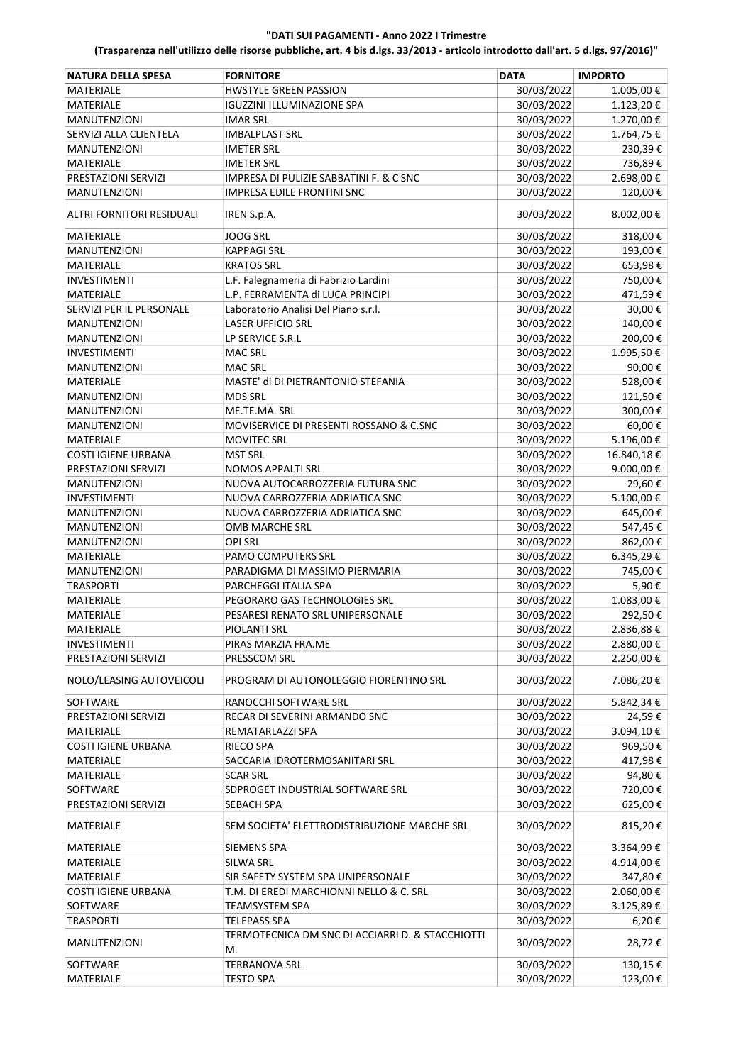| <b>NATURA DELLA SPESA</b>                       | <b>FORNITORE</b>                                       | <b>DATA</b>              | <b>IMPORTO</b>         |
|-------------------------------------------------|--------------------------------------------------------|--------------------------|------------------------|
| <b>MATERIALE</b>                                | <b>HWSTYLE GREEN PASSION</b>                           | 30/03/2022               | 1.005,00€              |
| <b>MATERIALE</b>                                | <b>IGUZZINI ILLUMINAZIONE SPA</b>                      | 30/03/2022               | 1.123,20€              |
| <b>MANUTENZIONI</b>                             | <b>IMAR SRL</b>                                        | 30/03/2022               | 1.270,00€              |
| SERVIZI ALLA CLIENTELA                          | <b>IMBALPLAST SRL</b>                                  | 30/03/2022               | 1.764,75€              |
| <b>MANUTENZIONI</b>                             | <b>IMETER SRL</b>                                      | 30/03/2022               | 230,39€                |
| MATERIALE                                       | <b>IMETER SRL</b>                                      | 30/03/2022               | 736,89€                |
| PRESTAZIONI SERVIZI                             | IMPRESA DI PULIZIE SABBATINI F. & C SNC                | 30/03/2022               | 2.698,00€              |
| <b>MANUTENZIONI</b>                             | <b>IMPRESA EDILE FRONTINI SNC</b>                      | 30/03/2022               | 120,00€                |
| ALTRI FORNITORI RESIDUALI                       | IREN S.p.A.                                            | 30/03/2022               | 8.002,00€              |
| MATERIALE                                       | <b>JOOG SRL</b>                                        | 30/03/2022               | 318,00€                |
|                                                 |                                                        |                          |                        |
| <b>MANUTENZIONI</b>                             | <b>KAPPAGI SRL</b>                                     | 30/03/2022               | 193,00€                |
| <b>MATERIALE</b>                                | <b>KRATOS SRL</b>                                      | 30/03/2022               | 653,98€                |
| INVESTIMENTI                                    | L.F. Falegnameria di Fabrizio Lardini                  | 30/03/2022               | 750,00€                |
| <b>MATERIALE</b>                                | L.P. FERRAMENTA di LUCA PRINCIPI                       | 30/03/2022               | 471,59€                |
| SERVIZI PER IL PERSONALE                        | Laboratorio Analisi Del Piano s.r.l.                   | 30/03/2022               | 30,00€                 |
| <b>MANUTENZIONI</b>                             | <b>LASER UFFICIO SRL</b>                               | 30/03/2022               | 140,00€                |
| <b>MANUTENZIONI</b>                             | LP SERVICE S.R.L                                       | 30/03/2022               | 200,00€                |
| <b>INVESTIMENTI</b>                             | <b>MAC SRL</b>                                         | 30/03/2022               | 1.995,50€              |
| <b>MANUTENZIONI</b>                             | <b>MAC SRL</b>                                         | 30/03/2022               | 90,00€                 |
| <b>MATERIALE</b>                                | MASTE' di DI PIETRANTONIO STEFANIA                     | 30/03/2022               | 528,00€                |
| <b>MANUTENZIONI</b>                             | <b>MDS SRL</b>                                         | 30/03/2022               | 121,50€                |
| <b>MANUTENZIONI</b>                             | ME.TE.MA. SRL                                          | 30/03/2022               | 300,00€                |
| <b>MANUTENZIONI</b>                             | MOVISERVICE DI PRESENTI ROSSANO & C.SNC                | 30/03/2022               | 60,00€                 |
| MATERIALE                                       | <b>MOVITEC SRL</b>                                     | 30/03/2022               | 5.196,00€              |
| <b>COSTI IGIENE URBANA</b>                      | <b>MST SRL</b>                                         | 30/03/2022               | 16.840,18€             |
| PRESTAZIONI SERVIZI                             | <b>NOMOS APPALTI SRL</b>                               | 30/03/2022               | 9.000,00€              |
| <b>MANUTENZIONI</b>                             | NUOVA AUTOCARROZZERIA FUTURA SNC                       | 30/03/2022               | 29,60€                 |
| <b>INVESTIMENTI</b>                             | NUOVA CARROZZERIA ADRIATICA SNC                        | 30/03/2022               | 5.100,00€              |
| <b>MANUTENZIONI</b>                             | NUOVA CARROZZERIA ADRIATICA SNC                        | 30/03/2022               | 645,00€                |
| <b>MANUTENZIONI</b>                             | OMB MARCHE SRL                                         | 30/03/2022               | 547,45€                |
| <b>MANUTENZIONI</b>                             | OPI SRL                                                | 30/03/2022               | 862,00€                |
| MATERIALE                                       | <b>PAMO COMPUTERS SRL</b>                              | 30/03/2022               | 6.345,29€              |
| <b>MANUTENZIONI</b>                             | PARADIGMA DI MASSIMO PIERMARIA                         | 30/03/2022               | 745,00€                |
| <b>TRASPORTI</b>                                | PARCHEGGI ITALIA SPA                                   | 30/03/2022               | 5,90€                  |
| MATERIALE                                       | PEGORARO GAS TECHNOLOGIES SRL                          | 30/03/2022               | 1.083,00€              |
| MATERIALE                                       | PESARESI RENATO SRL UNIPERSONALE                       | 30/03/2022               | 292,50€                |
| <b>MATERIALE</b>                                | PIOI ANTI SRI                                          |                          | 2.836,88€              |
|                                                 |                                                        | 30/03/2022               |                        |
| <b>INVESTIMENTI</b>                             | PIRAS MARZIA FRA.ME                                    | 30/03/2022               | 2.880,00€              |
| PRESTAZIONI SERVIZI<br>NOLO/LEASING AUTOVEICOLI | PRESSCOM SRL<br>PROGRAM DI AUTONOLEGGIO FIORENTINO SRL | 30/03/2022<br>30/03/2022 | 2.250,00€<br>7.086,20€ |
|                                                 |                                                        |                          |                        |
| SOFTWARE                                        | RANOCCHI SOFTWARE SRL                                  | 30/03/2022               | 5.842,34 €             |
| PRESTAZIONI SERVIZI                             | RECAR DI SEVERINI ARMANDO SNC                          | 30/03/2022               | 24,59€                 |
| MATERIALE                                       | REMATARLAZZI SPA                                       | 30/03/2022               | 3.094,10€              |
| <b>COSTI IGIENE URBANA</b>                      | RIECO SPA                                              | 30/03/2022               | 969,50€                |
| MATERIALE                                       | SACCARIA IDROTERMOSANITARI SRL                         | 30/03/2022               | 417,98€                |
| MATERIALE                                       | <b>SCAR SRL</b>                                        | 30/03/2022               | 94,80€                 |
| SOFTWARE                                        | SDPROGET INDUSTRIAL SOFTWARE SRL                       | 30/03/2022               | 720,00€                |
| PRESTAZIONI SERVIZI                             | SEBACH SPA                                             | 30/03/2022               | 625,00€                |
| MATERIALE                                       | SEM SOCIETA' ELETTRODISTRIBUZIONE MARCHE SRL           | 30/03/2022               | 815,20€                |
| MATERIALE                                       | <b>SIEMENS SPA</b>                                     | 30/03/2022               | 3.364,99€              |
| MATERIALE                                       | SILWA SRL                                              | 30/03/2022               | 4.914,00€              |
| MATERIALE                                       | SIR SAFETY SYSTEM SPA UNIPERSONALE                     | 30/03/2022               | 347,80€                |
| <b>COSTI IGIENE URBANA</b>                      | T.M. DI EREDI MARCHIONNI NELLO & C. SRL                | 30/03/2022               | 2.060,00€              |
| SOFTWARE                                        | TEAMSYSTEM SPA                                         | 30/03/2022               | 3.125,89€              |
| <b>TRASPORTI</b>                                | <b>TELEPASS SPA</b>                                    | 30/03/2022               | $6,20 \in$             |
| <b>MANUTENZIONI</b>                             | TERMOTECNICA DM SNC DI ACCIARRI D. & STACCHIOTTI<br>M. | 30/03/2022               | 28,72€                 |
| SOFTWARE                                        | <b>TERRANOVA SRL</b>                                   | 30/03/2022               | 130,15€                |
| MATERIALE                                       | <b>TESTO SPA</b>                                       | 30/03/2022               | 123,00€                |
|                                                 |                                                        |                          |                        |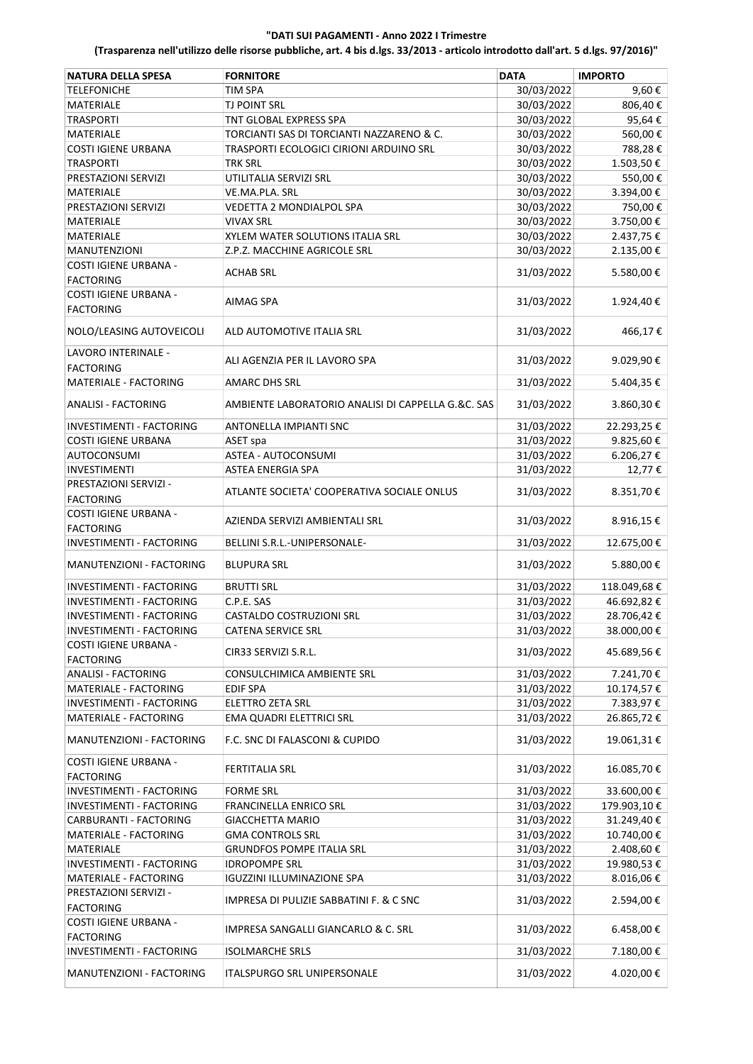| <b>NATURA DELLA SPESA</b>                        | <b>FORNITORE</b>                                   | <b>DATA</b> | <b>IMPORTO</b> |
|--------------------------------------------------|----------------------------------------------------|-------------|----------------|
| <b>TELEFONICHE</b>                               | <b>TIM SPA</b>                                     | 30/03/2022  | 9,60€          |
| <b>MATERIALE</b>                                 | TJ POINT SRL                                       | 30/03/2022  | 806,40€        |
| <b>TRASPORTI</b>                                 | TNT GLOBAL EXPRESS SPA                             | 30/03/2022  | 95,64€         |
| <b>MATERIALE</b>                                 | TORCIANTI SAS DI TORCIANTI NAZZARENO & C.          | 30/03/2022  | 560,00€        |
| <b>COSTI IGIENE URBANA</b>                       | TRASPORTI ECOLOGICI CIRIONI ARDUINO SRL            | 30/03/2022  | 788,28€        |
| <b>TRASPORTI</b>                                 | <b>TRK SRL</b>                                     | 30/03/2022  | 1.503,50€      |
| PRESTAZIONI SERVIZI                              | UTILITALIA SERVIZI SRL                             | 30/03/2022  | 550,00€        |
| <b>MATERIALE</b>                                 | VE.MA.PLA. SRL                                     | 30/03/2022  | 3.394,00€      |
| PRESTAZIONI SERVIZI                              | VEDETTA 2 MONDIALPOL SPA                           | 30/03/2022  | 750,00€        |
| MATERIALE                                        | <b>VIVAX SRL</b>                                   | 30/03/2022  | 3.750,00€      |
| <b>MATERIALE</b>                                 | XYLEM WATER SOLUTIONS ITALIA SRL                   | 30/03/2022  | 2.437,75€      |
| <b>MANUTENZIONI</b>                              | Z.P.Z. MACCHINE AGRICOLE SRL                       | 30/03/2022  | 2.135,00€      |
| COSTI IGIENE URBANA -                            |                                                    |             |                |
| <b>FACTORING</b>                                 | ACHAB SRL                                          | 31/03/2022  | 5.580,00€      |
| COSTI IGIENE URBANA -<br><b>FACTORING</b>        | AIMAG SPA                                          | 31/03/2022  | 1.924,40€      |
| NOLO/LEASING AUTOVEICOLI                         | ALD AUTOMOTIVE ITALIA SRL                          | 31/03/2022  | 466,17€        |
| LAVORO INTERINALE -<br><b>FACTORING</b>          | ALI AGENZIA PER IL LAVORO SPA                      | 31/03/2022  | 9.029,90€      |
| MATERIALE - FACTORING                            | <b>AMARC DHS SRL</b>                               | 31/03/2022  | 5.404,35 €     |
|                                                  |                                                    |             |                |
| <b>ANALISI - FACTORING</b>                       | AMBIENTE LABORATORIO ANALISI DI CAPPELLA G.&C. SAS | 31/03/2022  | 3.860,30€      |
| INVESTIMENTI - FACTORING                         | ANTONELLA IMPIANTI SNC                             | 31/03/2022  | 22.293,25€     |
| <b>COSTI IGIENE URBANA</b>                       | ASET spa                                           | 31/03/2022  | 9.825,60€      |
| AUTOCONSUMI                                      | ASTEA - AUTOCONSUMI                                | 31/03/2022  | 6.206,27€      |
| INVESTIMENTI                                     | <b>ASTEA ENERGIA SPA</b>                           | 31/03/2022  | 12,77€         |
| PRESTAZIONI SERVIZI -                            | ATLANTE SOCIETA' COOPERATIVA SOCIALE ONLUS         | 31/03/2022  | 8.351,70€      |
| <b>FACTORING</b>                                 |                                                    |             |                |
| COSTI IGIENE URBANA -<br><b>FACTORING</b>        | AZIENDA SERVIZI AMBIENTALI SRL                     | 31/03/2022  | 8.916,15€      |
| <b>INVESTIMENTI - FACTORING</b>                  | BELLINI S.R.L.-UNIPERSONALE-                       | 31/03/2022  | 12.675,00€     |
| MANUTENZIONI - FACTORING                         | <b>BLUPURA SRL</b>                                 | 31/03/2022  | 5.880,00€      |
| INVESTIMENTI - FACTORING                         | <b>BRUTTI SRL</b>                                  | 31/03/2022  | 118.049,68€    |
| <b>INVESTIMENTI - FACTORING</b>                  | C.P.E. SAS                                         | 31/03/2022  | 46.692,82€     |
| INVESTIMENTI - FACTORING                         | <b>CASTALDO COSTRUZIONI SRL</b>                    | 31/03/2022  | 28.706,42€     |
| INVESTIMENTI - FACTORING                         | CATENA SERVICE SRL                                 | 31/03/2022  | 38.000,00€     |
| COSTI IGIENE URBANA -                            |                                                    |             |                |
| <b>FACTORING</b>                                 | CIR33 SERVIZI S.R.L.                               | 31/03/2022  | 45.689,56€     |
| <b>ANALISI - FACTORING</b>                       | CONSULCHIMICA AMBIENTE SRL                         | 31/03/2022  | 7.241,70€      |
| <b>MATERIALE - FACTORING</b>                     | <b>EDIF SPA</b>                                    | 31/03/2022  | 10.174,57€     |
| INVESTIMENTI - FACTORING                         | <b>ELETTRO ZETA SRL</b>                            | 31/03/2022  | 7.383,97€      |
| MATERIALE - FACTORING                            | EMA QUADRI ELETTRICI SRL                           | 31/03/2022  | 26.865,72€     |
| MANUTENZIONI - FACTORING                         | F.C. SNC DI FALASCONI & CUPIDO                     | 31/03/2022  | 19.061,31€     |
| <b>COSTI IGIENE URBANA -</b><br><b>FACTORING</b> | FERTITALIA SRL                                     | 31/03/2022  | 16.085,70€     |
| INVESTIMENTI - FACTORING                         | <b>FORME SRL</b>                                   | 31/03/2022  | 33.600,00 €    |
| INVESTIMENTI - FACTORING                         | FRANCINELLA ENRICO SRL                             | 31/03/2022  | 179.903,10€    |
| CARBURANTI - FACTORING                           | <b>GIACCHETTA MARIO</b>                            | 31/03/2022  | 31.249,40€     |
| MATERIALE - FACTORING                            | <b>GMA CONTROLS SRL</b>                            | 31/03/2022  | 10.740,00€     |
| MATERIALE                                        | <b>GRUNDFOS POMPE ITALIA SRL</b>                   | 31/03/2022  | 2.408,60€      |
| INVESTIMENTI - FACTORING                         | <b>IDROPOMPE SRL</b>                               | 31/03/2022  | 19.980,53€     |
| MATERIALE - FACTORING                            | <b>IGUZZINI ILLUMINAZIONE SPA</b>                  | 31/03/2022  | 8.016,06€      |
| PRESTAZIONI SERVIZI -                            |                                                    |             |                |
| <b>FACTORING</b>                                 | IMPRESA DI PULIZIE SABBATINI F. & C SNC            | 31/03/2022  | 2.594,00 €     |
| <b>COSTI IGIENE URBANA -</b><br><b>FACTORING</b> | IMPRESA SANGALLI GIANCARLO & C. SRL                | 31/03/2022  | 6.458,00€      |
| INVESTIMENTI - FACTORING                         | <b>ISOLMARCHE SRLS</b>                             | 31/03/2022  | 7.180,00€      |
| MANUTENZIONI - FACTORING                         | ITALSPURGO SRL UNIPERSONALE                        | 31/03/2022  | 4.020,00€      |